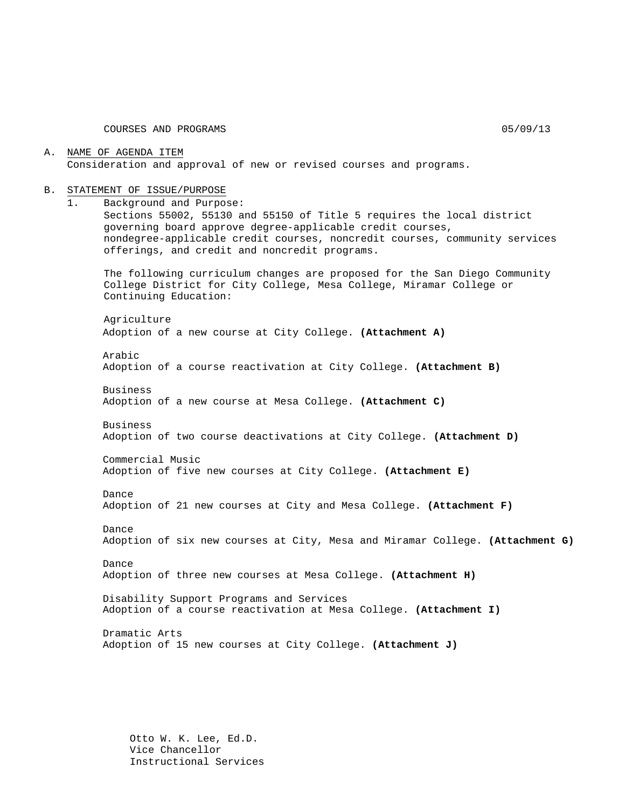COURSES AND PROGRAMS 05/09/13

A. NAME OF AGENDA ITEM Consideration and approval of new or revised courses and programs.

#### B. STATEMENT OF ISSUE/PURPOSE

1. Background and Purpose:

Sections 55002, 55130 and 55150 of Title 5 requires the local district governing board approve degree-applicable credit courses, nondegree-applicable credit courses, noncredit courses, community services offerings, and credit and noncredit programs.

The following curriculum changes are proposed for the San Diego Community College District for City College, Mesa College, Miramar College or Continuing Education:

Agriculture Adoption of a new course at City College. **(Attachment A)**

Arabic Adoption of a course reactivation at City College. **(Attachment B)**

Business Adoption of a new course at Mesa College. **(Attachment C)**

Business Adoption of two course deactivations at City College. **(Attachment D)**

Commercial Music Adoption of five new courses at City College. **(Attachment E)**

Dance

Adoption of 21 new courses at City and Mesa College. **(Attachment F)**

Dance Adoption of six new courses at City, Mesa and Miramar College. **(Attachment G)**

Dance Adoption of three new courses at Mesa College. **(Attachment H)**

Disability Support Programs and Services Adoption of a course reactivation at Mesa College. **(Attachment I)**

Dramatic Arts Adoption of 15 new courses at City College. **(Attachment J)**

Otto W. K. Lee, Ed.D. Vice Chancellor Instructional Services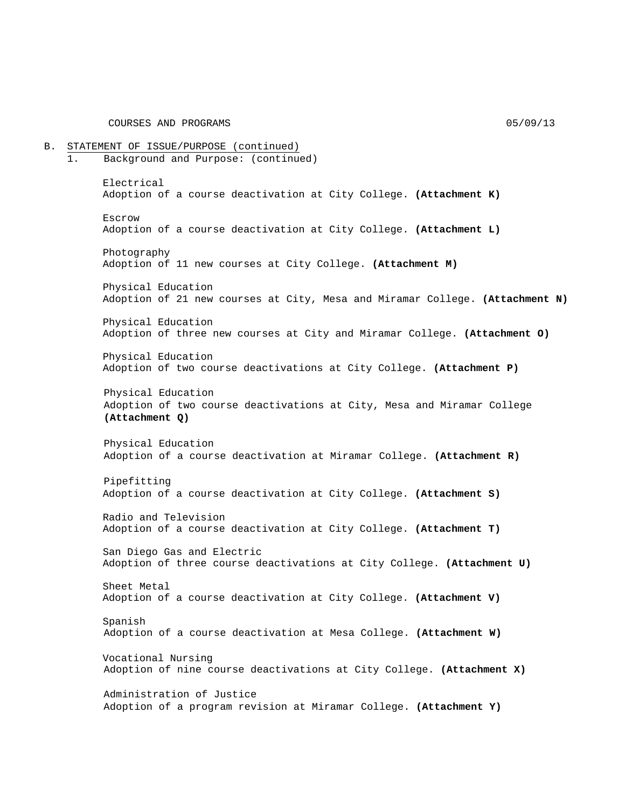COURSES AND PROGRAMS 05/09/13

B. STATEMENT OF ISSUE/PURPOSE (continued) 1. Background and Purpose: (continued) Electrical Adoption of a course deactivation at City College. **(Attachment K)** Escrow Adoption of a course deactivation at City College. **(Attachment L)** Photography Adoption of 11 new courses at City College. **(Attachment M)** Physical Education Adoption of 21 new courses at City, Mesa and Miramar College. **(Attachment N)** Physical Education Adoption of three new courses at City and Miramar College. **(Attachment O)** Physical Education Adoption of two course deactivations at City College. **(Attachment P)** Physical Education Adoption of two course deactivations at City, Mesa and Miramar College **(Attachment Q)** Physical Education Adoption of a course deactivation at Miramar College. **(Attachment R)** Pipefitting Adoption of a course deactivation at City College. **(Attachment S)** Radio and Television Adoption of a course deactivation at City College. **(Attachment T)** San Diego Gas and Electric Adoption of three course deactivations at City College. **(Attachment U)** Sheet Metal Adoption of a course deactivation at City College. **(Attachment V)** Spanish Adoption of a course deactivation at Mesa College. **(Attachment W)** Vocational Nursing Adoption of nine course deactivations at City College. **(Attachment X)** Administration of Justice Adoption of a program revision at Miramar College. **(Attachment Y)**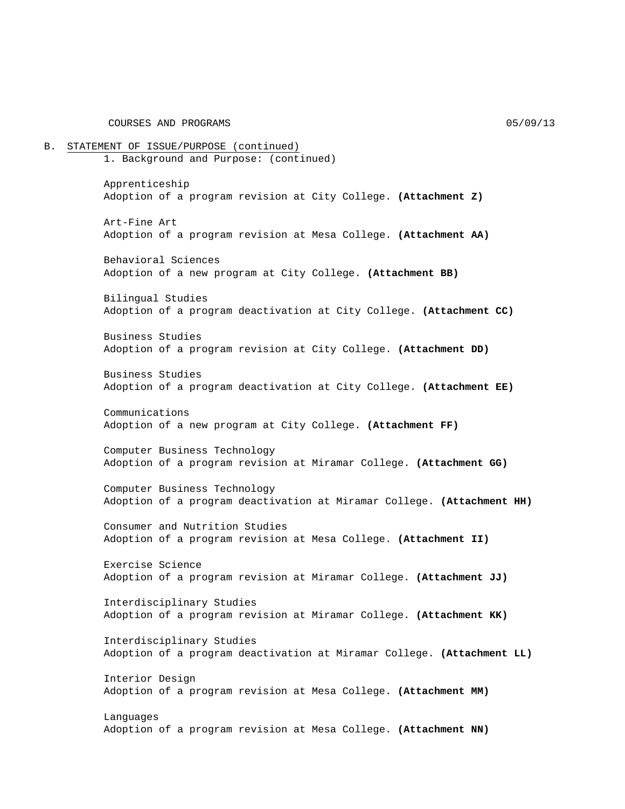COURSES AND PROGRAMS 05/09/13

B. STATEMENT OF ISSUE/PURPOSE (continued) 1. Background and Purpose: (continued) Apprenticeship Adoption of a program revision at City College. **(Attachment Z)** Art-Fine Art Adoption of a program revision at Mesa College. **(Attachment AA)** Behavioral Sciences Adoption of a new program at City College. **(Attachment BB)** Bilingual Studies Adoption of a program deactivation at City College. **(Attachment CC)** Business Studies Adoption of a program revision at City College. **(Attachment DD)** Business Studies Adoption of a program deactivation at City College. **(Attachment EE)** Communications Adoption of a new program at City College. **(Attachment FF)** Computer Business Technology Adoption of a program revision at Miramar College. **(Attachment GG)** Computer Business Technology Adoption of a program deactivation at Miramar College. **(Attachment HH)** Consumer and Nutrition Studies Adoption of a program revision at Mesa College. **(Attachment II)** Exercise Science Adoption of a program revision at Miramar College. **(Attachment JJ)** Interdisciplinary Studies Adoption of a program revision at Miramar College. **(Attachment KK)** Interdisciplinary Studies Adoption of a program deactivation at Miramar College. **(Attachment LL)** Interior Design Adoption of a program revision at Mesa College. **(Attachment MM)** Languages Adoption of a program revision at Mesa College. **(Attachment NN)**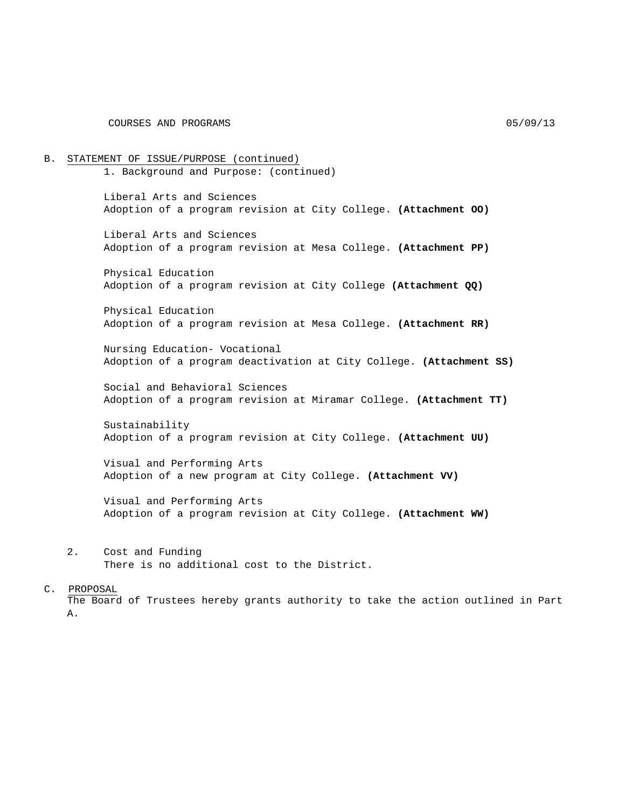B. STATEMENT OF ISSUE/PURPOSE (continued) 1. Background and Purpose: (continued) Liberal Arts and Sciences Adoption of a program revision at City College. **(Attachment OO)** Liberal Arts and Sciences Adoption of a program revision at Mesa College. **(Attachment PP)** Physical Education Adoption of a program revision at City College **(Attachment QQ)** Physical Education Adoption of a program revision at Mesa College. **(Attachment RR)** Nursing Education- Vocational Adoption of a program deactivation at City College. **(Attachment SS)** Social and Behavioral Sciences Adoption of a program revision at Miramar College. **(Attachment TT)** Sustainability Adoption of a program revision at City College. **(Attachment UU)** Visual and Performing Arts Adoption of a new program at City College. **(Attachment VV)** Visual and Performing Arts Adoption of a program revision at City College. **(Attachment WW)** 2. Cost and Funding There is no additional cost to the District.

#### C. PROPOSAL

The Board of Trustees hereby grants authority to take the action outlined in Part A.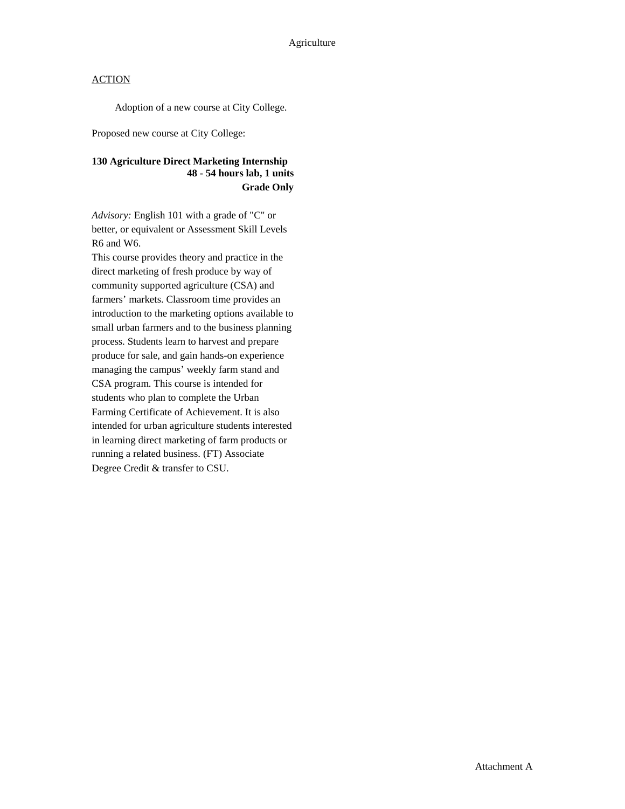Adoption of a new course at City College.

Proposed new course at City College:

# **130 Agriculture Direct Marketing Internship 48 - 54 hours lab, 1 units Grade Only**

*Advisory:* English 101 with a grade of "C" or better, or equivalent or Assessment Skill Levels R6 and W6.

This course provides theory and practice in the direct marketing of fresh produce by way of community supported agriculture (CSA) and farmers' markets. Classroom time provides an introduction to the marketing options available to small urban farmers and to the business planning process. Students learn to harvest and prepare produce for sale, and gain hands-on experience managing the campus' weekly farm stand and CSA program. This course is intended for students who plan to complete the Urban Farming Certificate of Achievement. It is also intended for urban agriculture students interested in learning direct marketing of farm products or running a related business. (FT) Associate Degree Credit & transfer to CSU.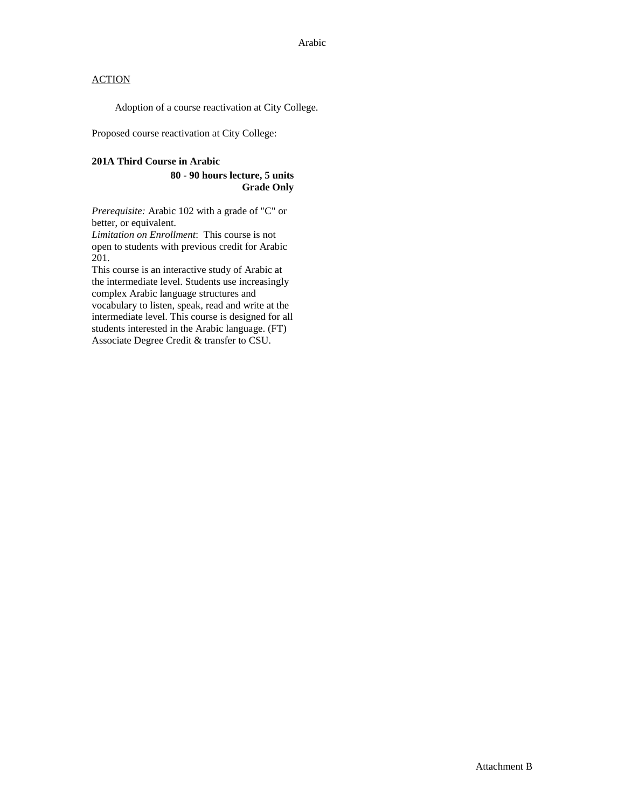Adoption of a course reactivation at City College.

Proposed course reactivation at City College:

#### **201A Third Course in Arabic**

#### **80 - 90 hours lecture, 5 units Grade Only**

*Prerequisite:* Arabic 102 with a grade of "C" or better, or equivalent.

*Limitation on Enrollment*: This course is not open to students with previous credit for Arabic 201.

This course is an interactive study of Arabic at the intermediate level. Students use increasingly complex Arabic language structures and vocabulary to listen, speak, read and write at the intermediate level. This course is designed for all students interested in the Arabic language. (FT) Associate Degree Credit & transfer to CSU.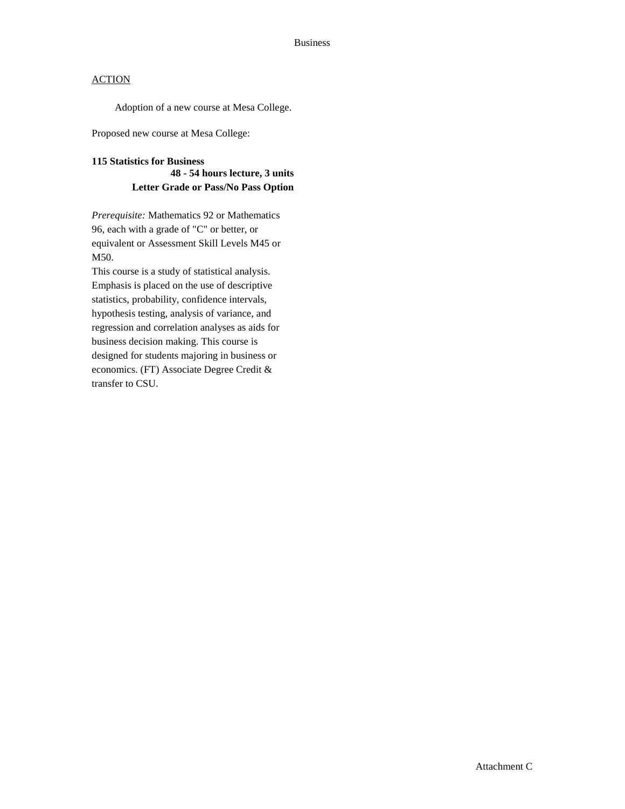Adoption of a new course at Mesa College.

Proposed new course at Mesa College:

# **115 Statistics for Business 48 - 54 hours lecture, 3 units Letter Grade or Pass/No Pass Option**

*Prerequisite:* Mathematics 92 or Mathematics 96, each with a grade of "C" or better, or equivalent or Assessment Skill Levels M45 or M50.

This course is a study of statistical analysis. Emphasis is placed on the use of descriptive statistics, probability, confidence intervals, hypothesis testing, analysis of variance, and regression and correlation analyses as aids for business decision making. This course is designed for students majoring in business or economics. (FT) Associate Degree Credit & transfer to CSU.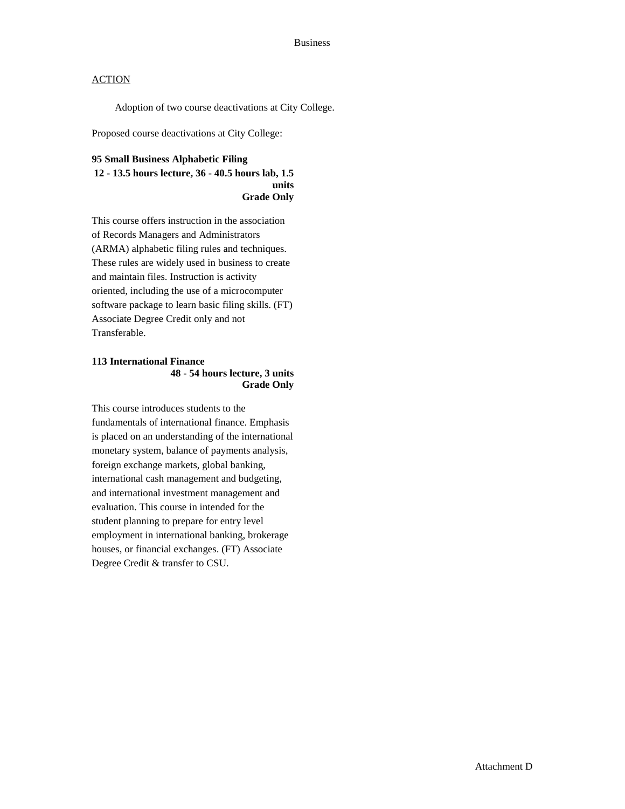Adoption of two course deactivations at City College.

Proposed course deactivations at City College:

### **95 Small Business Alphabetic Filing 12 - 13.5 hours lecture, 36 - 40.5 hours lab, 1.5 units Grade Only**

This course offers instruction in the association of Records Managers and Administrators (ARMA) alphabetic filing rules and techniques. These rules are widely used in business to create and maintain files. Instruction is activity oriented, including the use of a microcomputer software package to learn basic filing skills. (FT) Associate Degree Credit only and not Transferable.

### **113 International Finance 48 - 54 hours lecture, 3 units Grade Only**

This course introduces students to the fundamentals of international finance. Emphasis is placed on an understanding of the international monetary system, balance of payments analysis, foreign exchange markets, global banking, international cash management and budgeting, and international investment management and evaluation. This course in intended for the student planning to prepare for entry level employment in international banking, brokerage houses, or financial exchanges. (FT) Associate Degree Credit & transfer to CSU.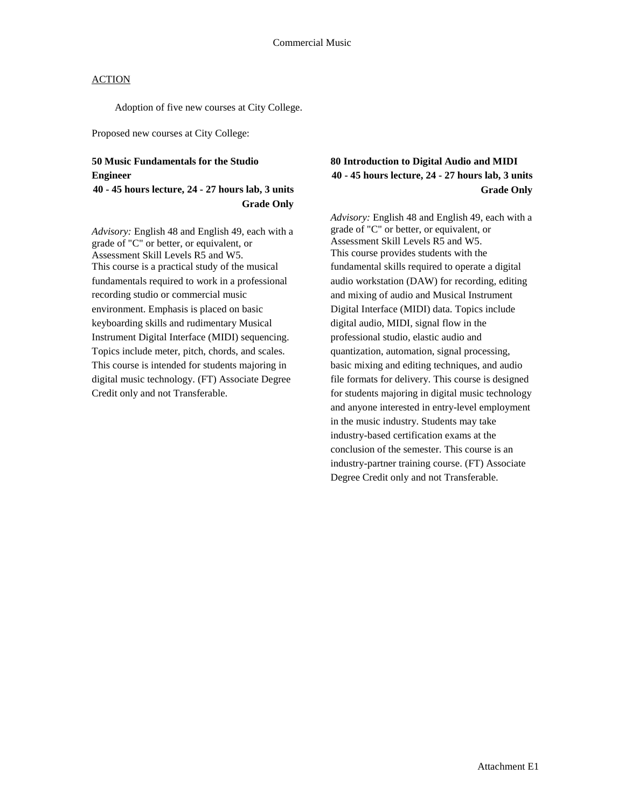Adoption of five new courses at City College.

Proposed new courses at City College:

# **50 Music Fundamentals for the Studio Engineer**

# **40 - 45 hours lecture, 24 - 27 hours lab, 3 units Grade Only**

*Advisory:* English 48 and English 49, each with a grade of "C" or better, or equivalent, or Assessment Skill Levels R5 and W5. This course is a practical study of the musical fundamentals required to work in a professional recording studio or commercial music environment. Emphasis is placed on basic keyboarding skills and rudimentary Musical Instrument Digital Interface (MIDI) sequencing. Topics include meter, pitch, chords, and scales. This course is intended for students majoring in digital music technology. (FT) Associate Degree Credit only and not Transferable.

# **80 Introduction to Digital Audio and MIDI 40 - 45 hours lecture, 24 - 27 hours lab, 3 units Grade Only**

*Advisory:* English 48 and English 49, each with a grade of "C" or better, or equivalent, or Assessment Skill Levels R5 and W5. This course provides students with the fundamental skills required to operate a digital audio workstation (DAW) for recording, editing and mixing of audio and Musical Instrument Digital Interface (MIDI) data. Topics include digital audio, MIDI, signal flow in the professional studio, elastic audio and quantization, automation, signal processing, basic mixing and editing techniques, and audio file formats for delivery. This course is designed for students majoring in digital music technology and anyone interested in entry-level employment in the music industry. Students may take industry-based certification exams at the conclusion of the semester. This course is an industry-partner training course. (FT) Associate Degree Credit only and not Transferable.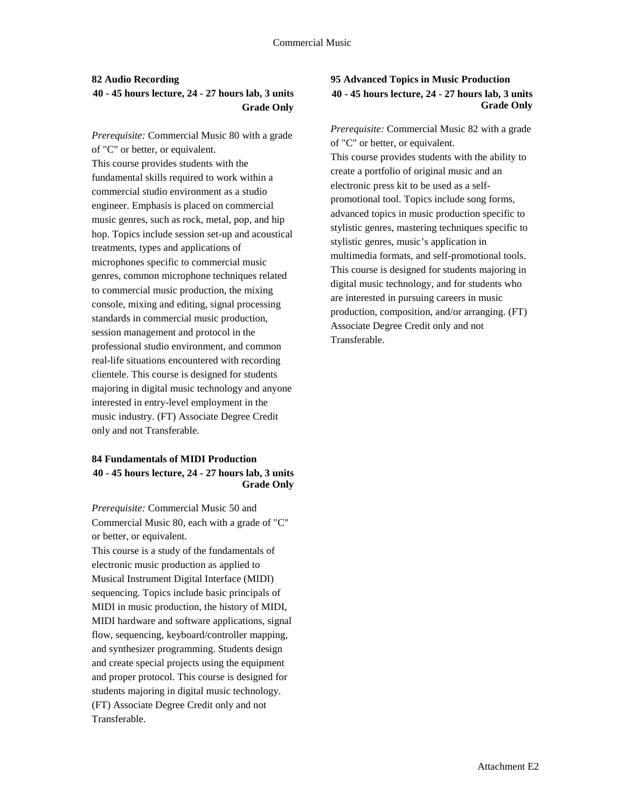# **82 Audio Recording 40 - 45 hours lecture, 24 - 27 hours lab, 3 units Grade Only**

*Prerequisite:* Commercial Music 80 with a grade of "C" or better, or equivalent. This course provides students with the fundamental skills required to work within a commercial studio environment as a studio engineer. Emphasis is placed on commercial music genres, such as rock, metal, pop, and hip hop. Topics include session set-up and acoustical treatments, types and applications of microphones specific to commercial music genres, common microphone techniques related to commercial music production, the mixing console, mixing and editing, signal processing standards in commercial music production, session management and protocol in the professional studio environment, and common real-life situations encountered with recording clientele. This course is designed for students majoring in digital music technology and anyone interested in entry-level employment in the music industry. (FT) Associate Degree Credit only and not Transferable.

### **84 Fundamentals of MIDI Production 40 - 45 hours lecture, 24 - 27 hours lab, 3 units Grade Only**

*Prerequisite:* Commercial Music 50 and Commercial Music 80, each with a grade of "C" or better, or equivalent.

This course is a study of the fundamentals of electronic music production as applied to Musical Instrument Digital Interface (MIDI) sequencing. Topics include basic principals of MIDI in music production, the history of MIDI, MIDI hardware and software applications, signal flow, sequencing, keyboard/controller mapping, and synthesizer programming. Students design and create special projects using the equipment and proper protocol. This course is designed for students majoring in digital music technology. (FT) Associate Degree Credit only and not Transferable.

# **95 Advanced Topics in Music Production 40 - 45 hours lecture, 24 - 27 hours lab, 3 units Grade Only**

*Prerequisite:* Commercial Music 82 with a grade of "C" or better, or equivalent. This course provides students with the ability to create a portfolio of original music and an electronic press kit to be used as a selfpromotional tool. Topics include song forms, advanced topics in music production specific to stylistic genres, mastering techniques specific to stylistic genres, music's application in multimedia formats, and self-promotional tools. This course is designed for students majoring in digital music technology, and for students who are interested in pursuing careers in music production, composition, and/or arranging. (FT) Associate Degree Credit only and not Transferable.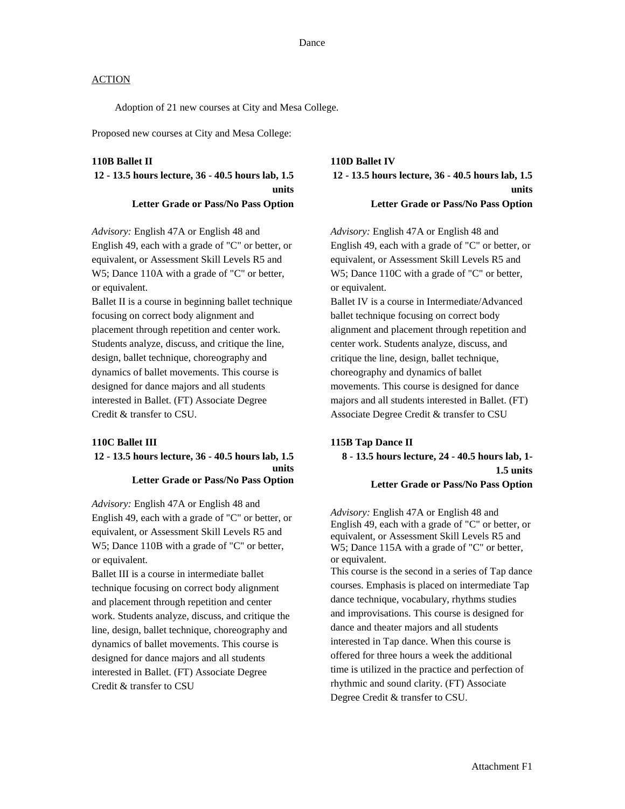Adoption of 21 new courses at City and Mesa College.

Proposed new courses at City and Mesa College:

#### **110B Ballet II**

**12 - 13.5 hours lecture, 36 - 40.5 hours lab, 1.5 units Letter Grade or Pass/No Pass Option**

*Advisory:* English 47A or English 48 and English 49, each with a grade of "C" or better, or equivalent, or Assessment Skill Levels R5 and W5; Dance 110A with a grade of "C" or better, or equivalent.

Ballet II is a course in beginning ballet technique focusing on correct body alignment and placement through repetition and center work. Students analyze, discuss, and critique the line, design, ballet technique, choreography and dynamics of ballet movements. This course is designed for dance majors and all students interested in Ballet. (FT) Associate Degree Credit & transfer to CSU.

#### **110C Ballet III**

#### **12 - 13.5 hours lecture, 36 - 40.5 hours lab, 1.5 units Letter Grade or Pass/No Pass Option**

*Advisory:* English 47A or English 48 and English 49, each with a grade of "C" or better, or equivalent, or Assessment Skill Levels R5 and W5; Dance 110B with a grade of "C" or better, or equivalent.

Ballet III is a course in intermediate ballet technique focusing on correct body alignment and placement through repetition and center work. Students analyze, discuss, and critique the line, design, ballet technique, choreography and dynamics of ballet movements. This course is designed for dance majors and all students interested in Ballet. (FT) Associate Degree Credit & transfer to CSU

**110D Ballet IV 12 - 13.5 hours lecture, 36 - 40.5 hours lab, 1.5 units Letter Grade or Pass/No Pass Option**

*Advisory:* English 47A or English 48 and English 49, each with a grade of "C" or better, or equivalent, or Assessment Skill Levels R5 and W5; Dance 110C with a grade of "C" or better, or equivalent.

Ballet IV is a course in Intermediate/Advanced ballet technique focusing on correct body alignment and placement through repetition and center work. Students analyze, discuss, and critique the line, design, ballet technique, choreography and dynamics of ballet movements. This course is designed for dance majors and all students interested in Ballet. (FT) Associate Degree Credit & transfer to CSU

# **115B Tap Dance II 8 - 13.5 hours lecture, 24 - 40.5 hours lab, 1- 1.5 units Letter Grade or Pass/No Pass Option**

*Advisory:* English 47A or English 48 and English 49, each with a grade of "C" or better, or equivalent, or Assessment Skill Levels R5 and W5; Dance 115A with a grade of "C" or better, or equivalent.

This course is the second in a series of Tap dance courses. Emphasis is placed on intermediate Tap dance technique, vocabulary, rhythms studies and improvisations. This course is designed for dance and theater majors and all students interested in Tap dance. When this course is offered for three hours a week the additional time is utilized in the practice and perfection of rhythmic and sound clarity. (FT) Associate Degree Credit & transfer to CSU.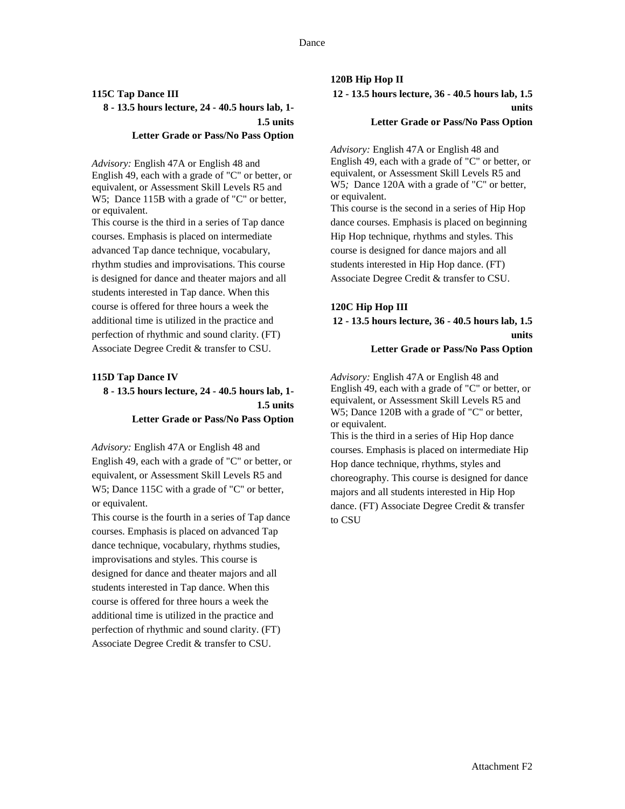# **115C Tap Dance III 8 - 13.5 hours lecture, 24 - 40.5 hours lab, 1- 1.5 units**

#### **Letter Grade or Pass/No Pass Option**

*Advisory:* English 47A or English 48 and English 49, each with a grade of "C" or better, or equivalent, or Assessment Skill Levels R5 and W5; Dance 115B with a grade of "C" or better, or equivalent.

This course is the third in a series of Tap dance courses. Emphasis is placed on intermediate advanced Tap dance technique, vocabulary, rhythm studies and improvisations. This course is designed for dance and theater majors and all students interested in Tap dance. When this course is offered for three hours a week the additional time is utilized in the practice and perfection of rhythmic and sound clarity. (FT) Associate Degree Credit & transfer to CSU.

#### **115D Tap Dance IV**

# **8 - 13.5 hours lecture, 24 - 40.5 hours lab, 1- 1.5 units Letter Grade or Pass/No Pass Option**

*Advisory:* English 47A or English 48 and English 49, each with a grade of "C" or better, or equivalent, or Assessment Skill Levels R5 and W5; Dance 115C with a grade of "C" or better, or equivalent.

This course is the fourth in a series of Tap dance courses. Emphasis is placed on advanced Tap dance technique, vocabulary, rhythms studies, improvisations and styles. This course is designed for dance and theater majors and all students interested in Tap dance. When this course is offered for three hours a week the additional time is utilized in the practice and perfection of rhythmic and sound clarity. (FT) Associate Degree Credit & transfer to CSU.

#### **120B Hip Hop II**

**12 - 13.5 hours lecture, 36 - 40.5 hours lab, 1.5 units** 

### **Letter Grade or Pass/No Pass Option**

*Advisory:* English 47A or English 48 and English 49, each with a grade of "C" or better, or equivalent, or Assessment Skill Levels R5 and W5*;* Dance 120A with a grade of "C" or better, or equivalent.

This course is the second in a series of Hip Hop dance courses. Emphasis is placed on beginning Hip Hop technique, rhythms and styles. This course is designed for dance majors and all students interested in Hip Hop dance. (FT) Associate Degree Credit & transfer to CSU.

# **120C Hip Hop III**

# **12 - 13.5 hours lecture, 36 - 40.5 hours lab, 1.5 units Letter Grade or Pass/No Pass Option**

*Advisory:* English 47A or English 48 and English 49, each with a grade of "C" or better, or equivalent, or Assessment Skill Levels R5 and W5; Dance 120B with a grade of "C" or better, or equivalent.

This is the third in a series of Hip Hop dance courses. Emphasis is placed on intermediate Hip Hop dance technique, rhythms, styles and choreography. This course is designed for dance majors and all students interested in Hip Hop dance. (FT) Associate Degree Credit & transfer to CSU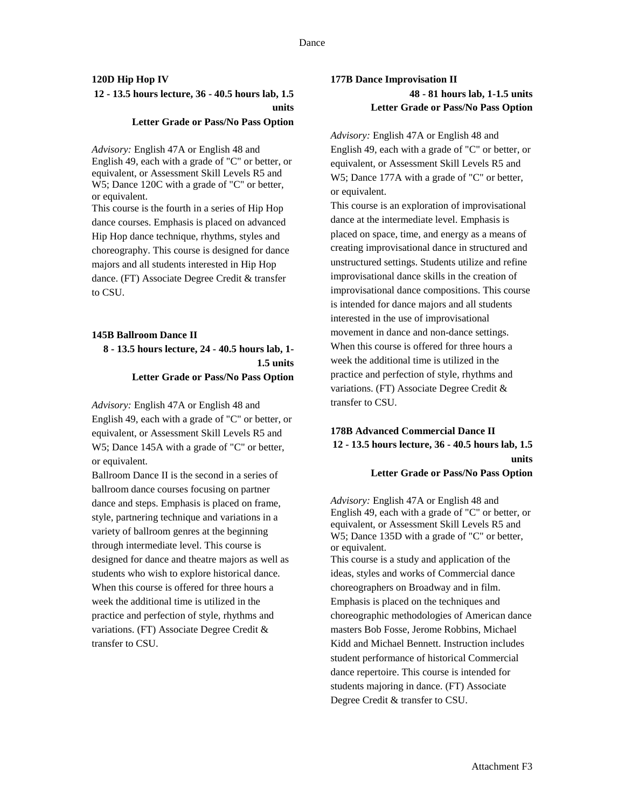# **120D Hip Hop IV 12 - 13.5 hours lecture, 36 - 40.5 hours lab, 1.5 units**

#### **Letter Grade or Pass/No Pass Option**

*Advisory:* English 47A or English 48 and English 49, each with a grade of "C" or better, or equivalent, or Assessment Skill Levels R5 and W5; Dance 120C with a grade of "C" or better, or equivalent.

This course is the fourth in a series of Hip Hop dance courses. Emphasis is placed on advanced Hip Hop dance technique, rhythms, styles and choreography. This course is designed for dance majors and all students interested in Hip Hop dance. (FT) Associate Degree Credit & transfer to CSU.

#### **145B Ballroom Dance II**

**8 - 13.5 hours lecture, 24 - 40.5 hours lab, 1- 1.5 units Letter Grade or Pass/No Pass Option**

*Advisory:* English 47A or English 48 and English 49, each with a grade of "C" or better, or equivalent, or Assessment Skill Levels R5 and W5; Dance 145A with a grade of "C" or better, or equivalent.

Ballroom Dance II is the second in a series of ballroom dance courses focusing on partner dance and steps. Emphasis is placed on frame, style, partnering technique and variations in a variety of ballroom genres at the beginning through intermediate level. This course is designed for dance and theatre majors as well as students who wish to explore historical dance. When this course is offered for three hours a week the additional time is utilized in the practice and perfection of style, rhythms and variations. (FT) Associate Degree Credit & transfer to CSU.

# **177B Dance Improvisation II 48 - 81 hours lab, 1-1.5 units Letter Grade or Pass/No Pass Option**

*Advisory:* English 47A or English 48 and English 49, each with a grade of "C" or better, or equivalent, or Assessment Skill Levels R5 and W5; Dance 177A with a grade of "C" or better, or equivalent.

This course is an exploration of improvisational dance at the intermediate level. Emphasis is placed on space, time, and energy as a means of creating improvisational dance in structured and unstructured settings. Students utilize and refine improvisational dance skills in the creation of improvisational dance compositions. This course is intended for dance majors and all students interested in the use of improvisational movement in dance and non-dance settings. When this course is offered for three hours a week the additional time is utilized in the practice and perfection of style, rhythms and variations. (FT) Associate Degree Credit & transfer to CSU.

# **178B Advanced Commercial Dance II 12 - 13.5 hours lecture, 36 - 40.5 hours lab, 1.5 units**

#### **Letter Grade or Pass/No Pass Option**

*Advisory:* English 47A or English 48 and English 49, each with a grade of "C" or better, or equivalent, or Assessment Skill Levels R5 and W5; Dance 135D with a grade of "C" or better, or equivalent.

This course is a study and application of the ideas, styles and works of Commercial dance choreographers on Broadway and in film. Emphasis is placed on the techniques and choreographic methodologies of American dance masters Bob Fosse, Jerome Robbins, Michael Kidd and Michael Bennett. Instruction includes student performance of historical Commercial dance repertoire. This course is intended for students majoring in dance. (FT) Associate Degree Credit & transfer to CSU.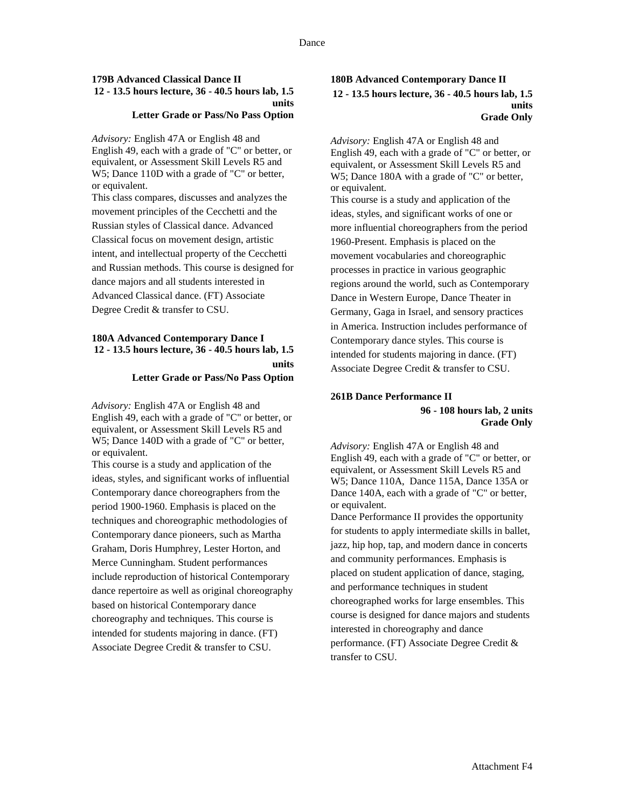#### **179B Advanced Classical Dance II 12 - 13.5 hours lecture, 36 - 40.5 hours lab, 1.5 units Letter Grade or Pass/No Pass Option**

*Advisory:* English 47A or English 48 and English 49, each with a grade of "C" or better, or equivalent, or Assessment Skill Levels R5 and W5; Dance 110D with a grade of "C" or better, or equivalent.

This class compares, discusses and analyzes the movement principles of the Cecchetti and the Russian styles of Classical dance. Advanced Classical focus on movement design, artistic intent, and intellectual property of the Cecchetti and Russian methods. This course is designed for dance majors and all students interested in Advanced Classical dance. (FT) Associate Degree Credit & transfer to CSU.

#### **180A Advanced Contemporary Dance I 12 - 13.5 hours lecture, 36 - 40.5 hours lab, 1.5 units**

#### **Letter Grade or Pass/No Pass Option**

*Advisory:* English 47A or English 48 and English 49, each with a grade of "C" or better, or equivalent, or Assessment Skill Levels R5 and W5; Dance 140D with a grade of "C" or better, or equivalent.

This course is a study and application of the ideas, styles, and significant works of influential Contemporary dance choreographers from the period 1900-1960. Emphasis is placed on the techniques and choreographic methodologies of Contemporary dance pioneers, such as Martha Graham, Doris Humphrey, Lester Horton, and Merce Cunningham. Student performances include reproduction of historical Contemporary dance repertoire as well as original choreography based on historical Contemporary dance choreography and techniques. This course is intended for students majoring in dance. (FT) Associate Degree Credit & transfer to CSU.

### **180B Advanced Contemporary Dance II 12 - 13.5 hours lecture, 36 - 40.5 hours lab, 1.5 units Grade Only**

*Advisory:* English 47A or English 48 and English 49, each with a grade of "C" or better, or equivalent, or Assessment Skill Levels R5 and W5; Dance 180A with a grade of "C" or better, or equivalent.

This course is a study and application of the ideas, styles, and significant works of one or more influential choreographers from the period 1960-Present. Emphasis is placed on the movement vocabularies and choreographic processes in practice in various geographic regions around the world, such as Contemporary Dance in Western Europe, Dance Theater in Germany, Gaga in Israel, and sensory practices in America. Instruction includes performance of Contemporary dance styles. This course is intended for students majoring in dance. (FT) Associate Degree Credit & transfer to CSU.

### **261B Dance Performance II 96 - 108 hours lab, 2 units Grade Only**

*Advisory:* English 47A or English 48 and English 49, each with a grade of "C" or better, or equivalent, or Assessment Skill Levels R5 and W5; Dance 110A, Dance 115A, Dance 135A or Dance 140A, each with a grade of "C" or better, or equivalent. Dance Performance II provides the opportunity

for students to apply intermediate skills in ballet, jazz, hip hop, tap, and modern dance in concerts and community performances. Emphasis is placed on student application of dance, staging, and performance techniques in student choreographed works for large ensembles. This course is designed for dance majors and students interested in choreography and dance performance. (FT) Associate Degree Credit & transfer to CSU.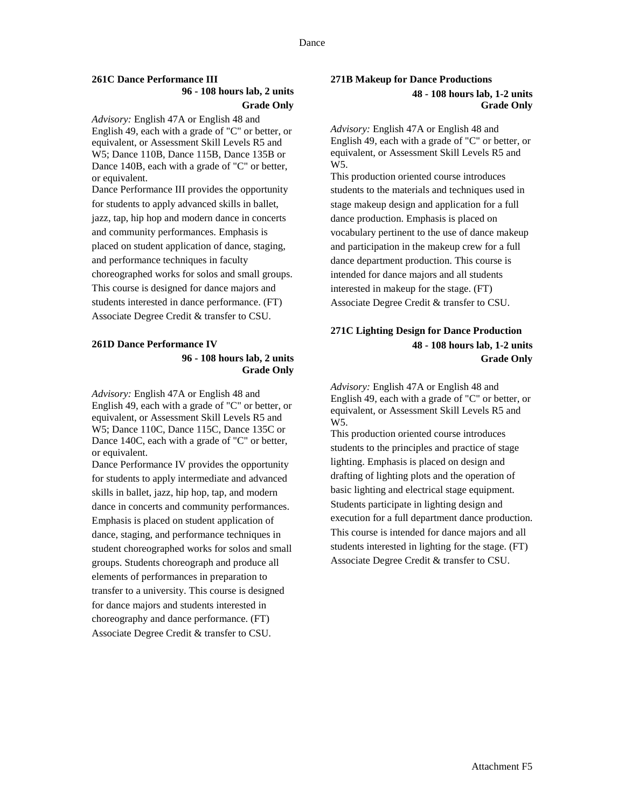# **261C Dance Performance III**

# **96 - 108 hours lab, 2 units Grade Only**

*Advisory:* English 47A or English 48 and English 49, each with a grade of "C" or better, or equivalent, or Assessment Skill Levels R5 and W5; Dance 110B, Dance 115B, Dance 135B or Dance 140B, each with a grade of "C" or better, or equivalent.

Dance Performance III provides the opportunity for students to apply advanced skills in ballet, jazz, tap, hip hop and modern dance in concerts and community performances. Emphasis is placed on student application of dance, staging, and performance techniques in faculty choreographed works for solos and small groups. This course is designed for dance majors and students interested in dance performance. (FT) Associate Degree Credit & transfer to CSU.

# **261D Dance Performance IV**

### **96 - 108 hours lab, 2 units Grade Only**

*Advisory:* English 47A or English 48 and English 49, each with a grade of "C" or better, or equivalent, or Assessment Skill Levels R5 and W5; Dance 110C, Dance 115C, Dance 135C or Dance 140C, each with a grade of "C" or better, or equivalent.

Dance Performance IV provides the opportunity for students to apply intermediate and advanced skills in ballet, jazz, hip hop, tap, and modern dance in concerts and community performances. Emphasis is placed on student application of dance, staging, and performance techniques in student choreographed works for solos and small groups. Students choreograph and produce all elements of performances in preparation to transfer to a university. This course is designed for dance majors and students interested in choreography and dance performance. (FT) Associate Degree Credit & transfer to CSU.

## **271B Makeup for Dance Productions 48 - 108 hours lab, 1-2 units Grade Only**

*Advisory:* English 47A or English 48 and English 49, each with a grade of "C" or better, or equivalent, or Assessment Skill Levels R5 and W5.

This production oriented course introduces students to the materials and techniques used in stage makeup design and application for a full dance production. Emphasis is placed on vocabulary pertinent to the use of dance makeup and participation in the makeup crew for a full dance department production. This course is intended for dance majors and all students interested in makeup for the stage. (FT) Associate Degree Credit & transfer to CSU.

# **271C Lighting Design for Dance Production 48 - 108 hours lab, 1-2 units Grade Only**

*Advisory:* English 47A or English 48 and English 49, each with a grade of "C" or better, or equivalent, or Assessment Skill Levels R5 and W5.

This production oriented course introduces students to the principles and practice of stage lighting. Emphasis is placed on design and drafting of lighting plots and the operation of basic lighting and electrical stage equipment. Students participate in lighting design and execution for a full department dance production. This course is intended for dance majors and all students interested in lighting for the stage. (FT) Associate Degree Credit & transfer to CSU.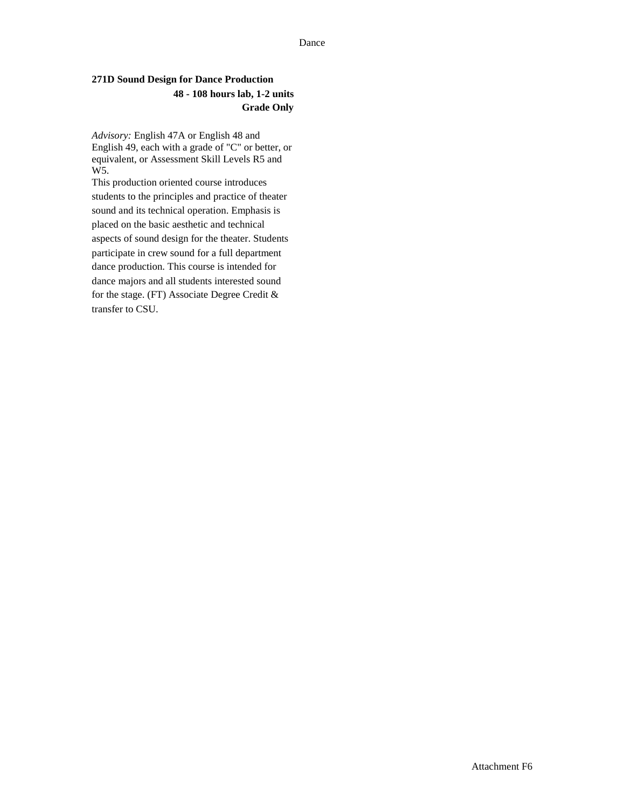#### Dance

# **271D Sound Design for Dance Production 48 - 108 hours lab, 1-2 units Grade Only**

*Advisory:* English 47A or English 48 and English 49, each with a grade of "C" or better, or equivalent, or Assessment Skill Levels R5 and W5.

This production oriented course introduces students to the principles and practice of theater sound and its technical operation. Emphasis is placed on the basic aesthetic and technical aspects of sound design for the theater. Students participate in crew sound for a full department dance production. This course is intended for dance majors and all students interested sound for the stage. (FT) Associate Degree Credit & transfer to CSU.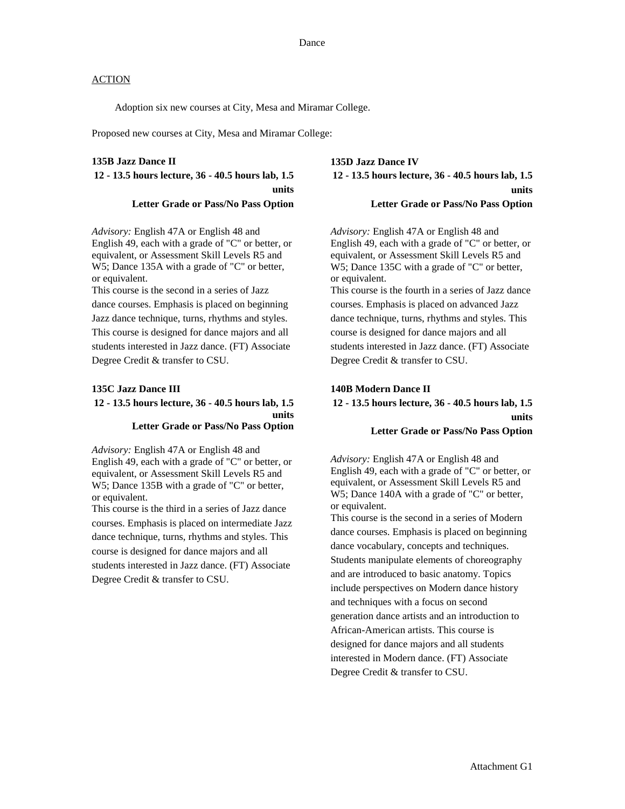Adoption six new courses at City, Mesa and Miramar College.

Proposed new courses at City, Mesa and Miramar College:

#### **135B Jazz Dance II**

# **12 - 13.5 hours lecture, 36 - 40.5 hours lab, 1.5 units Letter Grade or Pass/No Pass Option**

*Advisory:* English 47A or English 48 and English 49, each with a grade of "C" or better, or equivalent, or Assessment Skill Levels R5 and W5; Dance 135A with a grade of "C" or better, or equivalent.

This course is the second in a series of Jazz dance courses. Emphasis is placed on beginning Jazz dance technique, turns, rhythms and styles. This course is designed for dance majors and all students interested in Jazz dance. (FT) Associate Degree Credit & transfer to CSU.

#### **135C Jazz Dance III**

### **12 - 13.5 hours lecture, 36 - 40.5 hours lab, 1.5 units Letter Grade or Pass/No Pass Option**

*Advisory:* English 47A or English 48 and English 49, each with a grade of "C" or better, or equivalent, or Assessment Skill Levels R5 and W5; Dance 135B with a grade of "C" or better, or equivalent.

This course is the third in a series of Jazz dance courses. Emphasis is placed on intermediate Jazz dance technique, turns, rhythms and styles. This course is designed for dance majors and all students interested in Jazz dance. (FT) Associate Degree Credit & transfer to CSU.

**135D Jazz Dance IV 12 - 13.5 hours lecture, 36 - 40.5 hours lab, 1.5 units Letter Grade or Pass/No Pass Option**

*Advisory:* English 47A or English 48 and English 49, each with a grade of "C" or better, or equivalent, or Assessment Skill Levels R5 and W5; Dance 135C with a grade of "C" or better, or equivalent.

This course is the fourth in a series of Jazz dance courses. Emphasis is placed on advanced Jazz dance technique, turns, rhythms and styles. This course is designed for dance majors and all students interested in Jazz dance. (FT) Associate Degree Credit & transfer to CSU.

#### **140B Modern Dance II**

# **12 - 13.5 hours lecture, 36 - 40.5 hours lab, 1.5 units Letter Grade or Pass/No Pass Option**

*Advisory:* English 47A or English 48 and English 49, each with a grade of "C" or better, or equivalent, or Assessment Skill Levels R5 and W5; Dance 140A with a grade of "C" or better, or equivalent.

This course is the second in a series of Modern dance courses. Emphasis is placed on beginning dance vocabulary, concepts and techniques. Students manipulate elements of choreography and are introduced to basic anatomy. Topics include perspectives on Modern dance history and techniques with a focus on second generation dance artists and an introduction to African-American artists. This course is designed for dance majors and all students interested in Modern dance. (FT) Associate Degree Credit & transfer to CSU.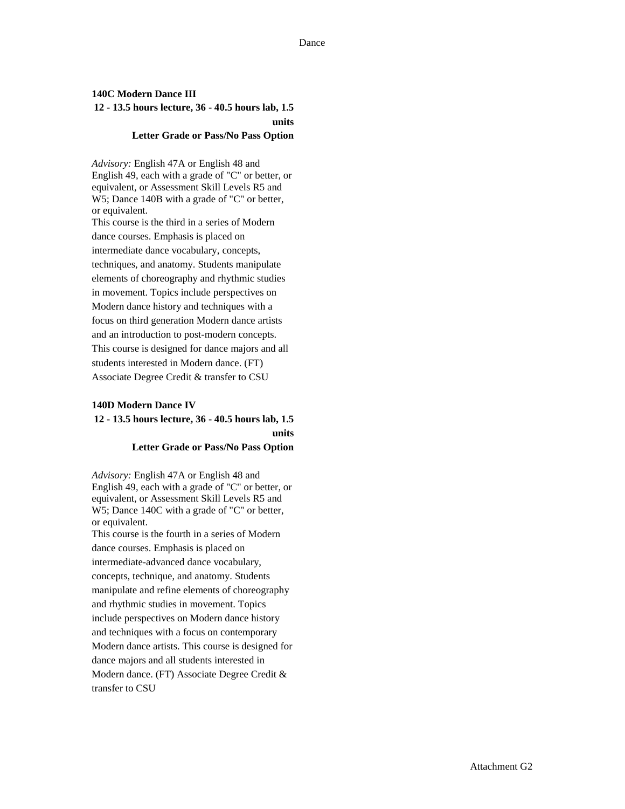# **140C Modern Dance III 12 - 13.5 hours lecture, 36 - 40.5 hours lab, 1.5 units**

#### **Letter Grade or Pass/No Pass Option**

*Advisory:* English 47A or English 48 and English 49, each with a grade of "C" or better, or equivalent, or Assessment Skill Levels R5 and W5; Dance 140B with a grade of "C" or better, or equivalent.

This course is the third in a series of Modern dance courses. Emphasis is placed on intermediate dance vocabulary, concepts, techniques, and anatomy. Students manipulate elements of choreography and rhythmic studies in movement. Topics include perspectives on Modern dance history and techniques with a focus on third generation Modern dance artists and an introduction to post-modern concepts. This course is designed for dance majors and all students interested in Modern dance. (FT) Associate Degree Credit & transfer to CSU

#### **140D Modern Dance IV**

# **12 - 13.5 hours lecture, 36 - 40.5 hours lab, 1.5 units Letter Grade or Pass/No Pass Option**

*Advisory:* English 47A or English 48 and English 49, each with a grade of "C" or better, or equivalent, or Assessment Skill Levels R5 and W5; Dance 140C with a grade of "C" or better, or equivalent.

This course is the fourth in a series of Modern dance courses. Emphasis is placed on intermediate-advanced dance vocabulary, concepts, technique, and anatomy. Students manipulate and refine elements of choreography and rhythmic studies in movement. Topics include perspectives on Modern dance history and techniques with a focus on contemporary Modern dance artists. This course is designed for dance majors and all students interested in Modern dance. (FT) Associate Degree Credit & transfer to CSU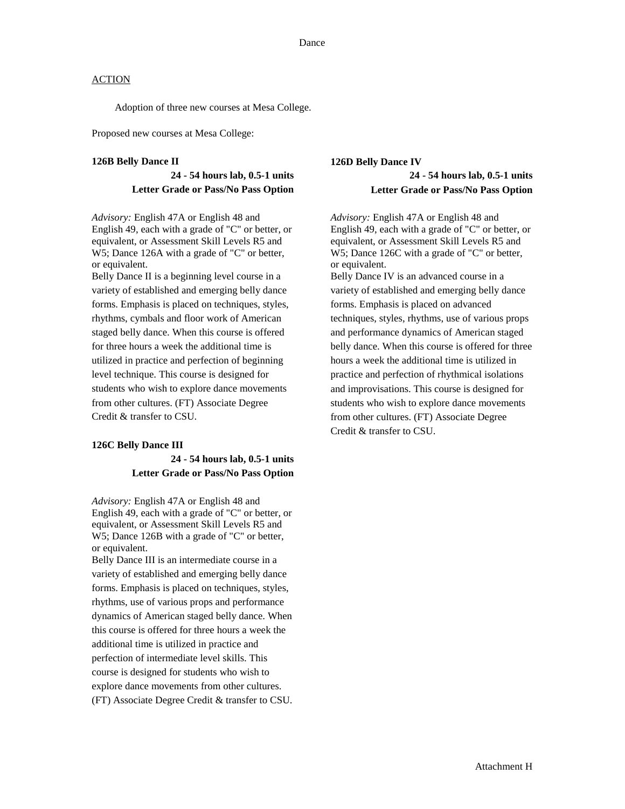Adoption of three new courses at Mesa College.

Proposed new courses at Mesa College:

#### **126B Belly Dance II**

### **24 - 54 hours lab, 0.5-1 units Letter Grade or Pass/No Pass Option**

*Advisory:* English 47A or English 48 and English 49, each with a grade of "C" or better, or equivalent, or Assessment Skill Levels R5 and W5; Dance 126A with a grade of "C" or better, or equivalent.

Belly Dance II is a beginning level course in a variety of established and emerging belly dance forms. Emphasis is placed on techniques, styles, rhythms, cymbals and floor work of American staged belly dance. When this course is offered for three hours a week the additional time is utilized in practice and perfection of beginning level technique. This course is designed for students who wish to explore dance movements from other cultures. (FT) Associate Degree Credit & transfer to CSU.

#### **126C Belly Dance III**

# **24 - 54 hours lab, 0.5-1 units Letter Grade or Pass/No Pass Option**

*Advisory:* English 47A or English 48 and English 49, each with a grade of "C" or better, or equivalent, or Assessment Skill Levels R5 and W5; Dance 126B with a grade of "C" or better, or equivalent.

Belly Dance III is an intermediate course in a variety of established and emerging belly dance forms. Emphasis is placed on techniques, styles, rhythms, use of various props and performance dynamics of American staged belly dance. When this course is offered for three hours a week the additional time is utilized in practice and perfection of intermediate level skills. This course is designed for students who wish to explore dance movements from other cultures. (FT) Associate Degree Credit & transfer to CSU.

# **126D Belly Dance IV 24 - 54 hours lab, 0.5-1 units Letter Grade or Pass/No Pass Option**

*Advisory:* English 47A or English 48 and English 49, each with a grade of "C" or better, or equivalent, or Assessment Skill Levels R5 and W5; Dance 126C with a grade of "C" or better, or equivalent. Belly Dance IV is an advanced course in a variety of established and emerging belly dance forms. Emphasis is placed on advanced techniques, styles, rhythms, use of various props and performance dynamics of American staged belly dance. When this course is offered for three hours a week the additional time is utilized in practice and perfection of rhythmical isolations and improvisations. This course is designed for students who wish to explore dance movements from other cultures. (FT) Associate Degree Credit & transfer to CSU.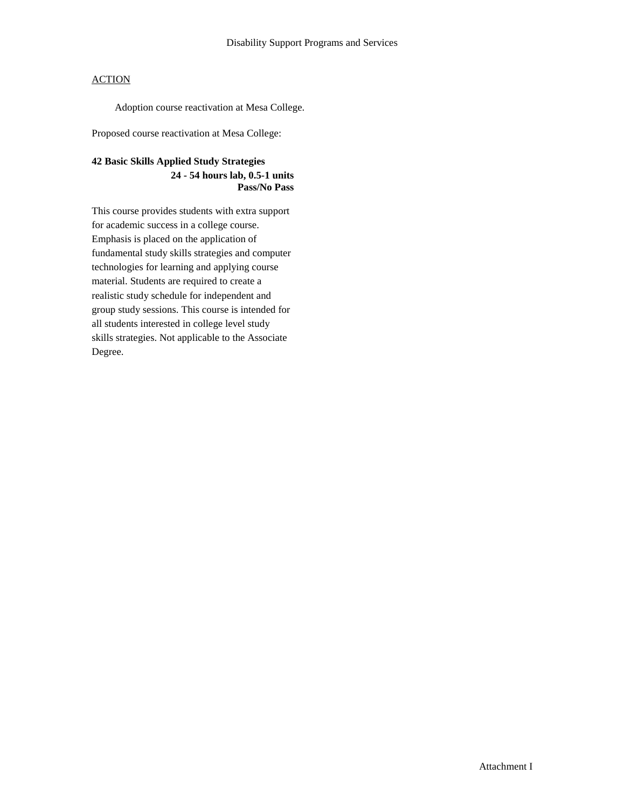Adoption course reactivation at Mesa College.

Proposed course reactivation at Mesa College:

# **42 Basic Skills Applied Study Strategies 24 - 54 hours lab, 0.5-1 units Pass/No Pass**

This course provides students with extra support for academic success in a college course. Emphasis is placed on the application of fundamental study skills strategies and computer technologies for learning and applying course material. Students are required to create a realistic study schedule for independent and group study sessions. This course is intended for all students interested in college level study skills strategies. Not applicable to the Associate Degree.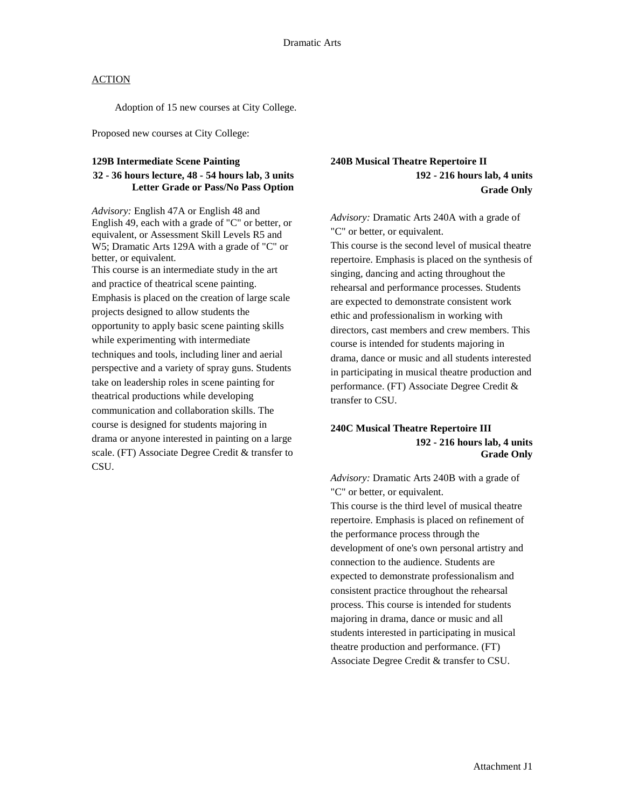Adoption of 15 new courses at City College.

Proposed new courses at City College:

#### **129B Intermediate Scene Painting**

### **32 - 36 hours lecture, 48 - 54 hours lab, 3 units Letter Grade or Pass/No Pass Option**

*Advisory:* English 47A or English 48 and English 49, each with a grade of "C" or better, or equivalent, or Assessment Skill Levels R5 and W5; Dramatic Arts 129A with a grade of "C" or better, or equivalent. This course is an intermediate study in the art and practice of theatrical scene painting. Emphasis is placed on the creation of large scale projects designed to allow students the opportunity to apply basic scene painting skills while experimenting with intermediate techniques and tools, including liner and aerial perspective and a variety of spray guns. Students take on leadership roles in scene painting for theatrical productions while developing

communication and collaboration skills. The course is designed for students majoring in drama or anyone interested in painting on a large scale. (FT) Associate Degree Credit & transfer to CSU.

# **240B Musical Theatre Repertoire II 192 - 216 hours lab, 4 units Grade Only**

*Advisory:* Dramatic Arts 240A with a grade of "C" or better, or equivalent.

This course is the second level of musical theatre repertoire. Emphasis is placed on the synthesis of singing, dancing and acting throughout the rehearsal and performance processes. Students are expected to demonstrate consistent work ethic and professionalism in working with directors, cast members and crew members. This course is intended for students majoring in drama, dance or music and all students interested in participating in musical theatre production and performance. (FT) Associate Degree Credit & transfer to CSU.

### **240C Musical Theatre Repertoire III 192 - 216 hours lab, 4 units Grade Only**

*Advisory:* Dramatic Arts 240B with a grade of "C" or better, or equivalent. This course is the third level of musical theatre repertoire. Emphasis is placed on refinement of the performance process through the development of one's own personal artistry and connection to the audience. Students are expected to demonstrate professionalism and consistent practice throughout the rehearsal process. This course is intended for students majoring in drama, dance or music and all students interested in participating in musical theatre production and performance. (FT) Associate Degree Credit & transfer to CSU.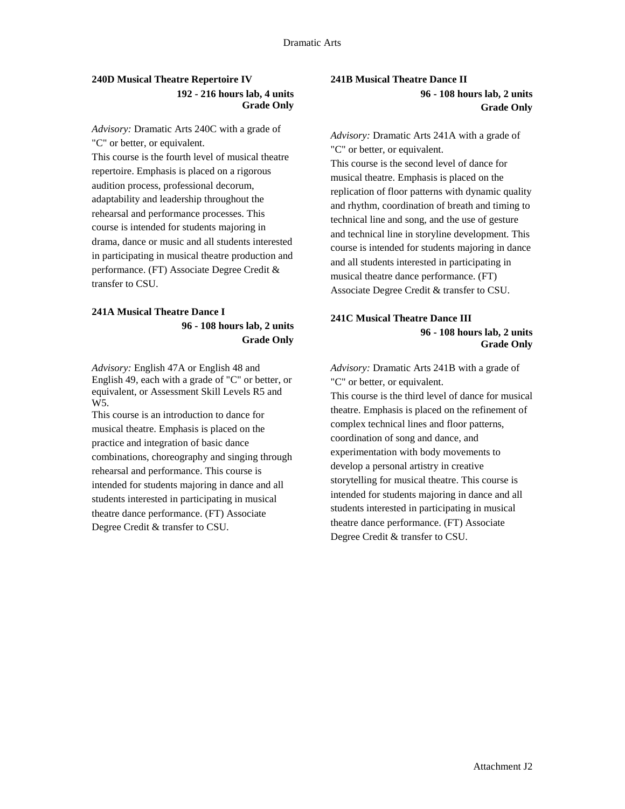# **240D Musical Theatre Repertoire IV 192 - 216 hours lab, 4 units Grade Only**

*Advisory:* Dramatic Arts 240C with a grade of "C" or better, or equivalent.

This course is the fourth level of musical theatre repertoire. Emphasis is placed on a rigorous audition process, professional decorum, adaptability and leadership throughout the rehearsal and performance processes. This course is intended for students majoring in drama, dance or music and all students interested in participating in musical theatre production and performance. (FT) Associate Degree Credit & transfer to CSU.

# **241A Musical Theatre Dance I 96 - 108 hours lab, 2 units Grade Only**

*Advisory:* English 47A or English 48 and English 49, each with a grade of "C" or better, or equivalent, or Assessment Skill Levels R5 and W<sub>5</sub>.

This course is an introduction to dance for musical theatre. Emphasis is placed on the practice and integration of basic dance combinations, choreography and singing through rehearsal and performance. This course is intended for students majoring in dance and all students interested in participating in musical theatre dance performance. (FT) Associate Degree Credit & transfer to CSU.

# **241B Musical Theatre Dance II 96 - 108 hours lab, 2 units Grade Only**

*Advisory:* Dramatic Arts 241A with a grade of "C" or better, or equivalent. This course is the second level of dance for musical theatre. Emphasis is placed on the replication of floor patterns with dynamic quality and rhythm, coordination of breath and timing to technical line and song, and the use of gesture and technical line in storyline development. This course is intended for students majoring in dance and all students interested in participating in

musical theatre dance performance. (FT) Associate Degree Credit & transfer to CSU.

# **241C Musical Theatre Dance III 96 - 108 hours lab, 2 units Grade Only**

*Advisory:* Dramatic Arts 241B with a grade of "C" or better, or equivalent.

This course is the third level of dance for musical theatre. Emphasis is placed on the refinement of complex technical lines and floor patterns, coordination of song and dance, and experimentation with body movements to develop a personal artistry in creative storytelling for musical theatre. This course is intended for students majoring in dance and all students interested in participating in musical theatre dance performance. (FT) Associate Degree Credit & transfer to CSU.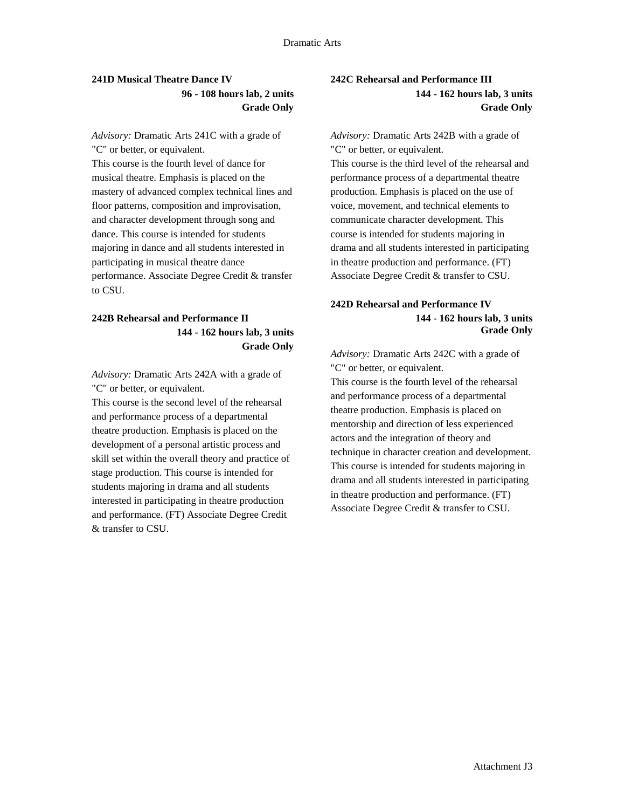# **241D Musical Theatre Dance IV 96 - 108 hours lab, 2 units Grade Only**

*Advisory:* Dramatic Arts 241C with a grade of "C" or better, or equivalent. This course is the fourth level of dance for musical theatre. Emphasis is placed on the mastery of advanced complex technical lines and floor patterns, composition and improvisation, and character development through song and dance. This course is intended for students majoring in dance and all students interested in participating in musical theatre dance performance. Associate Degree Credit & transfer to CSU.

# **242B Rehearsal and Performance II 144 - 162 hours lab, 3 units Grade Only**

*Advisory:* Dramatic Arts 242A with a grade of "C" or better, or equivalent.

This course is the second level of the rehearsal and performance process of a departmental theatre production. Emphasis is placed on the development of a personal artistic process and skill set within the overall theory and practice of stage production. This course is intended for students majoring in drama and all students interested in participating in theatre production and performance. (FT) Associate Degree Credit & transfer to CSU.

# **242C Rehearsal and Performance III 144 - 162 hours lab, 3 units Grade Only**

*Advisory:* Dramatic Arts 242B with a grade of "C" or better, or equivalent. This course is the third level of the rehearsal and performance process of a departmental theatre production. Emphasis is placed on the use of voice, movement, and technical elements to communicate character development. This course is intended for students majoring in drama and all students interested in participating in theatre production and performance. (FT) Associate Degree Credit & transfer to CSU.

### **242D Rehearsal and Performance IV 144 - 162 hours lab, 3 units Grade Only**

*Advisory:* Dramatic Arts 242C with a grade of "C" or better, or equivalent. This course is the fourth level of the rehearsal and performance process of a departmental theatre production. Emphasis is placed on mentorship and direction of less experienced actors and the integration of theory and technique in character creation and development. This course is intended for students majoring in drama and all students interested in participating in theatre production and performance. (FT) Associate Degree Credit & transfer to CSU.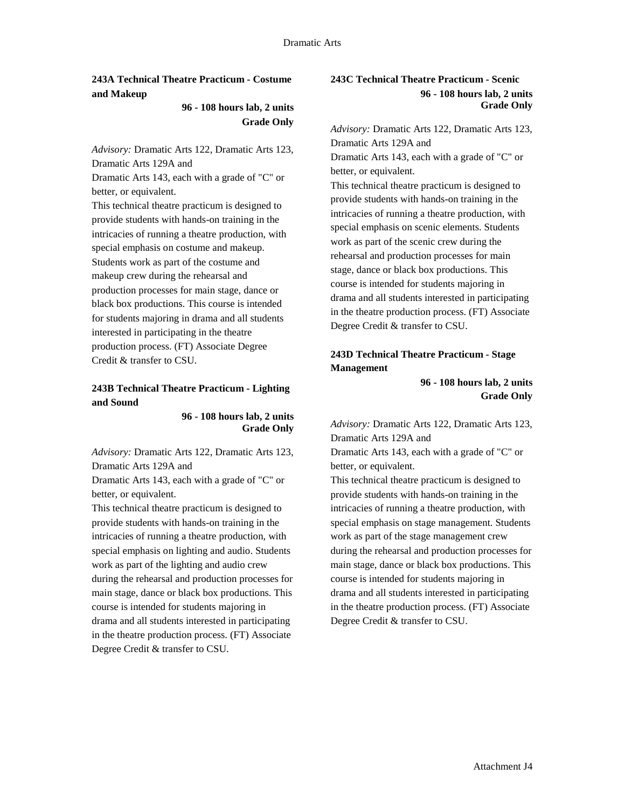**243A Technical Theatre Practicum - Costume and Makeup**

> **96 - 108 hours lab, 2 units Grade Only**

*Advisory:* Dramatic Arts 122, Dramatic Arts 123, Dramatic Arts 129A and

Dramatic Arts 143, each with a grade of "C" or better, or equivalent.

This technical theatre practicum is designed to provide students with hands-on training in the intricacies of running a theatre production, with special emphasis on costume and makeup. Students work as part of the costume and makeup crew during the rehearsal and production processes for main stage, dance or black box productions. This course is intended for students majoring in drama and all students interested in participating in the theatre production process. (FT) Associate Degree Credit & transfer to CSU.

# **243B Technical Theatre Practicum - Lighting and Sound**

**96 - 108 hours lab, 2 units Grade Only** 

*Advisory:* Dramatic Arts 122, Dramatic Arts 123, Dramatic Arts 129A and

Dramatic Arts 143, each with a grade of "C" or better, or equivalent.

This technical theatre practicum is designed to provide students with hands-on training in the intricacies of running a theatre production, with special emphasis on lighting and audio. Students work as part of the lighting and audio crew during the rehearsal and production processes for main stage, dance or black box productions. This course is intended for students majoring in drama and all students interested in participating in the theatre production process. (FT) Associate Degree Credit & transfer to CSU.

# **243C Technical Theatre Practicum - Scenic 96 - 108 hours lab, 2 units Grade Only**

*Advisory:* Dramatic Arts 122, Dramatic Arts 123, Dramatic Arts 129A and Dramatic Arts 143, each with a grade of "C" or better, or equivalent. This technical theatre practicum is designed to provide students with hands-on training in the intricacies of running a theatre production, with special emphasis on scenic elements. Students work as part of the scenic crew during the rehearsal and production processes for main stage, dance or black box productions. This course is intended for students majoring in drama and all students interested in participating in the theatre production process. (FT) Associate Degree Credit & transfer to CSU.

# **243D Technical Theatre Practicum - Stage Management**

**96 - 108 hours lab, 2 units Grade Only**

*Advisory:* Dramatic Arts 122, Dramatic Arts 123, Dramatic Arts 129A and

Dramatic Arts 143, each with a grade of "C" or better, or equivalent.

This technical theatre practicum is designed to provide students with hands-on training in the intricacies of running a theatre production, with special emphasis on stage management. Students work as part of the stage management crew during the rehearsal and production processes for main stage, dance or black box productions. This course is intended for students majoring in drama and all students interested in participating in the theatre production process. (FT) Associate Degree Credit & transfer to CSU.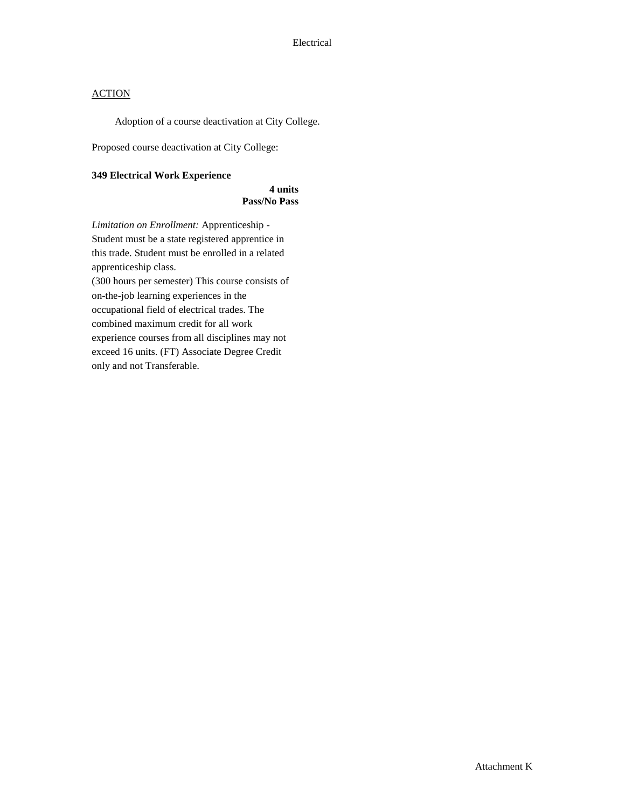Adoption of a course deactivation at City College.

Proposed course deactivation at City College:

#### **349 Electrical Work Experience**

**4 units Pass/No Pass** 

*Limitation on Enrollment:* Apprenticeship - Student must be a state registered apprentice in this trade. Student must be enrolled in a related apprenticeship class. (300 hours per semester) This course consists of on-the-job learning experiences in the occupational field of electrical trades. The combined maximum credit for all work experience courses from all disciplines may not exceed 16 units. (FT) Associate Degree Credit only and not Transferable.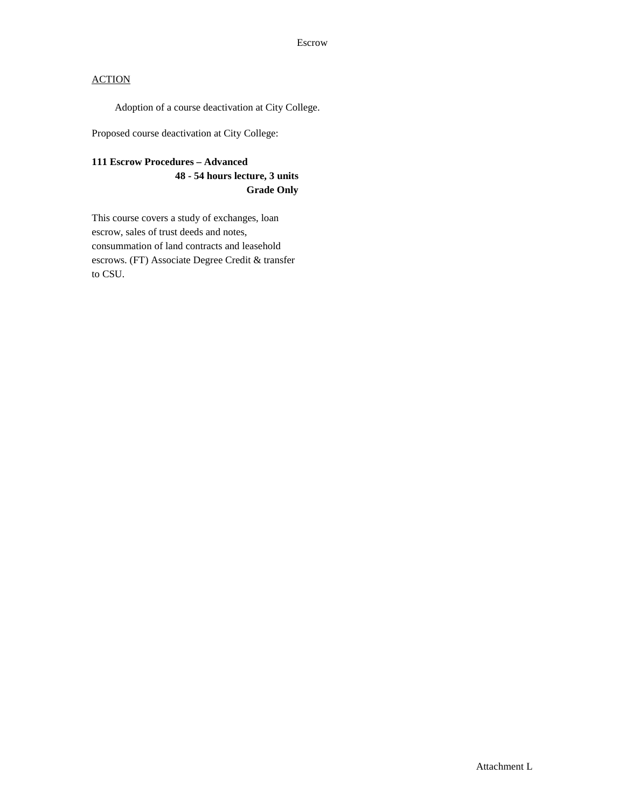Adoption of a course deactivation at City College.

Proposed course deactivation at City College:

# **111 Escrow Procedures – Advanced 48 - 54 hours lecture, 3 units Grade Only**

This course covers a study of exchanges, loan escrow, sales of trust deeds and notes, consummation of land contracts and leasehold escrows. (FT) Associate Degree Credit & transfer to CSU.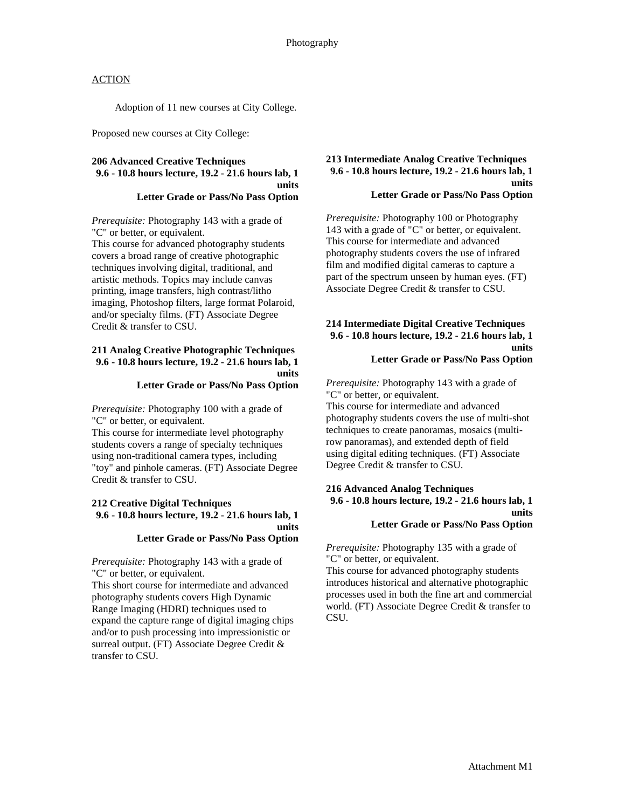Adoption of 11 new courses at City College.

Proposed new courses at City College:

### **206 Advanced Creative Techniques 9.6 - 10.8 hours lecture, 19.2 - 21.6 hours lab, 1 units Letter Grade or Pass/No Pass Option**

*Prerequisite:* Photography 143 with a grade of "C" or better, or equivalent.

This course for advanced photography students covers a broad range of creative photographic techniques involving digital, traditional, and artistic methods. Topics may include canvas printing, image transfers, high contrast/litho imaging, Photoshop filters, large format Polaroid, and/or specialty films. (FT) Associate Degree Credit & transfer to CSU.

#### **211 Analog Creative Photographic Techniques 9.6 - 10.8 hours lecture, 19.2 - 21.6 hours lab, 1 units Letter Grade or Pass/No Pass Option**

*Prerequisite:* Photography 100 with a grade of "C" or better, or equivalent.

This course for intermediate level photography students covers a range of specialty techniques using non-traditional camera types, including "toy" and pinhole cameras. (FT) Associate Degree Credit & transfer to CSU.

#### **212 Creative Digital Techniques 9.6 - 10.8 hours lecture, 19.2 - 21.6 hours lab, 1 units Letter Grade or Pass/No Pass Option**

*Prerequisite:* Photography 143 with a grade of "C" or better, or equivalent.

This short course for intermediate and advanced photography students covers High Dynamic Range Imaging (HDRI) techniques used to expand the capture range of digital imaging chips and/or to push processing into impressionistic or surreal output. (FT) Associate Degree Credit & transfer to CSU.

#### **213 Intermediate Analog Creative Techniques 9.6 - 10.8 hours lecture, 19.2 - 21.6 hours lab, 1 units Letter Grade or Pass/No Pass Option**

*Prerequisite:* Photography 100 or Photography 143 with a grade of "C" or better, or equivalent. This course for intermediate and advanced photography students covers the use of infrared film and modified digital cameras to capture a part of the spectrum unseen by human eyes. (FT) Associate Degree Credit & transfer to CSU.

#### **214 Intermediate Digital Creative Techniques 9.6 - 10.8 hours lecture, 19.2 - 21.6 hours lab, 1 units Letter Grade or Pass/No Pass Option**

*Prerequisite:* Photography 143 with a grade of "C" or better, or equivalent.

This course for intermediate and advanced photography students covers the use of multi-shot techniques to create panoramas, mosaics (multirow panoramas), and extended depth of field using digital editing techniques. (FT) Associate Degree Credit & transfer to CSU.

#### **216 Advanced Analog Techniques 9.6 - 10.8 hours lecture, 19.2 - 21.6 hours lab, 1 units**

#### **Letter Grade or Pass/No Pass Option**

*Prerequisite:* Photography 135 with a grade of "C" or better, or equivalent.

This course for advanced photography students introduces historical and alternative photographic processes used in both the fine art and commercial world. (FT) Associate Degree Credit & transfer to CSU.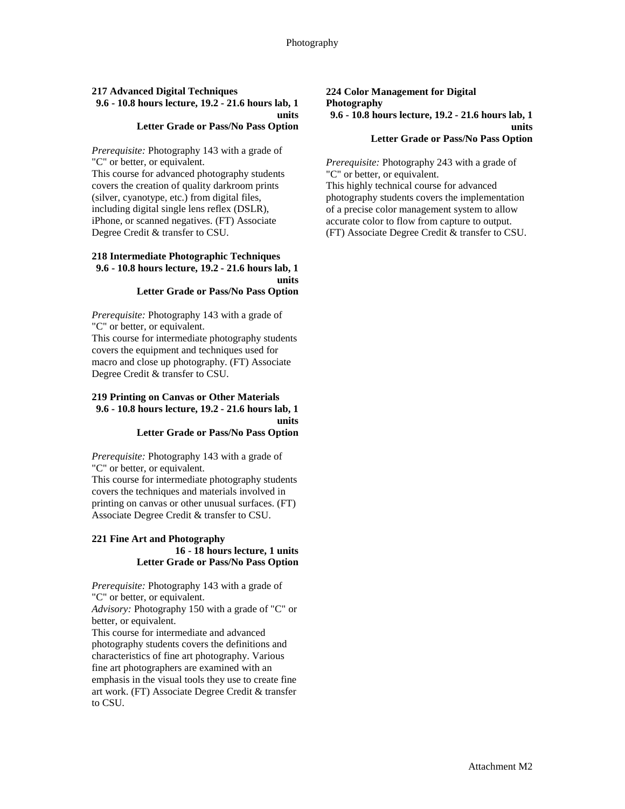# **217 Advanced Digital Techniques 9.6 - 10.8 hours lecture, 19.2 - 21.6 hours lab, 1 units**

# **Letter Grade or Pass/No Pass Option**

*Prerequisite:* Photography 143 with a grade of "C" or better, or equivalent.

This course for advanced photography students covers the creation of quality darkroom prints (silver, cyanotype, etc.) from digital files, including digital single lens reflex (DSLR), iPhone, or scanned negatives. (FT) Associate Degree Credit & transfer to CSU.

### **218 Intermediate Photographic Techniques 9.6 - 10.8 hours lecture, 19.2 - 21.6 hours lab, 1 units**

### **Letter Grade or Pass/No Pass Option**

*Prerequisite:* Photography 143 with a grade of "C" or better, or equivalent. This course for intermediate photography students covers the equipment and techniques used for

macro and close up photography. (FT) Associate Degree Credit & transfer to CSU.

#### **219 Printing on Canvas or Other Materials 9.6 - 10.8 hours lecture, 19.2 - 21.6 hours lab, 1 units Letter Grade or Pass/No Pass Option**

*Prerequisite:* Photography 143 with a grade of "C" or better, or equivalent.

This course for intermediate photography students covers the techniques and materials involved in printing on canvas or other unusual surfaces. (FT) Associate Degree Credit & transfer to CSU.

### **221 Fine Art and Photography 16 - 18 hours lecture, 1 units Letter Grade or Pass/No Pass Option**

*Prerequisite:* Photography 143 with a grade of "C" or better, or equivalent.

*Advisory:* Photography 150 with a grade of "C" or better, or equivalent.

This course for intermediate and advanced photography students covers the definitions and characteristics of fine art photography. Various fine art photographers are examined with an emphasis in the visual tools they use to create fine art work. (FT) Associate Degree Credit & transfer to CSU.

# **224 Color Management for Digital Photography 9.6 - 10.8 hours lecture, 19.2 - 21.6 hours lab, 1 units**

### **Letter Grade or Pass/No Pass Option**

*Prerequisite:* Photography 243 with a grade of "C" or better, or equivalent. This highly technical course for advanced photography students covers the implementation of a precise color management system to allow accurate color to flow from capture to output. (FT) Associate Degree Credit & transfer to CSU.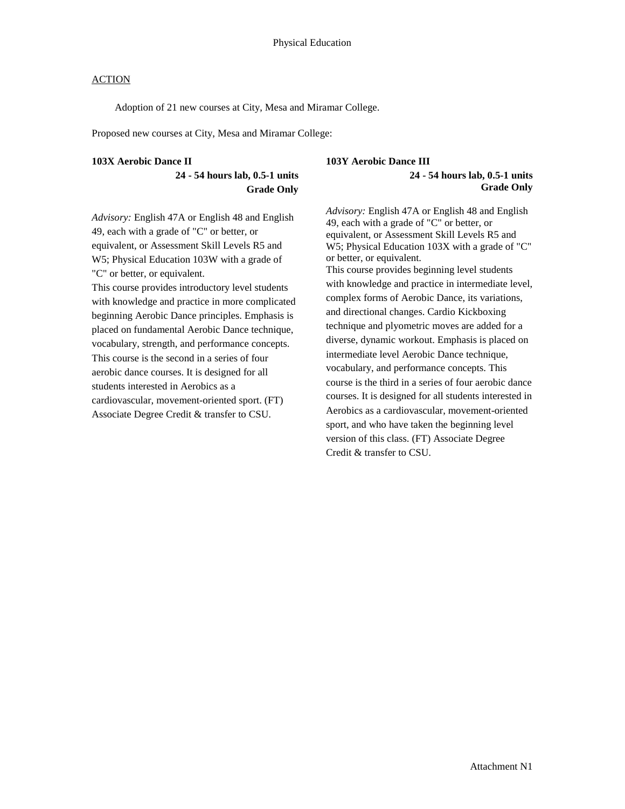Adoption of 21 new courses at City, Mesa and Miramar College.

Proposed new courses at City, Mesa and Miramar College:

#### **103X Aerobic Dance II**

# **24 - 54 hours lab, 0.5-1 units Grade Only**

*Advisory:* English 47A or English 48 and English 49, each with a grade of "C" or better, or equivalent, or Assessment Skill Levels R5 and W5; Physical Education 103W with a grade of "C" or better, or equivalent.

This course provides introductory level students with knowledge and practice in more complicated beginning Aerobic Dance principles. Emphasis is placed on fundamental Aerobic Dance technique, vocabulary, strength, and performance concepts. This course is the second in a series of four aerobic dance courses. It is designed for all students interested in Aerobics as a cardiovascular, movement-oriented sport. (FT) Associate Degree Credit & transfer to CSU.

#### **103Y Aerobic Dance III**

#### **24 - 54 hours lab, 0.5-1 units Grade Only**

*Advisory:* English 47A or English 48 and English 49, each with a grade of "C" or better, or equivalent, or Assessment Skill Levels R5 and W5; Physical Education 103X with a grade of "C" or better, or equivalent. This course provides beginning level students with knowledge and practice in intermediate level, complex forms of Aerobic Dance, its variations, and directional changes. Cardio Kickboxing technique and plyometric moves are added for a diverse, dynamic workout. Emphasis is placed on intermediate level Aerobic Dance technique, vocabulary, and performance concepts. This course is the third in a series of four aerobic dance courses. It is designed for all students interested in Aerobics as a cardiovascular, movement-oriented sport, and who have taken the beginning level version of this class. (FT) Associate Degree Credit & transfer to CSU.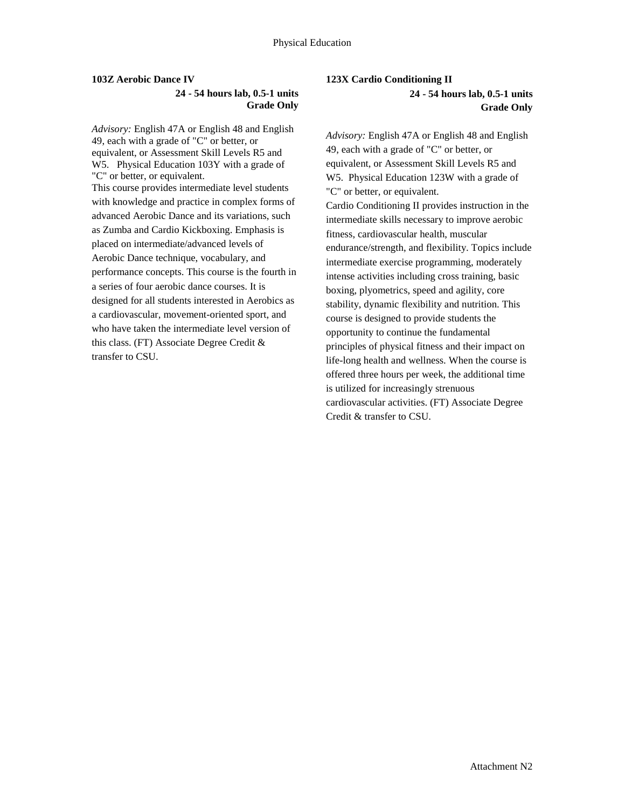#### **103Z Aerobic Dance IV**

# **24 - 54 hours lab, 0.5-1 units Grade Only**

*Advisory:* English 47A or English 48 and English 49, each with a grade of "C" or better, or equivalent, or Assessment Skill Levels R5 and W5.Physical Education 103Y with a grade of "C" or better, or equivalent. This course provides intermediate level students with knowledge and practice in complex forms of advanced Aerobic Dance and its variations, such as Zumba and Cardio Kickboxing. Emphasis is placed on intermediate/advanced levels of Aerobic Dance technique, vocabulary, and performance concepts. This course is the fourth in a series of four aerobic dance courses. It is designed for all students interested in Aerobics as a cardiovascular, movement-oriented sport, and who have taken the intermediate level version of this class. (FT) Associate Degree Credit & transfer to CSU.

# **123X Cardio Conditioning II 24 - 54 hours lab, 0.5-1 units Grade Only**

*Advisory:* English 47A or English 48 and English 49, each with a grade of "C" or better, or equivalent, or Assessment Skill Levels R5 and W5. Physical Education 123W with a grade of "C" or better, or equivalent. Cardio Conditioning II provides instruction in the intermediate skills necessary to improve aerobic fitness, cardiovascular health, muscular endurance/strength, and flexibility. Topics include intermediate exercise programming, moderately intense activities including cross training, basic boxing, plyometrics, speed and agility, core stability, dynamic flexibility and nutrition. This course is designed to provide students the opportunity to continue the fundamental principles of physical fitness and their impact on life-long health and wellness. When the course is offered three hours per week, the additional time is utilized for increasingly strenuous cardiovascular activities. (FT) Associate Degree Credit & transfer to CSU.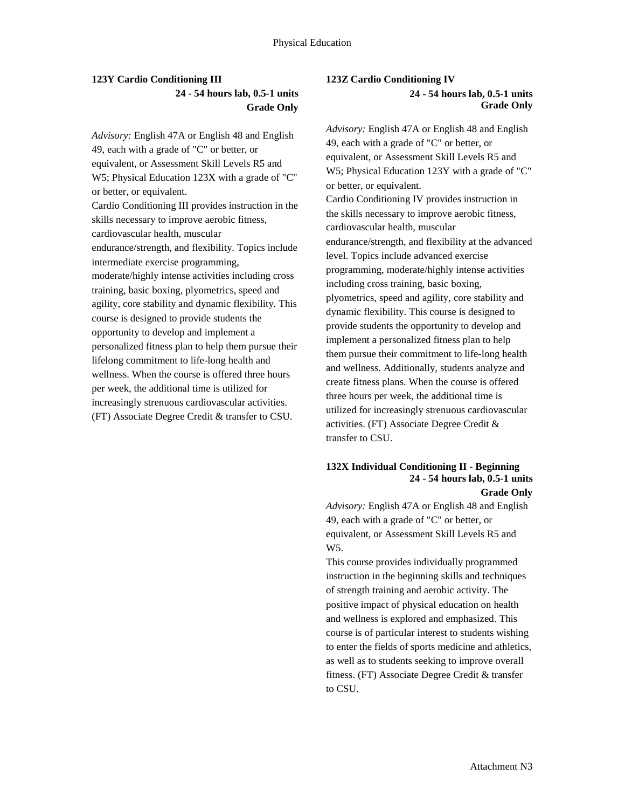# **123Y Cardio Conditioning III 24 - 54 hours lab, 0.5-1 units Grade Only**

*Advisory:* English 47A or English 48 and English 49, each with a grade of "C" or better, or equivalent, or Assessment Skill Levels R5 and W5; Physical Education 123X with a grade of "C" or better, or equivalent. Cardio Conditioning III provides instruction in the skills necessary to improve aerobic fitness, cardiovascular health, muscular endurance/strength, and flexibility. Topics include intermediate exercise programming, moderate/highly intense activities including cross training, basic boxing, plyometrics, speed and agility, core stability and dynamic flexibility. This course is designed to provide students the opportunity to develop and implement a personalized fitness plan to help them pursue their lifelong commitment to life-long health and wellness. When the course is offered three hours per week, the additional time is utilized for increasingly strenuous cardiovascular activities. (FT) Associate Degree Credit & transfer to CSU.

### **123Z Cardio Conditioning IV 24 - 54 hours lab, 0.5-1 units Grade Only**

*Advisory:* English 47A or English 48 and English 49, each with a grade of "C" or better, or equivalent, or Assessment Skill Levels R5 and W5; Physical Education 123Y with a grade of "C" or better, or equivalent. Cardio Conditioning IV provides instruction in the skills necessary to improve aerobic fitness, cardiovascular health, muscular endurance/strength, and flexibility at the advanced level. Topics include advanced exercise programming, moderate/highly intense activities including cross training, basic boxing, plyometrics, speed and agility, core stability and dynamic flexibility. This course is designed to provide students the opportunity to develop and implement a personalized fitness plan to help them pursue their commitment to life-long health and wellness. Additionally, students analyze and create fitness plans. When the course is offered three hours per week, the additional time is utilized for increasingly strenuous cardiovascular activities. (FT) Associate Degree Credit & transfer to CSU.

## **132X Individual Conditioning II - Beginning 24 - 54 hours lab, 0.5-1 units Grade Only**

*Advisory:* English 47A or English 48 and English 49, each with a grade of "C" or better, or equivalent, or Assessment Skill Levels R5 and W5.

This course provides individually programmed instruction in the beginning skills and techniques of strength training and aerobic activity. The positive impact of physical education on health and wellness is explored and emphasized. This course is of particular interest to students wishing to enter the fields of sports medicine and athletics, as well as to students seeking to improve overall fitness. (FT) Associate Degree Credit & transfer to CSU.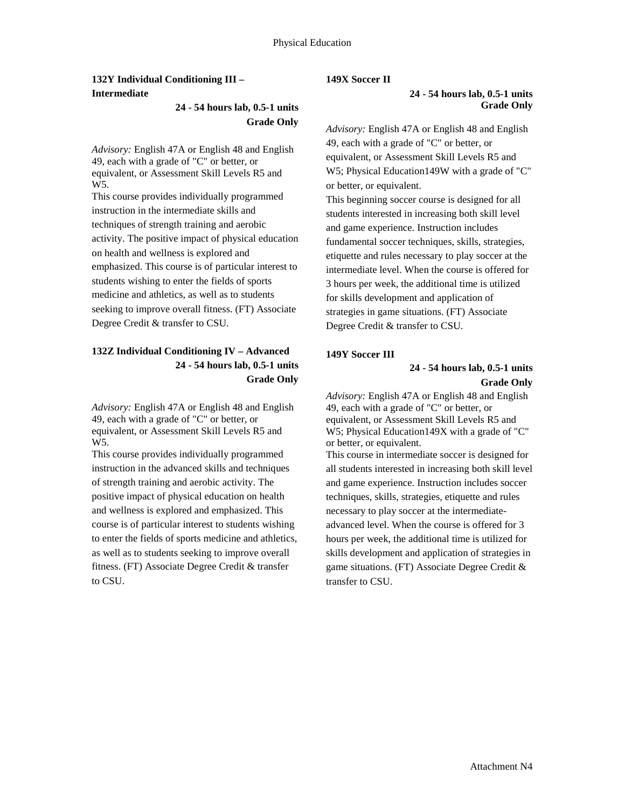# **132Y Individual Conditioning III – Intermediate**

# **24 - 54 hours lab, 0.5-1 units Grade Only**

*Advisory:* English 47A or English 48 and English 49, each with a grade of "C" or better, or equivalent, or Assessment Skill Levels R5 and W5.

This course provides individually programmed instruction in the intermediate skills and techniques of strength training and aerobic activity. The positive impact of physical education on health and wellness is explored and emphasized. This course is of particular interest to students wishing to enter the fields of sports medicine and athletics, as well as to students seeking to improve overall fitness. (FT) Associate Degree Credit & transfer to CSU.

# **132Z Individual Conditioning IV – Advanced 24 - 54 hours lab, 0.5-1 units Grade Only**

*Advisory:* English 47A or English 48 and English 49, each with a grade of "C" or better, or equivalent, or Assessment Skill Levels R5 and W5.

This course provides individually programmed instruction in the advanced skills and techniques of strength training and aerobic activity. The positive impact of physical education on health and wellness is explored and emphasized. This course is of particular interest to students wishing to enter the fields of sports medicine and athletics, as well as to students seeking to improve overall fitness. (FT) Associate Degree Credit & transfer to CSU.

### **149X Soccer II**

### **24 - 54 hours lab, 0.5-1 units Grade Only**

*Advisory:* English 47A or English 48 and English 49, each with a grade of "C" or better, or equivalent, or Assessment Skill Levels R5 and W5; Physical Education149W with a grade of "C" or better, or equivalent.

This beginning soccer course is designed for all students interested in increasing both skill level and game experience. Instruction includes fundamental soccer techniques, skills, strategies, etiquette and rules necessary to play soccer at the intermediate level. When the course is offered for 3 hours per week, the additional time is utilized for skills development and application of strategies in game situations. (FT) Associate Degree Credit & transfer to CSU.

# **149Y Soccer III**

### **24 - 54 hours lab, 0.5-1 units Grade Only**

*Advisory:* English 47A or English 48 and English 49, each with a grade of "C" or better, or equivalent, or Assessment Skill Levels R5 and W5; Physical Education149X with a grade of "C" or better, or equivalent.

This course in intermediate soccer is designed for all students interested in increasing both skill level and game experience. Instruction includes soccer techniques, skills, strategies, etiquette and rules necessary to play soccer at the intermediateadvanced level. When the course is offered for 3 hours per week, the additional time is utilized for skills development and application of strategies in game situations. (FT) Associate Degree Credit & transfer to CSU.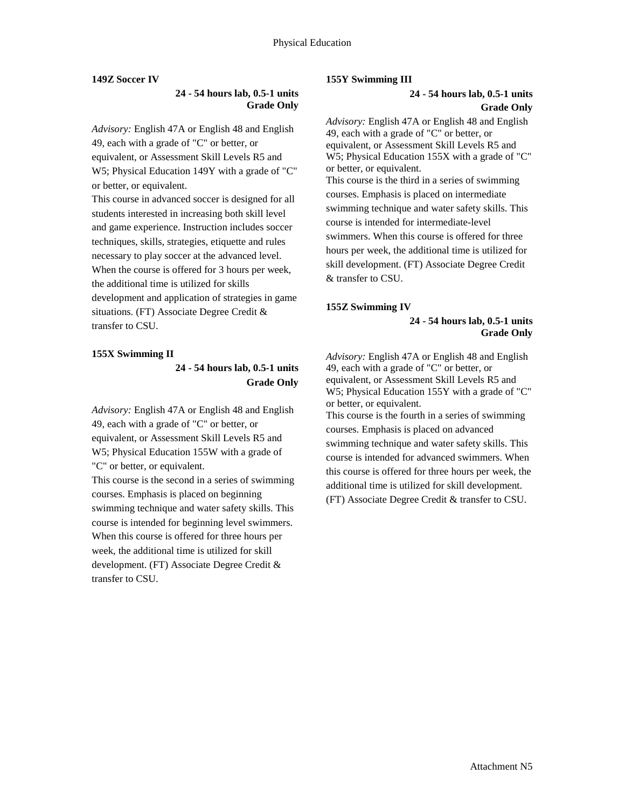### **149Z Soccer IV**

### **24 - 54 hours lab, 0.5-1 units Grade Only**

*Advisory:* English 47A or English 48 and English 49, each with a grade of "C" or better, or equivalent, or Assessment Skill Levels R5 and W5; Physical Education 149Y with a grade of "C" or better, or equivalent.

This course in advanced soccer is designed for all students interested in increasing both skill level and game experience. Instruction includes soccer techniques, skills, strategies, etiquette and rules necessary to play soccer at the advanced level. When the course is offered for 3 hours per week, the additional time is utilized for skills development and application of strategies in game situations. (FT) Associate Degree Credit & transfer to CSU.

### **155X Swimming II**

# **24 - 54 hours lab, 0.5-1 units Grade Only**

*Advisory:* English 47A or English 48 and English 49, each with a grade of "C" or better, or equivalent, or Assessment Skill Levels R5 and W5; Physical Education 155W with a grade of "C" or better, or equivalent.

This course is the second in a series of swimming courses. Emphasis is placed on beginning swimming technique and water safety skills. This course is intended for beginning level swimmers. When this course is offered for three hours per week, the additional time is utilized for skill development. (FT) Associate Degree Credit & transfer to CSU.

#### **155Y Swimming III**

### **24 - 54 hours lab, 0.5-1 units Grade Only**

*Advisory:* English 47A or English 48 and English 49, each with a grade of "C" or better, or equivalent, or Assessment Skill Levels R5 and W5; Physical Education 155X with a grade of "C" or better, or equivalent. This course is the third in a series of swimming courses. Emphasis is placed on intermediate swimming technique and water safety skills. This course is intended for intermediate-level swimmers. When this course is offered for three hours per week, the additional time is utilized for skill development. (FT) Associate Degree Credit & transfer to CSU.

#### **155Z Swimming IV**

**24 - 54 hours lab, 0.5-1 units Grade Only** 

*Advisory:* English 47A or English 48 and English 49, each with a grade of "C" or better, or equivalent, or Assessment Skill Levels R5 and W5; Physical Education 155Y with a grade of "C" or better, or equivalent. This course is the fourth in a series of swimming courses. Emphasis is placed on advanced swimming technique and water safety skills. This course is intended for advanced swimmers. When this course is offered for three hours per week, the additional time is utilized for skill development. (FT) Associate Degree Credit & transfer to CSU.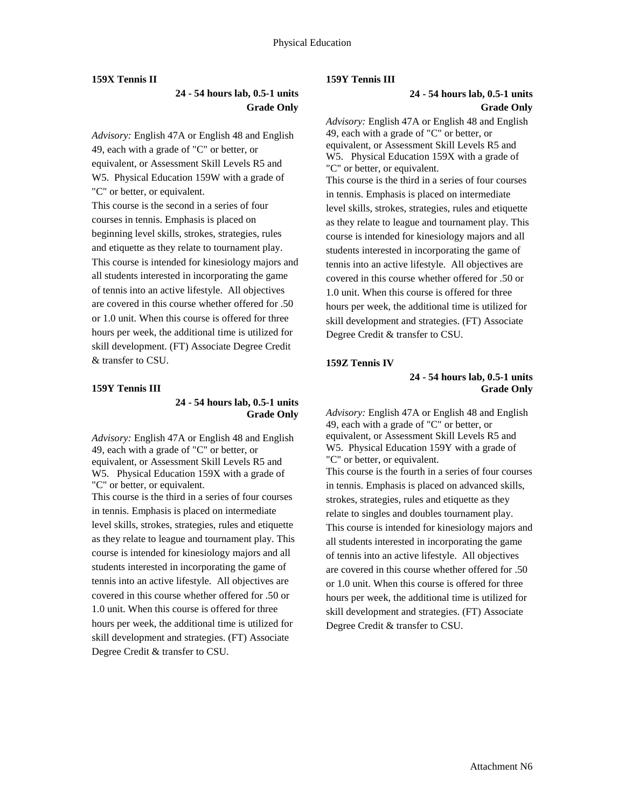### **159X Tennis II**

# **24 - 54 hours lab, 0.5-1 units Grade Only**

*Advisory:* English 47A or English 48 and English 49, each with a grade of "C" or better, or equivalent, or Assessment Skill Levels R5 and W5. Physical Education 159W with a grade of "C" or better, or equivalent. This course is the second in a series of four

courses in tennis. Emphasis is placed on beginning level skills, strokes, strategies, rules and etiquette as they relate to tournament play. This course is intended for kinesiology majors and all students interested in incorporating the game of tennis into an active lifestyle. All objectives are covered in this course whether offered for .50 or 1.0 unit. When this course is offered for three hours per week, the additional time is utilized for skill development. (FT) Associate Degree Credit & transfer to CSU.

### **159Y Tennis III**

#### **24 - 54 hours lab, 0.5-1 units Grade Only**

*Advisory:* English 47A or English 48 and English 49, each with a grade of "C" or better, or equivalent, or Assessment Skill Levels R5 and W5. Physical Education 159X with a grade of "C" or better, or equivalent. This course is the third in a series of four courses in tennis. Emphasis is placed on intermediate level skills, strokes, strategies, rules and etiquette as they relate to league and tournament play. This course is intended for kinesiology majors and all students interested in incorporating the game of tennis into an active lifestyle. All objectives are covered in this course whether offered for .50 or 1.0 unit. When this course is offered for three hours per week, the additional time is utilized for skill development and strategies. (FT) Associate Degree Credit & transfer to CSU.

#### **159Y Tennis III**

# **24 - 54 hours lab, 0.5-1 units Grade Only**

*Advisory:* English 47A or English 48 and English 49, each with a grade of "C" or better, or equivalent, or Assessment Skill Levels R5 and W5. Physical Education 159X with a grade of "C" or better, or equivalent. This course is the third in a series of four courses in tennis. Emphasis is placed on intermediate level skills, strokes, strategies, rules and etiquette as they relate to league and tournament play. This course is intended for kinesiology majors and all students interested in incorporating the game of tennis into an active lifestyle. All objectives are covered in this course whether offered for .50 or 1.0 unit. When this course is offered for three hours per week, the additional time is utilized for skill development and strategies. (FT) Associate Degree Credit & transfer to CSU.

### **159Z Tennis IV**

### **24 - 54 hours lab, 0.5-1 units Grade Only**

*Advisory:* English 47A or English 48 and English 49, each with a grade of "C" or better, or equivalent, or Assessment Skill Levels R5 and W5.Physical Education 159Y with a grade of "C" or better, or equivalent. This course is the fourth in a series of four courses in tennis. Emphasis is placed on advanced skills, strokes, strategies, rules and etiquette as they relate to singles and doubles tournament play. This course is intended for kinesiology majors and all students interested in incorporating the game of tennis into an active lifestyle. All objectives are covered in this course whether offered for .50 or 1.0 unit. When this course is offered for three hours per week, the additional time is utilized for skill development and strategies. (FT) Associate Degree Credit & transfer to CSU.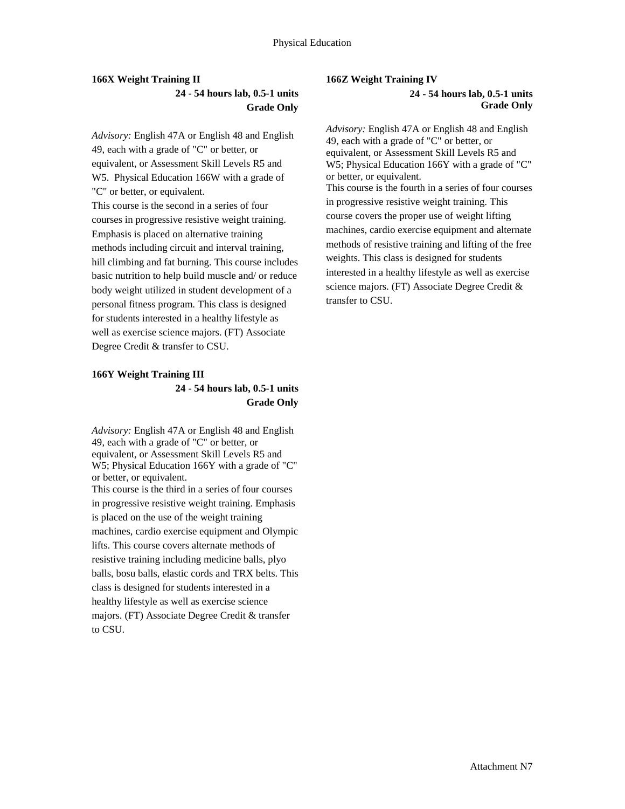# **166X Weight Training II 24 - 54 hours lab, 0.5-1 units Grade Only**

*Advisory:* English 47A or English 48 and English 49, each with a grade of "C" or better, or equivalent, or Assessment Skill Levels R5 and W5.Physical Education 166W with a grade of "C" or better, or equivalent.

This course is the second in a series of four courses in progressive resistive weight training. Emphasis is placed on alternative training methods including circuit and interval training, hill climbing and fat burning. This course includes basic nutrition to help build muscle and/ or reduce body weight utilized in student development of a personal fitness program. This class is designed for students interested in a healthy lifestyle as well as exercise science majors. (FT) Associate Degree Credit & transfer to CSU.

# **166Y Weight Training III 24 - 54 hours lab, 0.5-1 units Grade Only**

*Advisory:* English 47A or English 48 and English 49, each with a grade of "C" or better, or equivalent, or Assessment Skill Levels R5 and W5; Physical Education 166Y with a grade of "C" or better, or equivalent. This course is the third in a series of four courses in progressive resistive weight training. Emphasis is placed on the use of the weight training machines, cardio exercise equipment and Olympic lifts. This course covers alternate methods of resistive training including medicine balls, plyo balls, bosu balls, elastic cords and TRX belts. This class is designed for students interested in a healthy lifestyle as well as exercise science majors. (FT) Associate Degree Credit & transfer to CSU.

# **166Z Weight Training IV**

**24 - 54 hours lab, 0.5-1 units Grade Only** 

*Advisory:* English 47A or English 48 and English 49, each with a grade of "C" or better, or equivalent, or Assessment Skill Levels R5 and W5; Physical Education 166Y with a grade of "C" or better, or equivalent. This course is the fourth in a series of four courses in progressive resistive weight training. This course covers the proper use of weight lifting machines, cardio exercise equipment and alternate methods of resistive training and lifting of the free weights. This class is designed for students interested in a healthy lifestyle as well as exercise science majors. (FT) Associate Degree Credit & transfer to CSU.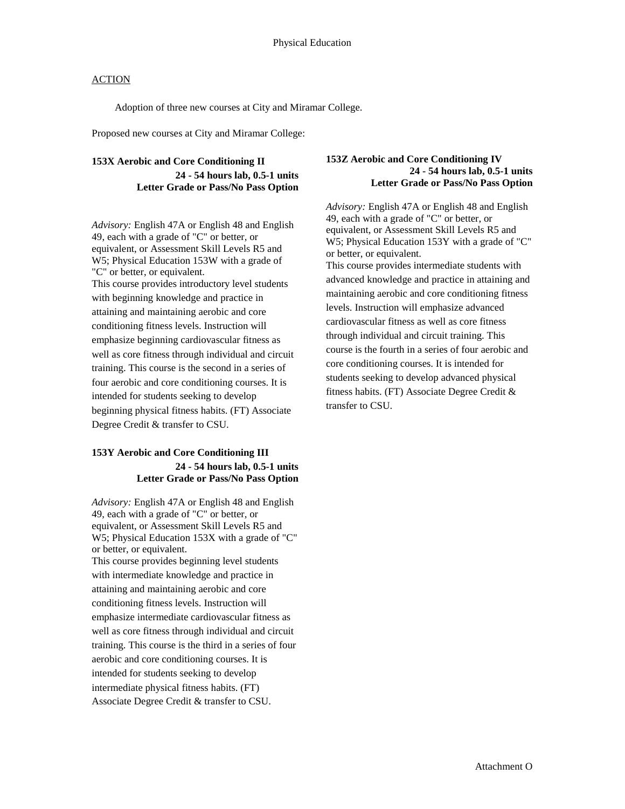Adoption of three new courses at City and Miramar College.

Proposed new courses at City and Miramar College:

# **153X Aerobic and Core Conditioning II 24 - 54 hours lab, 0.5-1 units Letter Grade or Pass/No Pass Option**

*Advisory:* English 47A or English 48 and English 49, each with a grade of "C" or better, or equivalent, or Assessment Skill Levels R5 and W5; Physical Education 153W with a grade of "C" or better, or equivalent. This course provides introductory level students with beginning knowledge and practice in attaining and maintaining aerobic and core conditioning fitness levels. Instruction will emphasize beginning cardiovascular fitness as well as core fitness through individual and circuit training. This course is the second in a series of four aerobic and core conditioning courses. It is intended for students seeking to develop beginning physical fitness habits. (FT) Associate Degree Credit & transfer to CSU.

# **153Y Aerobic and Core Conditioning III 24 - 54 hours lab, 0.5-1 units Letter Grade or Pass/No Pass Option**

*Advisory:* English 47A or English 48 and English 49, each with a grade of "C" or better, or equivalent, or Assessment Skill Levels R5 and W5; Physical Education 153X with a grade of "C" or better, or equivalent.

This course provides beginning level students with intermediate knowledge and practice in attaining and maintaining aerobic and core conditioning fitness levels. Instruction will emphasize intermediate cardiovascular fitness as well as core fitness through individual and circuit training. This course is the third in a series of four aerobic and core conditioning courses. It is intended for students seeking to develop intermediate physical fitness habits. (FT) Associate Degree Credit & transfer to CSU.

#### **153Z Aerobic and Core Conditioning IV 24 - 54 hours lab, 0.5-1 units Letter Grade or Pass/No Pass Option**

*Advisory:* English 47A or English 48 and English 49, each with a grade of "C" or better, or equivalent, or Assessment Skill Levels R5 and W5; Physical Education 153Y with a grade of "C" or better, or equivalent. This course provides intermediate students with advanced knowledge and practice in attaining and maintaining aerobic and core conditioning fitness levels. Instruction will emphasize advanced cardiovascular fitness as well as core fitness through individual and circuit training. This course is the fourth in a series of four aerobic and core conditioning courses. It is intended for students seeking to develop advanced physical fitness habits. (FT) Associate Degree Credit & transfer to CSU.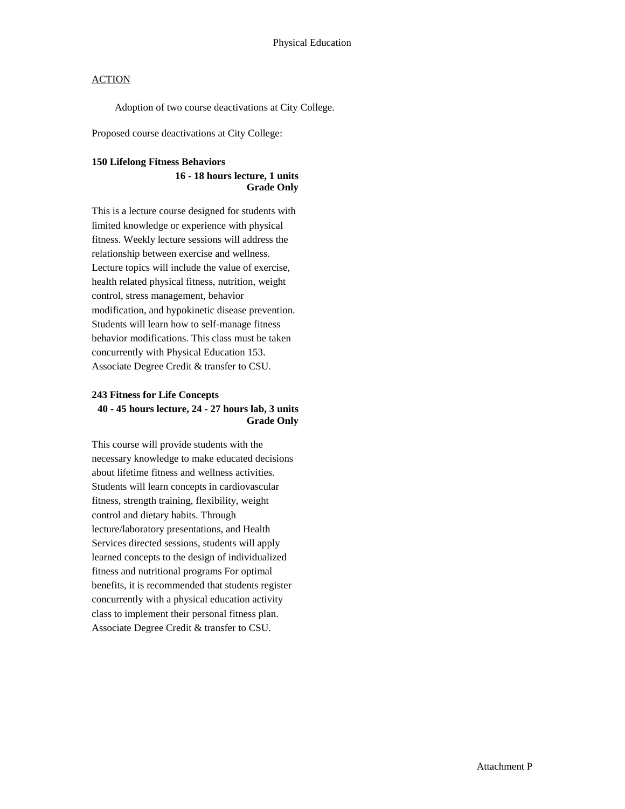Adoption of two course deactivations at City College.

Proposed course deactivations at City College:

#### **150 Lifelong Fitness Behaviors**

#### **16 - 18 hours lecture, 1 units Grade Only**

This is a lecture course designed for students with limited knowledge or experience with physical fitness. Weekly lecture sessions will address the relationship between exercise and wellness. Lecture topics will include the value of exercise, health related physical fitness, nutrition, weight control, stress management, behavior modification, and hypokinetic disease prevention. Students will learn how to self-manage fitness behavior modifications. This class must be taken concurrently with Physical Education 153. Associate Degree Credit & transfer to CSU.

### **243 Fitness for Life Concepts 40 - 45 hours lecture, 24 - 27 hours lab, 3 units Grade Only**

This course will provide students with the necessary knowledge to make educated decisions about lifetime fitness and wellness activities. Students will learn concepts in cardiovascular fitness, strength training, flexibility, weight control and dietary habits. Through lecture/laboratory presentations, and Health Services directed sessions, students will apply learned concepts to the design of individualized fitness and nutritional programs For optimal benefits, it is recommended that students register concurrently with a physical education activity class to implement their personal fitness plan. Associate Degree Credit & transfer to CSU.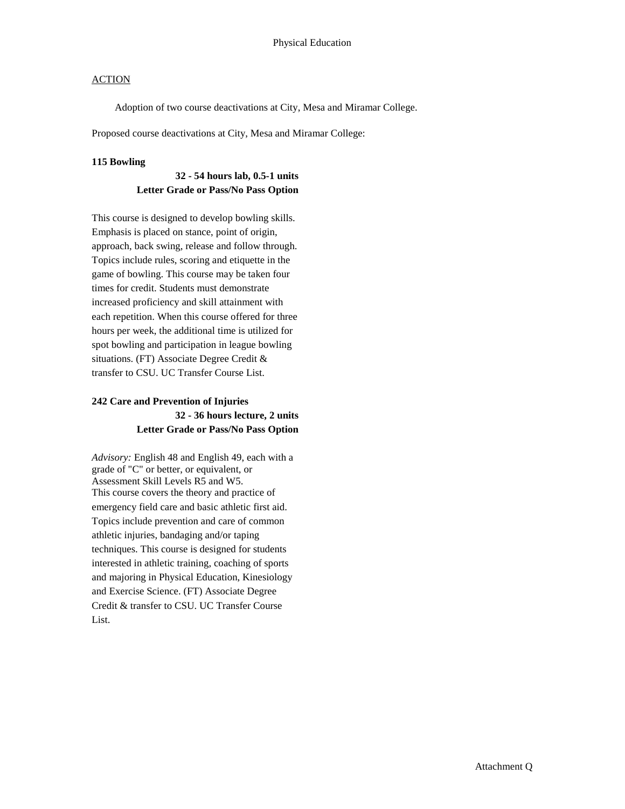Adoption of two course deactivations at City, Mesa and Miramar College.

Proposed course deactivations at City, Mesa and Miramar College:

#### **115 Bowling**

### **32 - 54 hours lab, 0.5-1 units Letter Grade or Pass/No Pass Option**

This course is designed to develop bowling skills. Emphasis is placed on stance, point of origin, approach, back swing, release and follow through. Topics include rules, scoring and etiquette in the game of bowling. This course may be taken four times for credit. Students must demonstrate increased proficiency and skill attainment with each repetition. When this course offered for three hours per week, the additional time is utilized for spot bowling and participation in league bowling situations. (FT) Associate Degree Credit & transfer to CSU. UC Transfer Course List.

### **242 Care and Prevention of Injuries 32 - 36 hours lecture, 2 units Letter Grade or Pass/No Pass Option**

*Advisory:* English 48 and English 49, each with a grade of "C" or better, or equivalent, or Assessment Skill Levels R5 and W5. This course covers the theory and practice of emergency field care and basic athletic first aid. Topics include prevention and care of common athletic injuries, bandaging and/or taping techniques. This course is designed for students interested in athletic training, coaching of sports and majoring in Physical Education, Kinesiology and Exercise Science. (FT) Associate Degree Credit & transfer to CSU. UC Transfer Course List.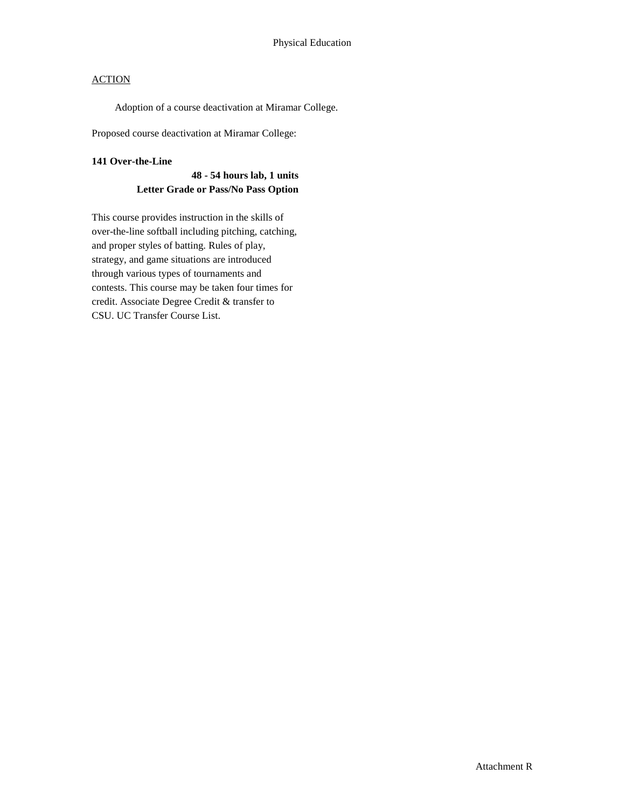Adoption of a course deactivation at Miramar College.

Proposed course deactivation at Miramar College:

#### **141 Over-the-Line**

### **48 - 54 hours lab, 1 units Letter Grade or Pass/No Pass Option**

This course provides instruction in the skills of over-the-line softball including pitching, catching, and proper styles of batting. Rules of play, strategy, and game situations are introduced through various types of tournaments and contests. This course may be taken four times for credit. Associate Degree Credit & transfer to CSU. UC Transfer Course List.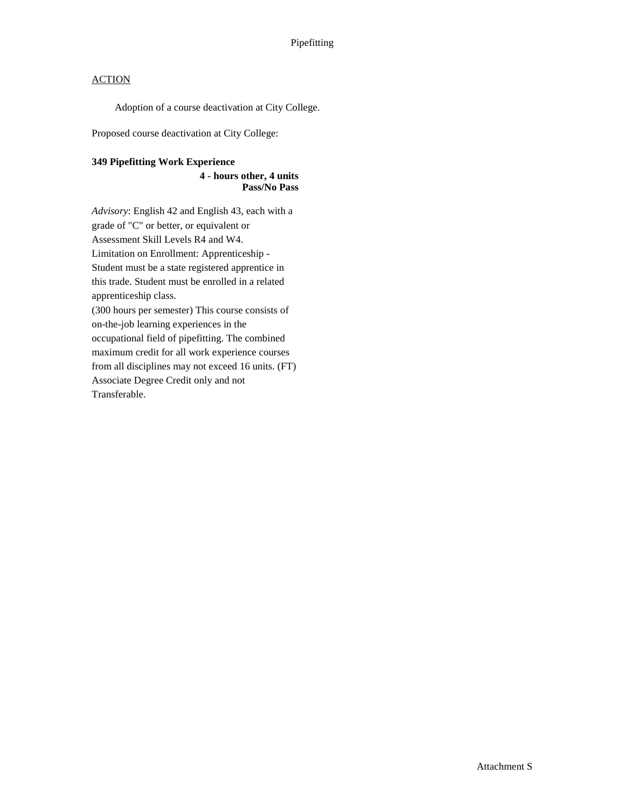Adoption of a course deactivation at City College.

Proposed course deactivation at City College:

### **349 Pipefitting Work Experience**

### **4 - hours other, 4 units Pass/No Pass**

*Advisory*: English 42 and English 43, each with a grade of "C" or better, or equivalent or Assessment Skill Levels R4 and W4. Limitation on Enrollment: Apprenticeship - Student must be a state registered apprentice in this trade. Student must be enrolled in a related apprenticeship class. (300 hours per semester) This course consists of on-the-job learning experiences in the occupational field of pipefitting. The combined maximum credit for all work experience courses from all disciplines may not exceed 16 units. (FT) Associate Degree Credit only and not

Transferable.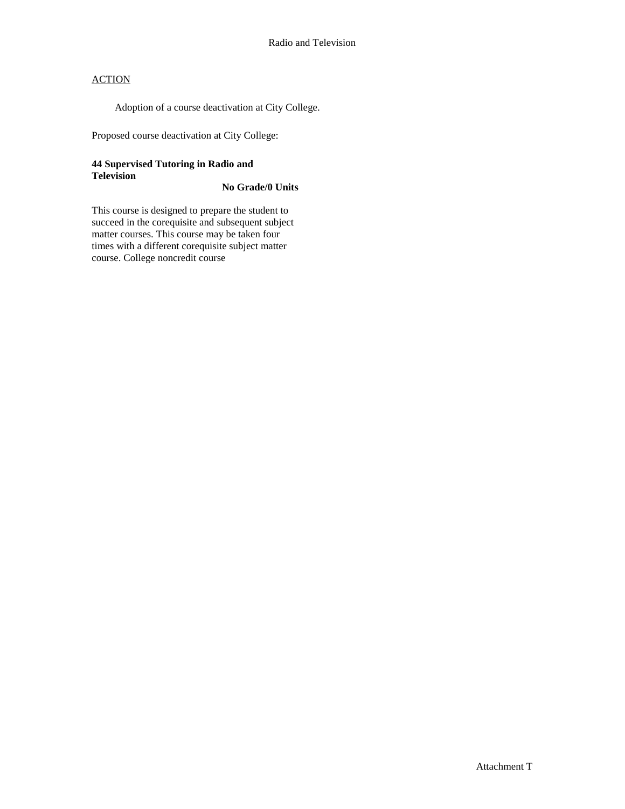Adoption of a course deactivation at City College.

Proposed course deactivation at City College:

### **44 Supervised Tutoring in Radio and Television**

### **No Grade/0 Units**

This course is designed to prepare the student to succeed in the corequisite and subsequent subject matter courses. This course may be taken four times with a different corequisite subject matter course. College noncredit course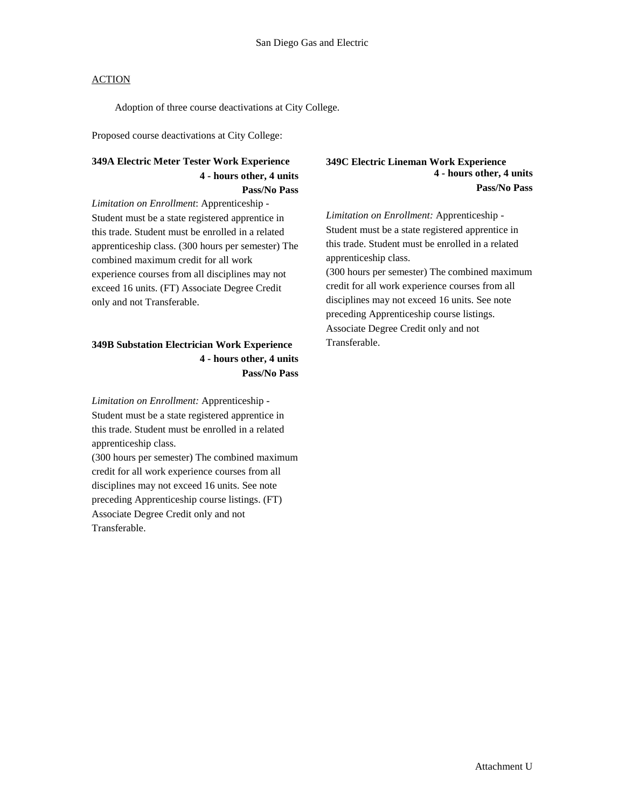Adoption of three course deactivations at City College.

Proposed course deactivations at City College:

### **349A Electric Meter Tester Work Experience 4 - hours other, 4 units Pass/No Pass**

*Limitation on Enrollment*: Apprenticeship - Student must be a state registered apprentice in this trade. Student must be enrolled in a related apprenticeship class. (300 hours per semester) The combined maximum credit for all work experience courses from all disciplines may not exceed 16 units. (FT) Associate Degree Credit only and not Transferable.

### **349B Substation Electrician Work Experience 4 - hours other, 4 units Pass/No Pass**

*Limitation on Enrollment:* Apprenticeship - Student must be a state registered apprentice in this trade. Student must be enrolled in a related apprenticeship class.

(300 hours per semester) The combined maximum credit for all work experience courses from all disciplines may not exceed 16 units. See note preceding Apprenticeship course listings. (FT) Associate Degree Credit only and not Transferable.

#### **349C Electric Lineman Work Experience 4 - hours other, 4 units Pass/No Pass**

*Limitation on Enrollment:* Apprenticeship - Student must be a state registered apprentice in this trade. Student must be enrolled in a related apprenticeship class. (300 hours per semester) The combined maximum credit for all work experience courses from all disciplines may not exceed 16 units. See note preceding Apprenticeship course listings. Associate Degree Credit only and not Transferable.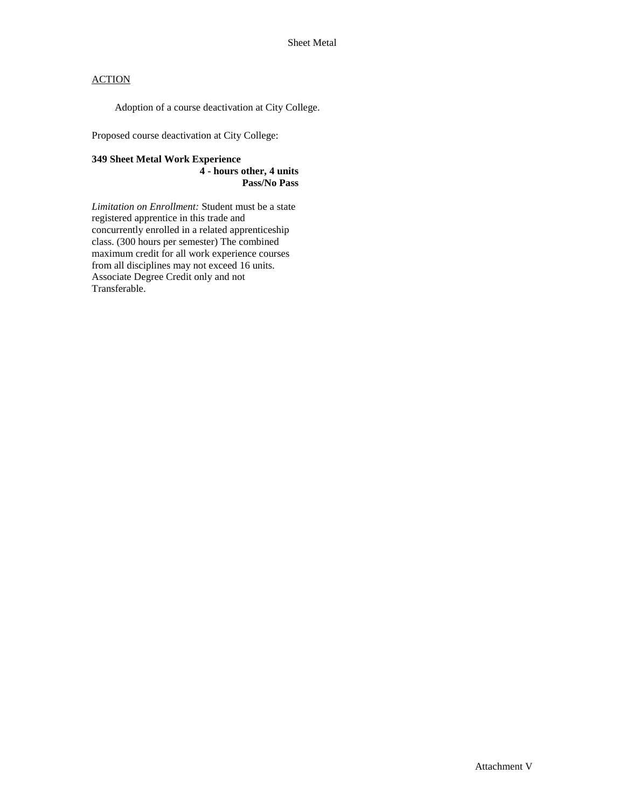Adoption of a course deactivation at City College.

Proposed course deactivation at City College:

## **349 Sheet Metal Work Experience**

**4 - hours other, 4 units Pass/No Pass** 

*Limitation on Enrollment:* Student must be a state registered apprentice in this trade and concurrently enrolled in a related apprenticeship class. (300 hours per semester) The combined maximum credit for all work experience courses from all disciplines may not exceed 16 units. Associate Degree Credit only and not Transferable.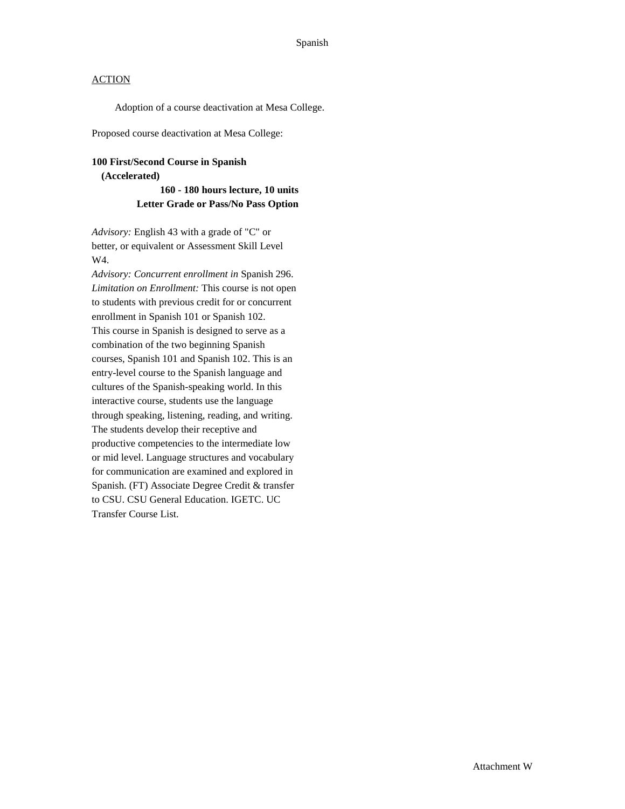Adoption of a course deactivation at Mesa College.

Proposed course deactivation at Mesa College:

#### **100 First/Second Course in Spanish (Accelerated)**

**160 - 180 hours lecture, 10 units Letter Grade or Pass/No Pass Option**

*Advisory:* English 43 with a grade of "C" or better, or equivalent or Assessment Skill Level W4.

*Advisory: Concurrent enrollment in* Spanish 296. *Limitation on Enrollment:* This course is not open to students with previous credit for or concurrent enrollment in Spanish 101 or Spanish 102. This course in Spanish is designed to serve as a combination of the two beginning Spanish courses, Spanish 101 and Spanish 102. This is an entry-level course to the Spanish language and cultures of the Spanish-speaking world. In this interactive course, students use the language through speaking, listening, reading, and writing. The students develop their receptive and productive competencies to the intermediate low or mid level. Language structures and vocabulary for communication are examined and explored in Spanish. (FT) Associate Degree Credit & transfer to CSU. CSU General Education. IGETC. UC Transfer Course List.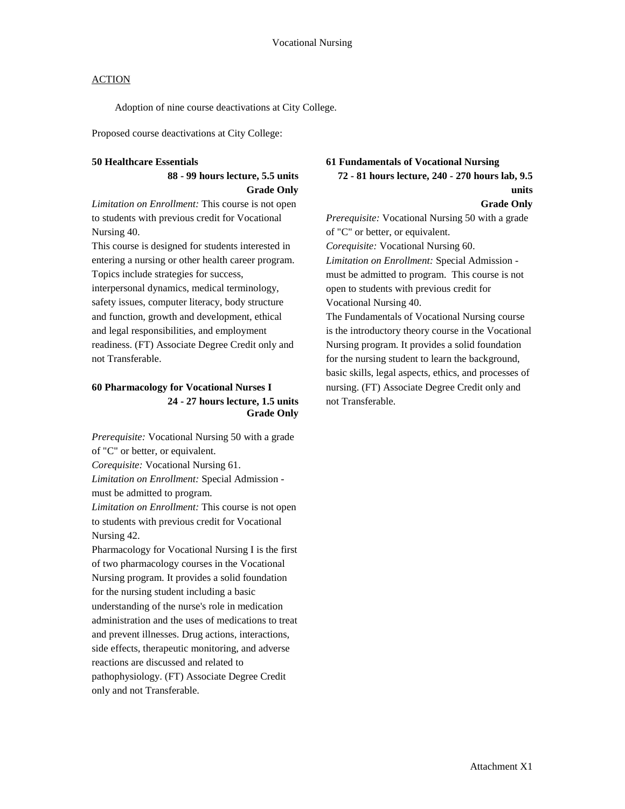Adoption of nine course deactivations at City College.

Proposed course deactivations at City College:

#### **50 Healthcare Essentials**

### **88 - 99 hours lecture, 5.5 units Grade Only**

*Limitation on Enrollment:* This course is not open to students with previous credit for Vocational Nursing 40.

This course is designed for students interested in entering a nursing or other health career program. Topics include strategies for success,

interpersonal dynamics, medical terminology, safety issues, computer literacy, body structure and function, growth and development, ethical and legal responsibilities, and employment readiness. (FT) Associate Degree Credit only and not Transferable.

### **60 Pharmacology for Vocational Nurses I 24 - 27 hours lecture, 1.5 units Grade Only**

*Prerequisite:* Vocational Nursing 50 with a grade of "C" or better, or equivalent. *Corequisite:* Vocational Nursing 61. *Limitation on Enrollment:* Special Admission must be admitted to program. *Limitation on Enrollment:* This course is not open

to students with previous credit for Vocational Nursing 42.

Pharmacology for Vocational Nursing I is the first of two pharmacology courses in the Vocational Nursing program. It provides a solid foundation for the nursing student including a basic understanding of the nurse's role in medication administration and the uses of medications to treat and prevent illnesses. Drug actions, interactions, side effects, therapeutic monitoring, and adverse reactions are discussed and related to pathophysiology. (FT) Associate Degree Credit only and not Transferable.

### **61 Fundamentals of Vocational Nursing 72 - 81 hours lecture, 240 - 270 hours lab, 9.5**

### **units**

**Grade Only**

*Prerequisite:* Vocational Nursing 50 with a grade of "C" or better, or equivalent. *Corequisite:* Vocational Nursing 60. *Limitation on Enrollment:* Special Admission must be admitted to program. This course is not open to students with previous credit for Vocational Nursing 40. The Fundamentals of Vocational Nursing course is the introductory theory course in the Vocational Nursing program. It provides a solid foundation for the nursing student to learn the background,

basic skills, legal aspects, ethics, and processes of nursing. (FT) Associate Degree Credit only and not Transferable.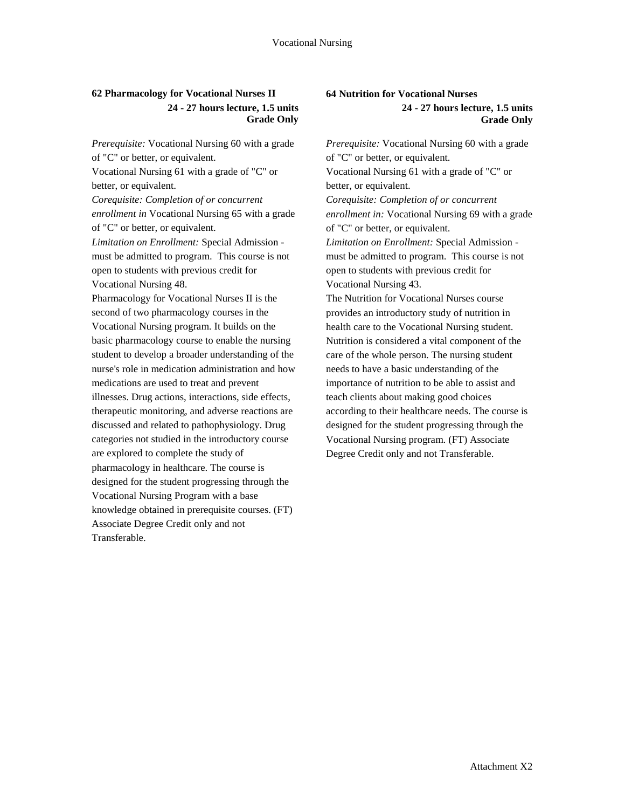### **62 Pharmacology for Vocational Nurses II 24 - 27 hours lecture, 1.5 units Grade Only**

*Prerequisite:* Vocational Nursing 60 with a grade of "C" or better, or equivalent. Vocational Nursing 61 with a grade of "C" or better, or equivalent. *Corequisite: Completion of or concurrent enrollment in* Vocational Nursing 65 with a grade of "C" or better, or equivalent. *Limitation on Enrollment:* Special Admission must be admitted to program. This course is not open to students with previous credit for Vocational Nursing 48. Pharmacology for Vocational Nurses II is the second of two pharmacology courses in the Vocational Nursing program. It builds on the basic pharmacology course to enable the nursing student to develop a broader understanding of the nurse's role in medication administration and how medications are used to treat and prevent illnesses. Drug actions, interactions, side effects, therapeutic monitoring, and adverse reactions are discussed and related to pathophysiology. Drug categories not studied in the introductory course are explored to complete the study of pharmacology in healthcare. The course is designed for the student progressing through the Vocational Nursing Program with a base knowledge obtained in prerequisite courses. (FT) Associate Degree Credit only and not Transferable.

### **64 Nutrition for Vocational Nurses 24 - 27 hours lecture, 1.5 units Grade Only**

*Prerequisite:* Vocational Nursing 60 with a grade of "C" or better, or equivalent. Vocational Nursing 61 with a grade of "C" or better, or equivalent. *Corequisite: Completion of or concurrent enrollment in:* Vocational Nursing 69 with a grade of "C" or better, or equivalent. *Limitation on Enrollment:* Special Admission must be admitted to program. This course is not open to students with previous credit for Vocational Nursing 43. The Nutrition for Vocational Nurses course provides an introductory study of nutrition in health care to the Vocational Nursing student. Nutrition is considered a vital component of the care of the whole person. The nursing student needs to have a basic understanding of the importance of nutrition to be able to assist and teach clients about making good choices according to their healthcare needs. The course is designed for the student progressing through the Vocational Nursing program. (FT) Associate Degree Credit only and not Transferable.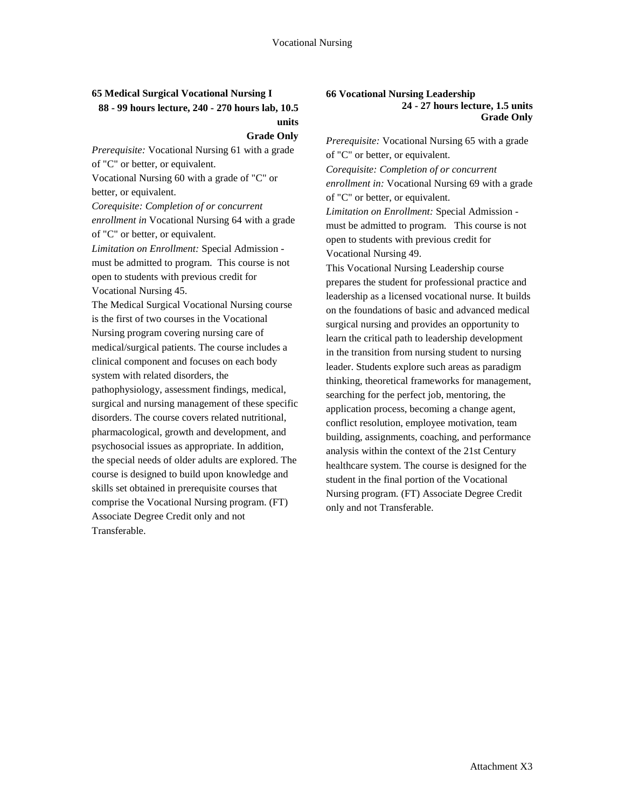### **65 Medical Surgical Vocational Nursing I 88 - 99 hours lecture, 240 - 270 hours lab, 10.5 units**

#### **Grade Only**

*Prerequisite:* Vocational Nursing 61 with a grade of "C" or better, or equivalent.

Vocational Nursing 60 with a grade of "C" or better, or equivalent.

*Corequisite: Completion of or concurrent enrollment in* Vocational Nursing 64 with a grade of "C" or better, or equivalent.

*Limitation on Enrollment:* Special Admission must be admitted to program. This course is not open to students with previous credit for Vocational Nursing 45.

The Medical Surgical Vocational Nursing course is the first of two courses in the Vocational Nursing program covering nursing care of medical/surgical patients. The course includes a clinical component and focuses on each body system with related disorders, the pathophysiology, assessment findings, medical, surgical and nursing management of these specific disorders. The course covers related nutritional, pharmacological, growth and development, and psychosocial issues as appropriate. In addition, the special needs of older adults are explored. The course is designed to build upon knowledge and skills set obtained in prerequisite courses that comprise the Vocational Nursing program. (FT) Associate Degree Credit only and not Transferable.

#### **66 Vocational Nursing Leadership 24 - 27 hours lecture, 1.5 units Grade Only**

*Prerequisite:* Vocational Nursing 65 with a grade of "C" or better, or equivalent. *Corequisite: Completion of or concurrent enrollment in:* Vocational Nursing 69 with a grade of "C" or better, or equivalent. *Limitation on Enrollment:* Special Admission must be admitted to program. This course is not open to students with previous credit for Vocational Nursing 49. This Vocational Nursing Leadership course prepares the student for professional practice and leadership as a licensed vocational nurse. It builds on the foundations of basic and advanced medical surgical nursing and provides an opportunity to learn the critical path to leadership development

in the transition from nursing student to nursing leader. Students explore such areas as paradigm thinking, theoretical frameworks for management, searching for the perfect job, mentoring, the application process, becoming a change agent, conflict resolution, employee motivation, team building, assignments, coaching, and performance analysis within the context of the 21st Century healthcare system. The course is designed for the student in the final portion of the Vocational Nursing program. (FT) Associate Degree Credit only and not Transferable.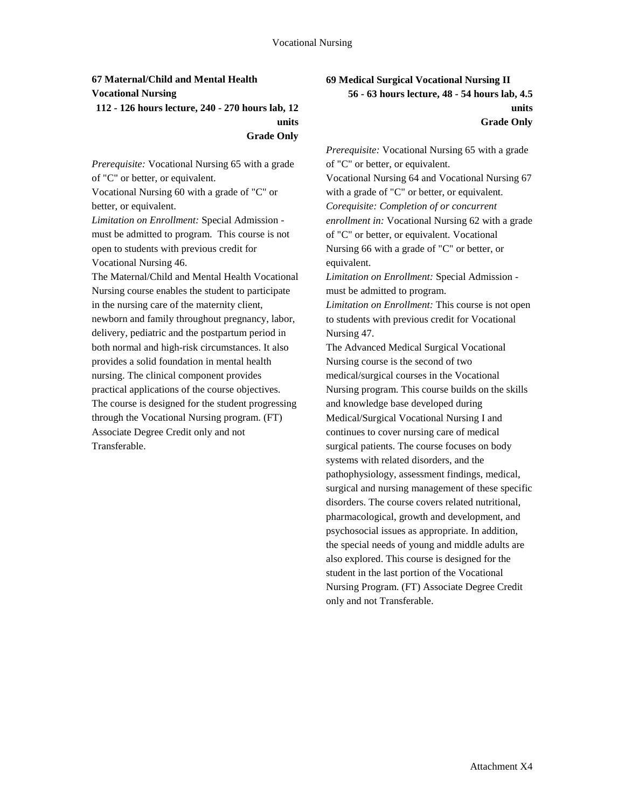## **67 Maternal/Child and Mental Health Vocational Nursing 112 - 126 hours lecture, 240 - 270 hours lab, 12 units**

**Grade Only**

*Prerequisite:* Vocational Nursing 65 with a grade of "C" or better, or equivalent.

Vocational Nursing 60 with a grade of "C" or better, or equivalent.

*Limitation on Enrollment:* Special Admission must be admitted to program. This course is not open to students with previous credit for Vocational Nursing 46.

The Maternal/Child and Mental Health Vocational Nursing course enables the student to participate in the nursing care of the maternity client, newborn and family throughout pregnancy, labor, delivery, pediatric and the postpartum period in both normal and high-risk circumstances. It also provides a solid foundation in mental health nursing. The clinical component provides practical applications of the course objectives. The course is designed for the student progressing through the Vocational Nursing program. (FT) Associate Degree Credit only and not Transferable.

## **69 Medical Surgical Vocational Nursing II 56 - 63 hours lecture, 48 - 54 hours lab, 4.5 units**

#### **Grade Only**

*Prerequisite:* Vocational Nursing 65 with a grade of "C" or better, or equivalent. Vocational Nursing 64 and Vocational Nursing 67 with a grade of "C" or better, or equivalent. *Corequisite: Completion of or concurrent enrollment in:* Vocational Nursing 62 with a grade of "C" or better, or equivalent. Vocational Nursing 66 with a grade of "C" or better, or equivalent.

*Limitation on Enrollment:* Special Admission must be admitted to program.

*Limitation on Enrollment:* This course is not open to students with previous credit for Vocational Nursing 47.

The Advanced Medical Surgical Vocational Nursing course is the second of two medical/surgical courses in the Vocational Nursing program. This course builds on the skills and knowledge base developed during Medical/Surgical Vocational Nursing I and continues to cover nursing care of medical surgical patients. The course focuses on body systems with related disorders, and the pathophysiology, assessment findings, medical, surgical and nursing management of these specific disorders. The course covers related nutritional, pharmacological, growth and development, and psychosocial issues as appropriate. In addition, the special needs of young and middle adults are also explored. This course is designed for the student in the last portion of the Vocational Nursing Program. (FT) Associate Degree Credit only and not Transferable.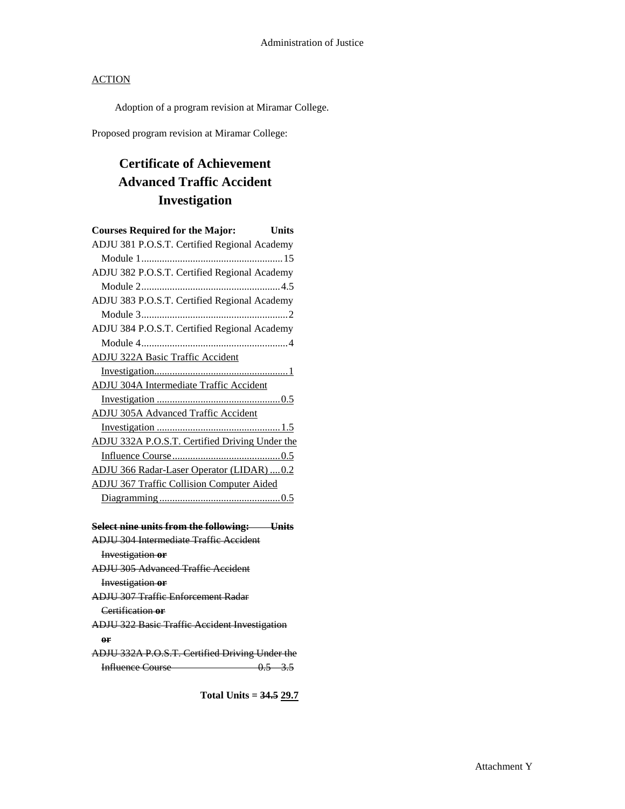Adoption of a program revision at Miramar College.

Proposed program revision at Miramar College:

# **Certificate of Achievement Advanced Traffic Accident Investigation**

| <b>Courses Required for the Major:</b>               | Units |
|------------------------------------------------------|-------|
| ADJU 381 P.O.S.T. Certified Regional Academy         |       |
|                                                      |       |
| ADJU 382 P.O.S.T. Certified Regional Academy         |       |
|                                                      |       |
| ADJU 383 P.O.S.T. Certified Regional Academy         |       |
|                                                      |       |
| ADJU 384 P.O.S.T. Certified Regional Academy         |       |
|                                                      |       |
| <b>ADJU 322A Basic Traffic Accident</b>              |       |
|                                                      |       |
| <b>ADJU 304A Intermediate Traffic Accident</b>       |       |
|                                                      |       |
| <b>ADJU 305A Advanced Traffic Accident</b>           |       |
|                                                      |       |
| ADJU 332A P.O.S.T. Certified Driving Under the       |       |
|                                                      |       |
| ADJU 366 Radar-Laser Operator (LIDAR)  0.2           |       |
| <b>ADJU 367 Traffic Collision Computer Aided</b>     |       |
|                                                      |       |
|                                                      |       |
| Select nine units from the following: Units          |       |
| <b>ADJU 304 Intermediate Traffic Accident</b>        |       |
| Investigation or                                     |       |
| <b>ADJU 305 Advanced Traffic Accident</b>            |       |
| <b>Investigation or</b>                              |       |
| <b>ADJU 307 Traffic Enforcement Radar</b>            |       |
| Certification or                                     |       |
| <b>ADJU 322 Basic Traffic Accident Investigation</b> |       |
| өr                                                   |       |
| ADJU 332A P.O.S.T. Certified Driving Under the       |       |
| Influence Course 0.5 3.5                             |       |

**Total Units = 34.5 29.7**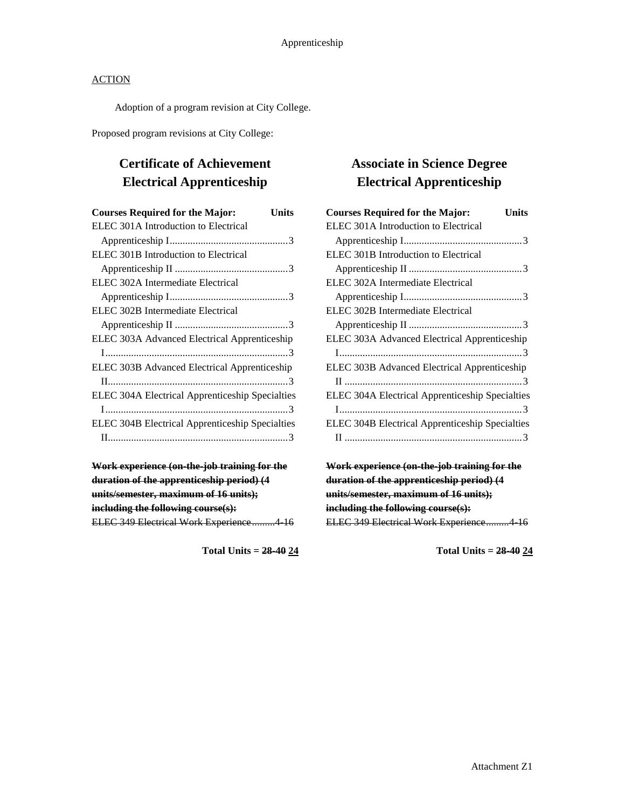Adoption of a program revision at City College.

Proposed program revisions at City College:

# **Certificate of Achievement Electrical Apprenticeship**

| <b>Courses Required for the Major:</b>          | Units |
|-------------------------------------------------|-------|
| ELEC 301A Introduction to Electrical            |       |
|                                                 |       |
| ELEC 301B Introduction to Electrical            |       |
|                                                 |       |
| ELEC 302A Intermediate Electrical               |       |
|                                                 |       |
| ELEC 302B Intermediate Electrical               |       |
|                                                 |       |
| ELEC 303A Advanced Electrical Apprenticeship    |       |
|                                                 |       |
| ELEC 303B Advanced Electrical Apprenticeship    |       |
|                                                 |       |
| ELEC 304A Electrical Apprenticeship Specialties |       |
|                                                 |       |
| ELEC 304B Electrical Apprenticeship Specialties |       |
|                                                 |       |
|                                                 |       |

| Work experience (on-the-job training for the |  |
|----------------------------------------------|--|
| duration of the apprenticeship period) (4    |  |
| units/semester, maximum of 16 units);        |  |
| including the following course(s):           |  |
| ELEC 349 Electrical Work Experience4 16      |  |

**Total Units = 28-40 24**

## **Associate in Science Degree Electrical Apprenticeship**

| <b>Courses Required for the Major:</b>          | Units |
|-------------------------------------------------|-------|
| ELEC 301A Introduction to Electrical            |       |
|                                                 |       |
| ELEC 301B Introduction to Electrical            |       |
|                                                 |       |
| ELEC 302A Intermediate Electrical               |       |
|                                                 |       |
| ELEC 302B Intermediate Electrical               |       |
|                                                 |       |
| ELEC 303A Advanced Electrical Apprenticeship    |       |
|                                                 |       |
| ELEC 303B Advanced Electrical Apprenticeship    |       |
|                                                 |       |
| ELEC 304A Electrical Apprenticeship Specialties |       |
|                                                 |       |
| ELEC 304B Electrical Apprenticeship Specialties |       |
|                                                 |       |
|                                                 |       |

**Work experience (on-the-job training for the duration of the apprenticeship period) (4 units/semester, maximum of 16 units); including the following course(s):** ELEC 349 Electrical Work Experience.........4-16

**Total Units = 28-40 24**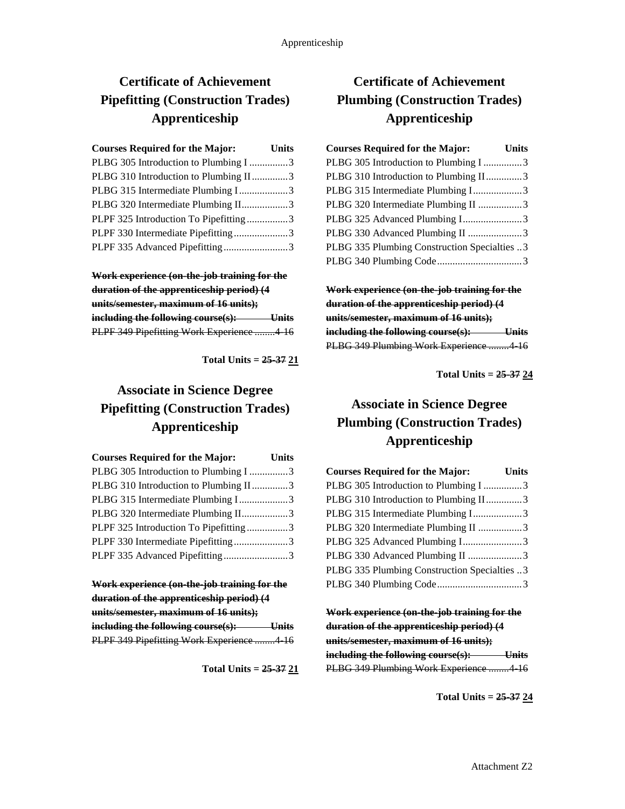# **Certificate of Achievement Pipefitting (Construction Trades) Apprenticeship**

| <b>Courses Required for the Major:</b> | <b>Units</b> |
|----------------------------------------|--------------|
| PLBG 305 Introduction to Plumbing I 3  |              |
| PLBG 310 Introduction to Plumbing II3  |              |
| PLBG 315 Intermediate Plumbing I3      |              |
| PLBG 320 Intermediate Plumbing II3     |              |
| PLPF 325 Introduction To Pipefitting3  |              |
| PLPF 330 Intermediate Pipefitting3     |              |
| PLPF 335 Advanced Pipefitting3         |              |

**Work experience (on-the-job training for the duration of the apprenticeship period) (4 units/semester, maximum of 16 units); including the following course(s): Units** PLPF 349 Pipefitting Work Experience ........4-16

**Total Units = 25-37 21**

# **Associate in Science Degree Pipefitting (Construction Trades) Apprenticeship**

| <b>Courses Required for the Major:</b> Units |  |
|----------------------------------------------|--|
| PLBG 305 Introduction to Plumbing I 3        |  |
| PLBG 310 Introduction to Plumbing II3        |  |
| PLBG 315 Intermediate Plumbing I3            |  |
| PLBG 320 Intermediate Plumbing II3           |  |
| PLPF 325 Introduction To Pipefitting3        |  |
| PLPF 330 Intermediate Pipefitting3           |  |
| PLPF 335 Advanced Pipefitting3               |  |

**Work experience (on-the-job training for the duration of the apprenticeship period) (4 units/semester, maximum of 16 units); including the following course(s): Units** PLPF 349 Pipefitting Work Experience ........ 4 16

**Total Units = 25-37 21**

## **Certificate of Achievement Plumbing (Construction Trades) Apprenticeship**

| <b>Courses Required for the Major:</b>       | <b>Units</b> |
|----------------------------------------------|--------------|
| PLBG 305 Introduction to Plumbing I 3        |              |
| PLBG 310 Introduction to Plumbing II3        |              |
| PLBG 315 Intermediate Plumbing I3            |              |
| PLBG 320 Intermediate Plumbing II 3          |              |
| PLBG 325 Advanced Plumbing I3                |              |
| PLBG 330 Advanced Plumbing II 3              |              |
| PLBG 335 Plumbing Construction Specialties 3 |              |
|                                              |              |

**Work experience (on-the-job training for the duration of the apprenticeship period) (4 units/semester, maximum of 16 units); including the following course(s): Units** PLBG 349 Plumbing Work Experience ........4-16

**Total Units = 25-37 24**

# **Associate in Science Degree Plumbing (Construction Trades) Apprenticeship**

| <b>Courses Required for the Major:</b><br><b>Units</b> |  |
|--------------------------------------------------------|--|
| PLBG 305 Introduction to Plumbing I 3                  |  |
| PLBG 310 Introduction to Plumbing II3                  |  |
| PLBG 315 Intermediate Plumbing I3                      |  |
| PLBG 320 Intermediate Plumbing II 3                    |  |
| PLBG 325 Advanced Plumbing I3                          |  |
| PLBG 330 Advanced Plumbing II 3                        |  |
| PLBG 335 Plumbing Construction Specialties 3           |  |
|                                                        |  |

**Work experience (on-the-job training for the duration of the apprenticeship period) (4 units/semester, maximum of 16 units); including the following course(s): Units** PLBG 349 Plumbing Work Experience ........4-16

**Total Units = 25-37 24**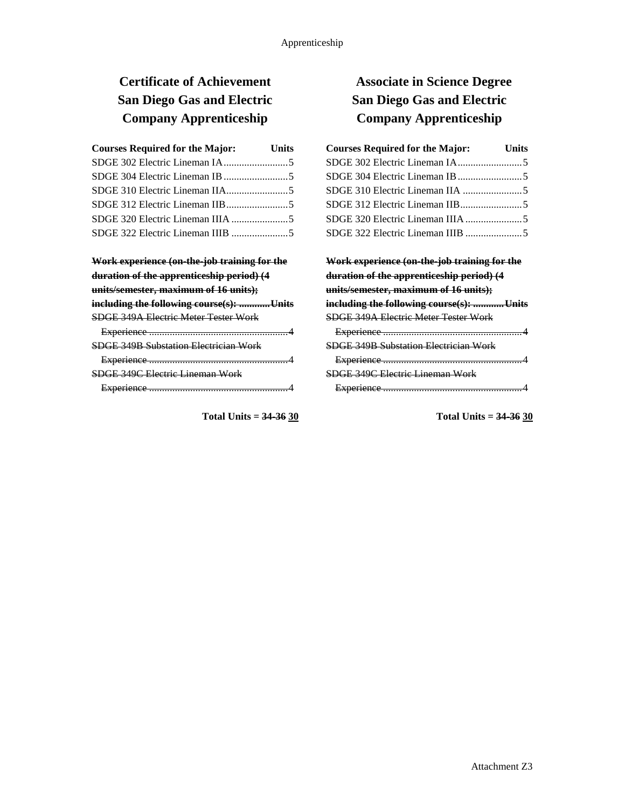# **Certificate of Achievement San Diego Gas and Electric Company Apprenticeship**

| <b>Courses Required for the Major:</b> | <b>Units</b> |
|----------------------------------------|--------------|
|                                        |              |
|                                        |              |
|                                        |              |
|                                        |              |
|                                        |              |
|                                        |              |

| Work experience (on-the-job training for the |  |
|----------------------------------------------|--|
| duration of the apprenticeship period) (4    |  |
| units/semester, maximum of 16 units);        |  |
| including the following course(s): Units     |  |
| <b>SDGE 349A Electric Meter Tester Work</b>  |  |
|                                              |  |
| <b>SDGE 349B Substation Electrician Work</b> |  |
|                                              |  |
| SDGE 349C Electric Lineman Work              |  |

Experience ......................................................4

**Total Units = 34-36 30**

## **Associate in Science Degree San Diego Gas and Electric Company Apprenticeship**

| <b>Courses Required for the Major:</b> | <b>Units</b> |
|----------------------------------------|--------------|
|                                        |              |
|                                        |              |
|                                        |              |
|                                        |              |
|                                        |              |
| SDGE 322 Electric Lineman IIIB 5       |              |

### **Work experience (on-the-job training for the duration of the apprenticeship period) (4 units/semester, maximum of 16 units); including the following course(s): ............Units** SDGE 349A Electric Meter Tester Work Experience ......................................................4 SDGE 349B Substation Electrician Work Experience ......................................................4 SDGE 349C Electric Lineman Work Experience ......................................................4

**Total Units = 34-36 30**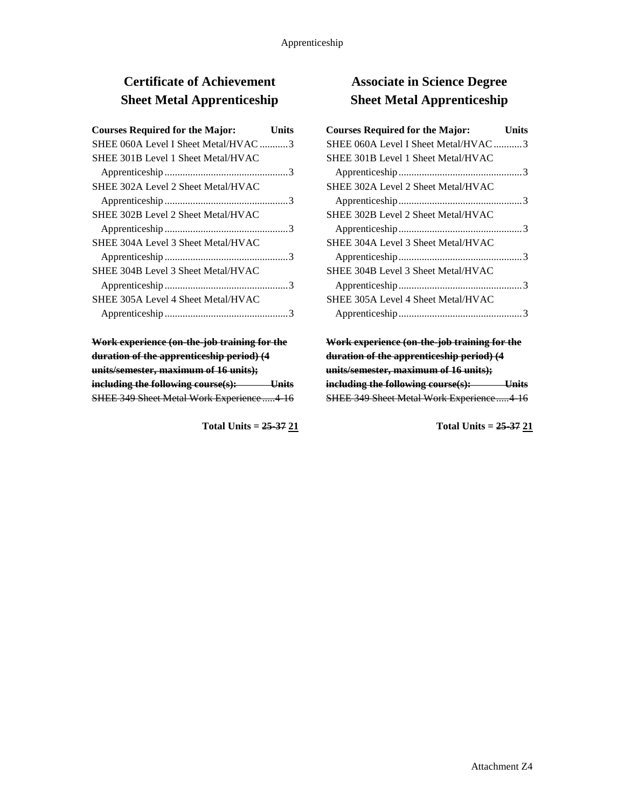# **Certificate of Achievement Sheet Metal Apprenticeship**

| <b>Courses Required for the Major:</b> | Units |
|----------------------------------------|-------|
| SHEE 060A Level I Sheet Metal/HVAC 3   |       |
| SHEE 301B Level 1 Sheet Metal/HVAC     |       |
|                                        |       |
| SHEE 302A Level 2 Sheet Metal/HVAC     |       |
|                                        |       |
| SHEE 302B Level 2 Sheet Metal/HVAC     |       |
|                                        |       |
| SHEE 304A Level 3 Sheet Metal/HVAC     |       |
|                                        |       |
| SHEE 304B Level 3 Sheet Metal/HVAC     |       |
|                                        |       |
| SHEE 305A Level 4 Sheet Metal/HVAC     |       |
|                                        |       |

**Work experience (on-the-job training for the duration of the apprenticeship period) (4 units/semester, maximum of 16 units); including the following course(s): Units** SHEE 349 Sheet Metal Work Experience .....4-16

**Total Units = 25-37 21**

## **Associate in Science Degree Sheet Metal Apprenticeship**

| <b>Courses Required for the Major:</b> | Units |
|----------------------------------------|-------|
| SHEE 060A Level I Sheet Metal/HVAC 3   |       |
| SHEE 301B Level 1 Sheet Metal/HVAC     |       |
|                                        |       |
| SHEE 302A Level 2 Sheet Metal/HVAC     |       |
|                                        |       |
| SHEE 302B Level 2 Sheet Metal/HVAC     |       |
|                                        |       |
| SHEE 304A Level 3 Sheet Metal/HVAC     |       |
|                                        |       |
| SHEE 304B Level 3 Sheet Metal/HVAC     |       |
|                                        |       |
| SHEE 305A Level 4 Sheet Metal/HVAC     |       |
|                                        |       |

**Work experience (on-the-job training for the duration of the apprenticeship period) (4 units/semester, maximum of 16 units); including the following course(s): Units** SHEE 349 Sheet Metal Work Experience.....4-16

**Total Units = 25-37 21**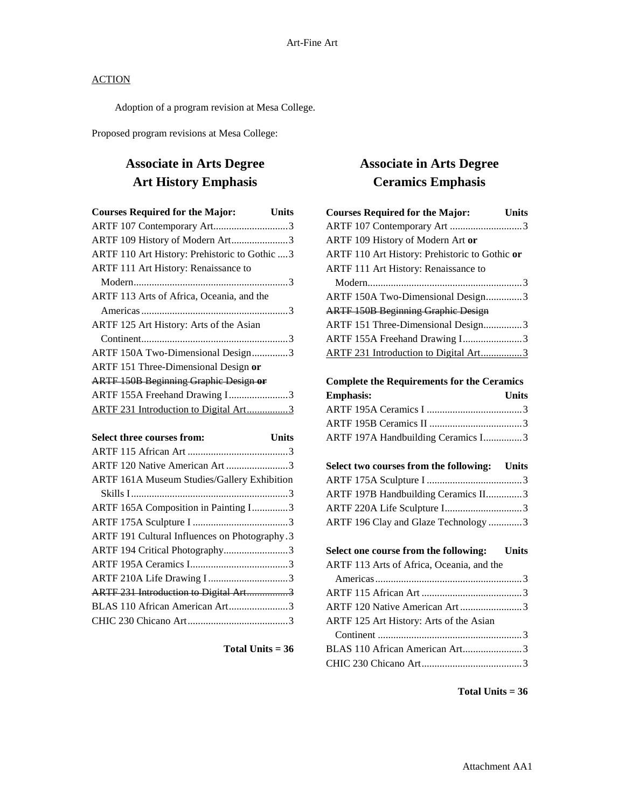Adoption of a program revision at Mesa College.

Proposed program revisions at Mesa College:

## **Associate in Arts Degree Art History Emphasis**

| <b>Courses Required for the Major:</b><br><b>Units</b> |
|--------------------------------------------------------|
| ARTF 107 Contemporary Art3                             |
| ARTF 109 History of Modern Art3                        |
| ARTF 110 Art History: Prehistoric to Gothic  3         |
| ARTF 111 Art History: Renaissance to                   |
|                                                        |
| ARTF 113 Arts of Africa, Oceania, and the              |
|                                                        |
| ARTF 125 Art History: Arts of the Asian                |
|                                                        |
| ARTF 150A Two-Dimensional Design3                      |
| ARTF 151 Three-Dimensional Design or                   |
| <b>ARTF 150B Beginning Graphic Design or</b>           |
| ARTF 155A Freehand Drawing I3                          |
| ARTF 231 Introduction to Digital Art3                  |

| Select three courses from:                         | <b>Units</b> |
|----------------------------------------------------|--------------|
|                                                    |              |
| ARTF 120 Native American Art 3                     |              |
| <b>ARTF 161A Museum Studies/Gallery Exhibition</b> |              |
|                                                    |              |
| ARTF 165A Composition in Painting I3               |              |
|                                                    |              |
| ARTF 191 Cultural Influences on Photography.3      |              |
| ARTF 194 Critical Photography3                     |              |
|                                                    |              |
|                                                    |              |
| ARTF 231 Introduction to Digital Art3              |              |
| BLAS 110 African American Art3                     |              |
|                                                    |              |
|                                                    |              |

**Total Units = 36**

## **Associate in Arts Degree Ceramics Emphasis**

| <b>Courses Required for the Major:</b>         | <b>Units</b> |
|------------------------------------------------|--------------|
| ARTF 107 Contemporary Art 3                    |              |
| ARTF 109 History of Modern Art or              |              |
| ARTF 110 Art History: Prehistoric to Gothic or |              |
| ARTF 111 Art History: Renaissance to           |              |
|                                                |              |
| ARTF 150A Two-Dimensional Design3              |              |
| <b>ARTF 150B Beginning Graphic Design</b>      |              |
| ARTF 151 Three-Dimensional Design3             |              |
| ARTF 155A Freehand Drawing I3                  |              |
| ARTF 231 Introduction to Digital Art3          |              |

**Complete the Requirements for the Ceramics** 

| <b>Emphasis:</b>                   | <b>Units</b> |
|------------------------------------|--------------|
|                                    |              |
|                                    |              |
| ARTF 197A Handbuilding Ceramics I3 |              |

| Select two courses from the following: Units |  |
|----------------------------------------------|--|
|                                              |  |
| ARTF 197B Handbuilding Ceramics II3          |  |
|                                              |  |
| ARTF 196 Clay and Glaze Technology 3         |  |

| Select one course from the following: Units |  |
|---------------------------------------------|--|
| ARTF 113 Arts of Africa, Oceania, and the   |  |
|                                             |  |
|                                             |  |
| ARTF 120 Native American Art3               |  |
| ARTF 125 Art History: Arts of the Asian     |  |
|                                             |  |
|                                             |  |
|                                             |  |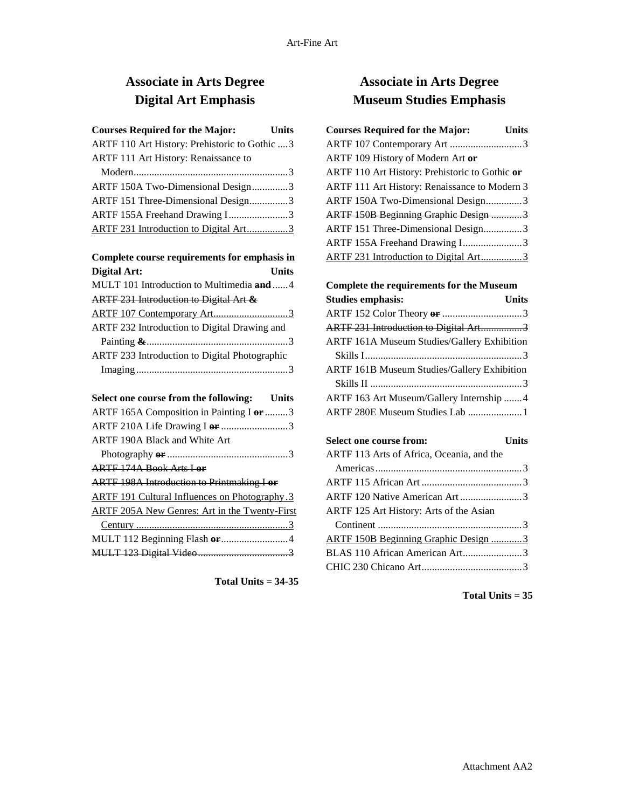# **Associate in Arts Degree Digital Art Emphasis**

| <b>Courses Required for the Major:</b>               | Units        |
|------------------------------------------------------|--------------|
| ARTF 110 Art History: Prehistoric to Gothic  3       |              |
| ARTF 111 Art History: Renaissance to                 |              |
|                                                      |              |
| ARTF 150A Two-Dimensional Design3                    |              |
| ARTF 151 Three-Dimensional Design3                   |              |
| ARTF 155A Freehand Drawing I3                        |              |
| ARTF 231 Introduction to Digital Art3                |              |
| Complete course requirements for emphasis in         |              |
| <b>Digital Art:</b>                                  | <b>Units</b> |
| MULT 101 Introduction to Multimedia and 4            |              |
| ARTF 231 Introduction to Digital Art &               |              |
| ARTF 107 Contemporary Art3                           |              |
| ARTF 232 Introduction to Digital Drawing and         |              |
|                                                      |              |
| ARTF 233 Introduction to Digital Photographic        |              |
|                                                      |              |
| Select one course from the following: Units          |              |
| ARTF 165A Composition in Painting I or 3             |              |
| ARTF 210A Life Drawing I or 3                        |              |
| ARTF 190A Black and White Art                        |              |
|                                                      |              |
| <b>ARTE 174A Book Arts Lor</b>                       |              |
| <b>ARTF 198A Introduction to Printmaking I or</b>    |              |
| <b>ARTF 191 Cultural Influences on Photography.3</b> |              |
| <b>ARTF 205A New Genres: Art in the Twenty-First</b> |              |
|                                                      |              |
|                                                      |              |
|                                                      |              |

**Total Units = 34-35**

## **Associate in Arts Degree Museum Studies Emphasis**

| <b>Courses Required for the Major:</b>         | <b>Units</b> |
|------------------------------------------------|--------------|
| ARTF 107 Contemporary Art 3                    |              |
| ARTF 109 History of Modern Art or              |              |
| ARTF 110 Art History: Prehistoric to Gothic or |              |
| ARTF 111 Art History: Renaissance to Modern 3  |              |
| ARTF 150A Two-Dimensional Design3              |              |
| <b>ARTF 150B Beginning Graphic Design 3</b>    |              |
| ARTF 151 Three-Dimensional Design3             |              |
| ARTF 155A Freehand Drawing I3                  |              |
| ARTF 231 Introduction to Digital Art3          |              |

### **Complete the requirements for the Museum Studies emphasis: Units** ARTF 152 Color Theory **or** ...............................3 ARTF 231 Introduction to Digital Art.................3 ARTF 161A Museum Studies/Gallery Exhibition Skills I.............................................................3 ARTF 161B Museum Studies/Gallery Exhibition Skills II ...........................................................3 ARTF 163 Art Museum/Gallery Internship .......4

ARTF 280E Museum Studies Lab .....................1

| Select one course from:                     | <b>Units</b> |
|---------------------------------------------|--------------|
| ARTF 113 Arts of Africa, Oceania, and the   |              |
|                                             |              |
|                                             |              |
|                                             |              |
| ARTF 125 Art History: Arts of the Asian     |              |
|                                             |              |
| <b>ARTF 150B Beginning Graphic Design 3</b> |              |
| BLAS 110 African American Art3              |              |
|                                             |              |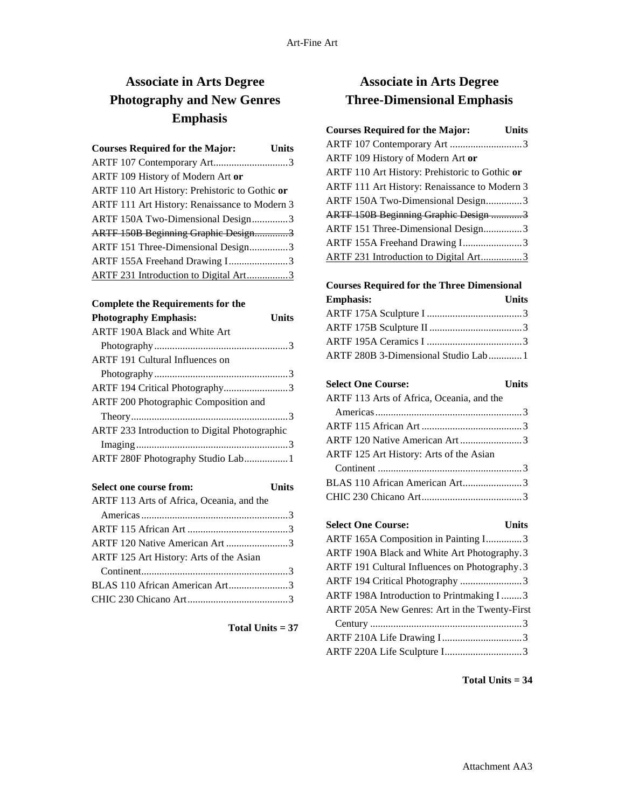## **Associate in Arts Degree Photography and New Genres Emphasis**

| <b>Courses Required for the Major:</b>         | <b>Units</b> |
|------------------------------------------------|--------------|
| ARTF 107 Contemporary Art3                     |              |
| ARTF 109 History of Modern Art or              |              |
| ARTF 110 Art History: Prehistoric to Gothic or |              |
| ARTF 111 Art History: Renaissance to Modern 3  |              |
| ARTF 150A Two-Dimensional Design3              |              |
| ARTF 150B Beginning Graphic Design3            |              |
| ARTF 151 Three-Dimensional Design3             |              |
| ARTF 155A Freehand Drawing I3                  |              |
| ARTF 231 Introduction to Digital Art3          |              |

#### **Complete the Requirements for the**

| <b>Photography Emphasis:</b>                  | Units |
|-----------------------------------------------|-------|
| ARTF 190A Black and White Art                 |       |
|                                               |       |
| <b>ARTF 191 Cultural Influences on</b>        |       |
|                                               |       |
| ARTF 194 Critical Photography3                |       |
| ARTF 200 Photographic Composition and         |       |
|                                               |       |
| ARTF 233 Introduction to Digital Photographic |       |
|                                               |       |
| ARTF 280F Photography Studio Lab 1            |       |

| Select one course from:                   | <b>Units</b> |
|-------------------------------------------|--------------|
| ARTF 113 Arts of Africa, Oceania, and the |              |
|                                           |              |
|                                           |              |
| ARTF 120 Native American Art 3            |              |
| ARTF 125 Art History: Arts of the Asian   |              |
|                                           |              |
| BLAS 110 African American Art3            |              |
|                                           |              |
|                                           |              |

**Total Units = 37**

## **Associate in Arts Degree Three-Dimensional Emphasis**

| <b>Courses Required for the Major:</b>         | <b>Units</b> |
|------------------------------------------------|--------------|
| ARTF 107 Contemporary Art 3                    |              |
| ARTF 109 History of Modern Art or              |              |
| ARTF 110 Art History: Prehistoric to Gothic or |              |
| ARTF 111 Art History: Renaissance to Modern 3  |              |
| ARTF 150A Two-Dimensional Design3              |              |
| <b>ARTF 150B Beginning Graphic Design 3</b>    |              |
| ARTF 151 Three-Dimensional Design3             |              |
| ARTF 155A Freehand Drawing I3                  |              |
| ARTF 231 Introduction to Digital Art3          |              |

### **Courses Required for the Three Dimensional**

| <b>Emphasis:</b>                    | Units |
|-------------------------------------|-------|
|                                     |       |
|                                     |       |
|                                     |       |
| ARTF 280B 3-Dimensional Studio Lab1 |       |

**Select One Course: Units** ARTF 113 Arts of Africa, Oceania, and the Americas.........................................................3 ARTF 115 African Art .......................................3 ARTF 120 Native American Art ........................3 ARTF 125 Art History: Arts of the Asian Continent ........................................................3 BLAS 110 African American Art.......................3 CHIC 230 Chicano Art.......................................3

**Select One Course: Units** ARTF 165A Composition in Painting I..............3 ARTF 190A Black and White Art Photography.3 ARTF 191 Cultural Influences on Photography.3 ARTF 194 Critical Photography ........................3 ARTF 198A Introduction to Printmaking I........3 ARTF 205A New Genres: Art in the Twenty-First Century ...........................................................3 ARTF 210A Life Drawing I...............................3 ARTF 220A Life Sculpture I..............................3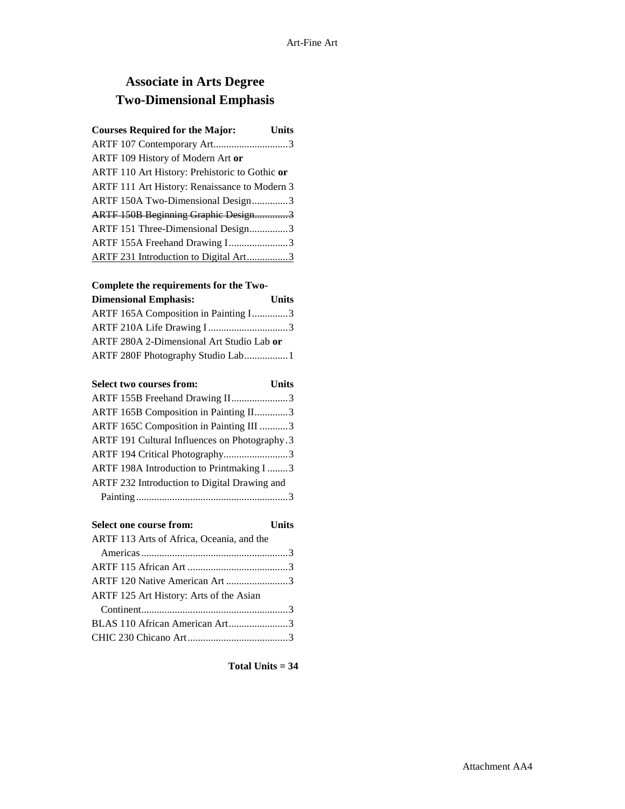# **Associate in Arts Degree Two-Dimensional Emphasis**

| <b>Courses Required for the Major:</b>         | <b>Units</b> |
|------------------------------------------------|--------------|
| ARTF 107 Contemporary Art3                     |              |
| ARTF 109 History of Modern Art or              |              |
| ARTF 110 Art History: Prehistoric to Gothic or |              |
| ARTF 111 Art History: Renaissance to Modern 3  |              |
| ARTF 150A Two-Dimensional Design3              |              |
| ARTF 150B Beginning Graphic Design3            |              |
| ARTF 151 Three-Dimensional Design3             |              |
| ARTF 155A Freehand Drawing I3                  |              |
| ARTF 231 Introduction to Digital Art3          |              |

### **Complete the requirements for the Two-**

| <b>Dimensional Emphasis:</b>              | <b>Units</b> |
|-------------------------------------------|--------------|
| ARTF 165A Composition in Painting I3      |              |
| ARTF 210A Life Drawing I3                 |              |
| ARTF 280A 2-Dimensional Art Studio Lab or |              |
| ARTF 280F Photography Studio Lab1         |              |
|                                           |              |

| <b>Select two courses from:</b>               | <b>Units</b> |
|-----------------------------------------------|--------------|
| ARTF 155B Freehand Drawing II3                |              |
| ARTF 165B Composition in Painting II3         |              |
| ARTF 165C Composition in Painting III 3       |              |
| ARTF 191 Cultural Influences on Photography.3 |              |
| ARTF 194 Critical Photography3                |              |
| ARTF 198A Introduction to Printmaking I3      |              |
| ARTF 232 Introduction to Digital Drawing and  |              |
|                                               |              |

| Select one course from:                   | <b>Units</b> |
|-------------------------------------------|--------------|
| ARTF 113 Arts of Africa, Oceania, and the |              |
|                                           |              |
|                                           |              |
| ARTF 120 Native American Art 3            |              |
| ARTF 125 Art History: Arts of the Asian   |              |
|                                           |              |
| BLAS 110 African American Art3            |              |
|                                           |              |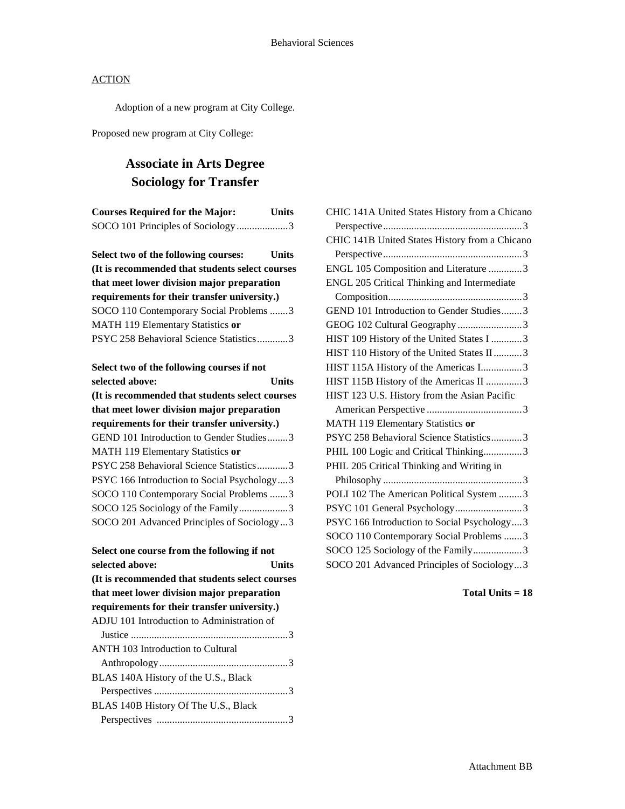Adoption of a new program at City College.

Proposed new program at City College:

# **Associate in Arts Degree Sociology for Transfer**

| <b>Courses Required for the Major:</b><br><b>Units</b> |  |
|--------------------------------------------------------|--|
| SOCO 101 Principles of Sociology3                      |  |
|                                                        |  |
| Select two of the following courses:<br>Units          |  |
| (It is recommended that students select courses        |  |
| that meet lower division major preparation             |  |
| requirements for their transfer university.)           |  |
| SOCO 110 Contemporary Social Problems 3                |  |
| MATH 119 Elementary Statistics or                      |  |
| PSYC 258 Behavioral Science Statistics3                |  |
|                                                        |  |
| Select two of the following courses if not             |  |
| Units<br>selected above:                               |  |
| (It is recommended that students select courses        |  |
| that meet lower division major preparation             |  |
| requirements for their transfer university.)           |  |
| GEND 101 Introduction to Gender Studies3               |  |
| MATH 119 Elementary Statistics or                      |  |
| PSYC 258 Behavioral Science Statistics3                |  |

| <u>i p i c 200 Dena noiai percire paaino ministroni</u> |
|---------------------------------------------------------|
| PSYC 166 Introduction to Social Psychology3             |
| SOCO 110 Contemporary Social Problems 3                 |
| SOCO 125 Sociology of the Family3                       |
| SOCO 201 Advanced Principles of Sociology3              |

| Select one course from the following if not     |       |
|-------------------------------------------------|-------|
| selected above:                                 | Units |
| (It is recommended that students select courses |       |
| that meet lower division major preparation      |       |
| requirements for their transfer university.)    |       |
| ADJU 101 Introduction to Administration of      |       |
|                                                 |       |
| <b>ANTH 103 Introduction to Cultural</b>        |       |
|                                                 |       |
| BLAS 140A History of the U.S., Black            |       |
|                                                 |       |
| BLAS 140B History Of The U.S., Black            |       |
|                                                 |       |

| CHIC 141A United States History from a Chicano |
|------------------------------------------------|
|                                                |
| CHIC 141B United States History from a Chicano |
|                                                |
| ENGL 105 Composition and Literature 3          |
| ENGL 205 Critical Thinking and Intermediate    |
|                                                |
| GEND 101 Introduction to Gender Studies3       |
| GEOG 102 Cultural Geography 3                  |
| HIST 109 History of the United States I 3      |
| HIST 110 History of the United States II 3     |
| HIST 115A History of the Americas I3           |
| HIST 115B History of the Americas II 3         |
| HIST 123 U.S. History from the Asian Pacific   |
|                                                |
| MATH 119 Elementary Statistics or              |
| PSYC 258 Behavioral Science Statistics3        |
| PHIL 100 Logic and Critical Thinking3          |
| PHIL 205 Critical Thinking and Writing in      |
|                                                |
| POLI 102 The American Political System 3       |
| PSYC 101 General Psychology3                   |
| PSYC 166 Introduction to Social Psychology3    |
| SOCO 110 Contemporary Social Problems 3        |
| SOCO 125 Sociology of the Family3              |
| SOCO 201 Advanced Principles of Sociology3     |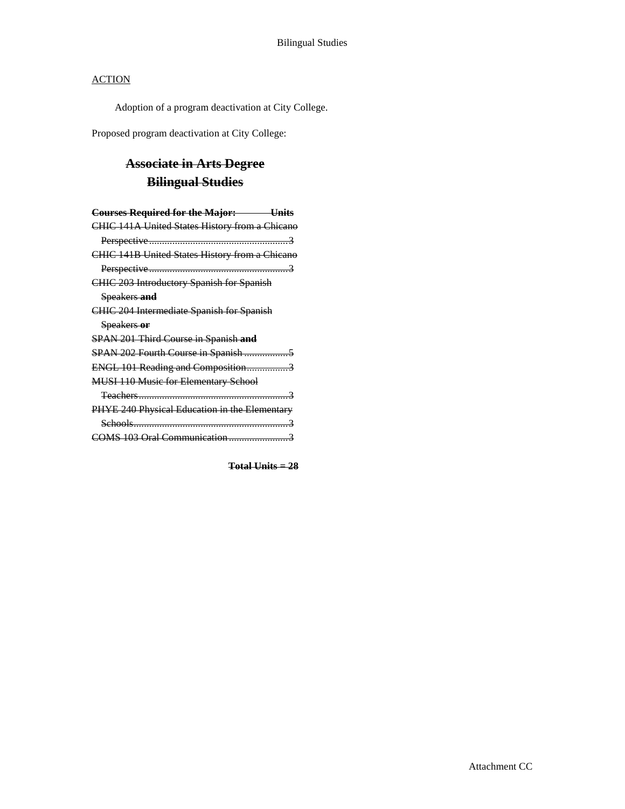Adoption of a program deactivation at City College.

Proposed program deactivation at City College:

# **Associate in Arts Degree Bilingual Studies**

| <b>Courses Required for the Major:</b> Units     |
|--------------------------------------------------|
| CHIC 141A United States History from a Chicano   |
|                                                  |
| CHIC 141B United States History from a Chicano   |
|                                                  |
| <b>CHIC 203 Introductory Spanish for Spanish</b> |
| Speakers and                                     |
| <b>CHIC 204 Intermediate Spanish for Spanish</b> |
| Speakers or                                      |
| SPAN 201 Third Course in Spanish and             |
|                                                  |
| ENGL 101 Reading and Composition3                |
| <b>MUSI 110 Music for Elementary School</b>      |
|                                                  |
| PHYE 240 Physical Education in the Elementary    |
|                                                  |
| OMS 103 Oral Communication                       |
|                                                  |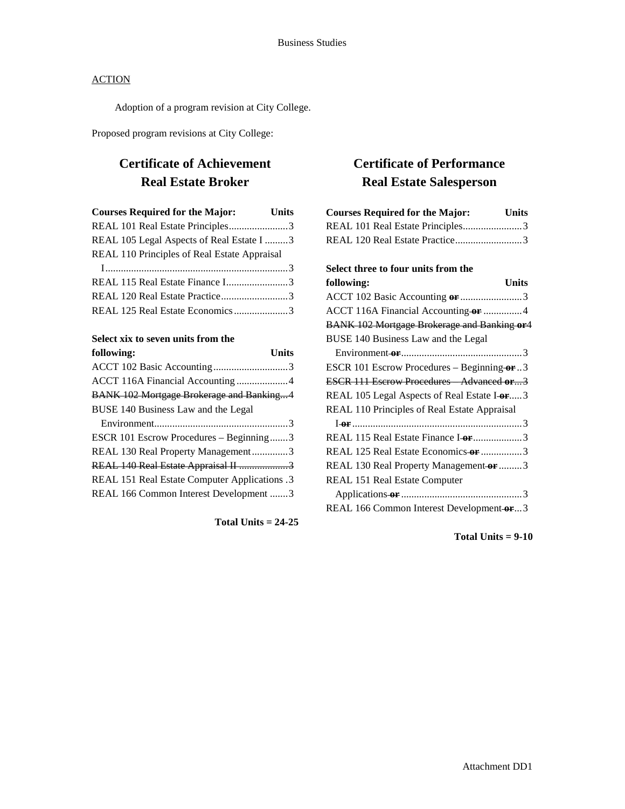Adoption of a program revision at City College.

Proposed program revisions at City College:

## **Certificate of Achievement Real Estate Broker**

| <b>Courses Required for the Major:</b> Units |  |
|----------------------------------------------|--|
| REAL 101 Real Estate Principles3             |  |
| REAL 105 Legal Aspects of Real Estate I 3    |  |
| REAL 110 Principles of Real Estate Appraisal |  |
|                                              |  |
| REAL 115 Real Estate Finance I3              |  |
| REAL 120 Real Estate Practice3               |  |
| REAL 125 Real Estate Economics3              |  |

## **Select xix to seven units from the**

| following:                                    | <b>Units</b> |
|-----------------------------------------------|--------------|
|                                               |              |
| ACCT 116A Financial Accounting 4              |              |
| BANK 102 Mortgage Brokerage and Banking4      |              |
| BUSE 140 Business Law and the Legal           |              |
|                                               |              |
| ESCR 101 Escrow Procedures - Beginning3       |              |
| REAL 130 Real Property Management3            |              |
| REAL 140 Real Estate Appraisal II 3           |              |
| REAL 151 Real Estate Computer Applications .3 |              |
| REAL 166 Common Interest Development 3        |              |
|                                               |              |

**Total Units = 24-25**

## **Certificate of Performance Real Estate Salesperson**

| <b>Courses Required for the Major:</b><br>Units     |
|-----------------------------------------------------|
| REAL 101 Real Estate Principles3                    |
| REAL 120 Real Estate Practice3                      |
|                                                     |
| Select three to four units from the                 |
| following:<br><b>Units</b>                          |
| ACCT 102 Basic Accounting or 3                      |
| ACCT 116A Financial Accounting or 4                 |
| <b>BANK 102 Mortgage Brokerage and Banking or 4</b> |
| BUSE 140 Business Law and the Legal                 |
|                                                     |
| ESCR 101 Escrow Procedures - Beginning-or3          |
| <b>ESCR 111 Escrow Procedures</b> Advanced or3      |
| REAL 105 Legal Aspects of Real Estate I-or3         |
| REAL 110 Principles of Real Estate Appraisal        |
|                                                     |
| REAL 115 Real Estate Finance I-or 3                 |
| REAL 125 Real Estate Economics-or 3                 |
| REAL 130 Real Property Management or 3              |
| REAL 151 Real Estate Computer                       |
|                                                     |
| REAL 166 Common Interest Development-or3            |

**Total Units = 9-10**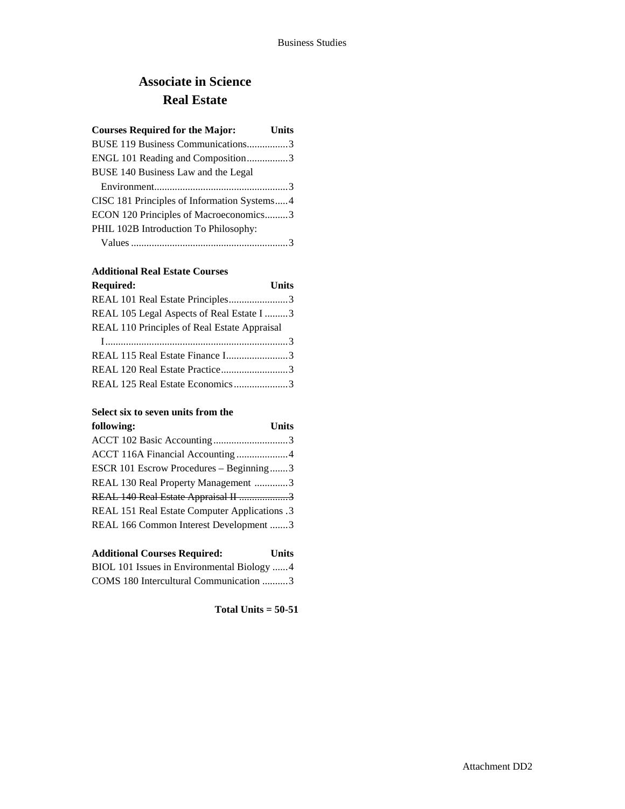# **Associate in Science Real Estate**

| <b>Courses Required for the Major:</b><br><b>Units</b> |
|--------------------------------------------------------|
| BUSE 119 Business Communications3                      |
| ENGL 101 Reading and Composition3                      |
| BUSE 140 Business Law and the Legal                    |
|                                                        |
| CISC 181 Principles of Information Systems4            |
| ECON 120 Principles of Macroeconomics3                 |
| PHIL 102B Introduction To Philosophy:                  |
|                                                        |

### **Additional Real Estate Courses**

| <b>Required:</b>                             | <b>Units</b> |
|----------------------------------------------|--------------|
| REAL 101 Real Estate Principles3             |              |
| REAL 105 Legal Aspects of Real Estate I 3    |              |
| REAL 110 Principles of Real Estate Appraisal |              |
|                                              |              |
| REAL 115 Real Estate Finance I3              |              |
| REAL 120 Real Estate Practice3               |              |
| REAL 125 Real Estate Economics3              |              |

### **Select six to seven units from the**

| following:                                    | <b>Units</b> |
|-----------------------------------------------|--------------|
|                                               |              |
| ACCT 116A Financial Accounting4               |              |
| ESCR 101 Escrow Procedures – Beginning3       |              |
| REAL 130 Real Property Management 3           |              |
| REAL 140 Real Estate Appraisal II 3           |              |
| REAL 151 Real Estate Computer Applications .3 |              |
| REAL 166 Common Interest Development 3        |              |

| <b>Additional Courses Required:</b>        | <b>Units</b> |
|--------------------------------------------|--------------|
| BIOL 101 Issues in Environmental Biology 4 |              |
| COMS 180 Intercultural Communication 3     |              |

**Total Units = 50-51**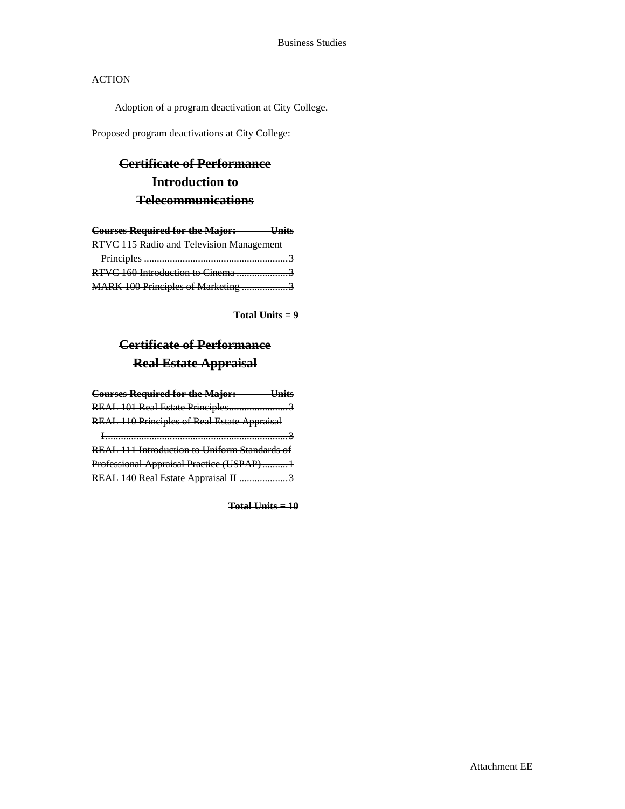Adoption of a program deactivation at City College.

Proposed program deactivations at City College:

# **Certificate of Performance Introduction to Telecommunications**

| <b>Courses Required for the Major:</b> Units |  |
|----------------------------------------------|--|
| RTVC 115 Radio and Television Management     |  |
|                                              |  |
| RTVC 160 Introduction to Cinema 3            |  |
| MARK 100 Principles of Marketing 3           |  |

**Total Units = 9**

# **Certificate of Performance Real Estate Appraisal**

| <b>Courses Required for the Major:</b> Units        |  |
|-----------------------------------------------------|--|
| REAL 101 Real Estate Principles3                    |  |
| <b>REAL 110 Principles of Real Estate Appraisal</b> |  |
|                                                     |  |
| REAL 111 Introduction to Uniform Standards of       |  |
| Professional Appraisal Practice (USPAP)1            |  |
| REAL 140 Real Estate Appraisal II 3                 |  |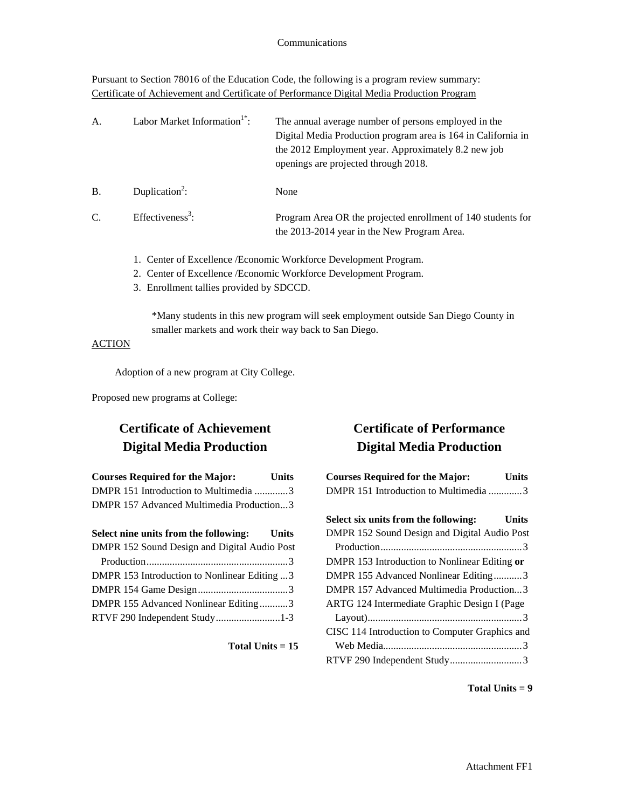Pursuant to Section 78016 of the Education Code, the following is a program review summary: Certificate of Achievement and Certificate of Performance Digital Media Production Program

| A.        | Labor Market Information <sup>1</sup> <sup>*</sup> : | The annual average number of persons employed in the<br>Digital Media Production program area is 164 in California in<br>the 2012 Employment year. Approximately 8.2 new job<br>openings are projected through 2018. |
|-----------|------------------------------------------------------|----------------------------------------------------------------------------------------------------------------------------------------------------------------------------------------------------------------------|
| <b>B.</b> | Duplication <sup>2</sup> :                           | None                                                                                                                                                                                                                 |
| C.        | Effectiveness <sup>3</sup> :                         | Program Area OR the projected enrollment of 140 students for<br>the 2013-2014 year in the New Program Area.                                                                                                          |

- 1. Center of Excellence /Economic Workforce Development Program.
- 2. Center of Excellence /Economic Workforce Development Program.
- 3. Enrollment tallies provided by SDCCD.

\*Many students in this new program will seek employment outside San Diego County in smaller markets and work their way back to San Diego.

### **ACTION**

Adoption of a new program at City College.

Proposed new programs at College:

## **Certificate of Achievement Digital Media Production**

| <b>Courses Required for the Major:</b>       | <b>Units</b> |
|----------------------------------------------|--------------|
| DMPR 151 Introduction to Multimedia 3        |              |
| DMPR 157 Advanced Multimedia Production3     |              |
|                                              |              |
| Select nine units from the following: Units  |              |
| DMPR 152 Sound Design and Digital Audio Post |              |
|                                              |              |
| DMPR 153 Introduction to Nonlinear Editing 3 |              |
|                                              |              |
| DMPR 155 Advanced Nonlinear Editing3         |              |
| RTVF 290 Independent Study1-3                |              |

**Total Units = 15**

## **Certificate of Performance Digital Media Production**

| <b>Courses Required for the Major:</b>         | Units |
|------------------------------------------------|-------|
| DMPR 151 Introduction to Multimedia 3          |       |
|                                                |       |
| Select six units from the following:           | Units |
| DMPR 152 Sound Design and Digital Audio Post   |       |
|                                                |       |
| DMPR 153 Introduction to Nonlinear Editing or  |       |
| DMPR 155 Advanced Nonlinear Editing3           |       |
| DMPR 157 Advanced Multimedia Production3       |       |
| ARTG 124 Intermediate Graphic Design I (Page   |       |
|                                                |       |
| CISC 114 Introduction to Computer Graphics and |       |
|                                                |       |
|                                                |       |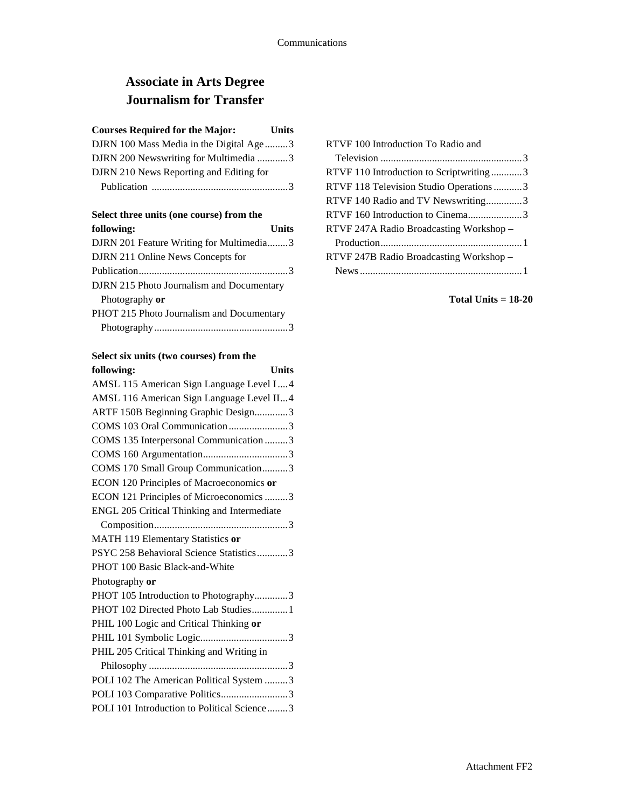# **Associate in Arts Degree Journalism for Transfer**

### **Courses Required for the Major: Units**

| DJRN 100 Mass Media in the Digital Age3 |  |
|-----------------------------------------|--|
| DJRN 200 Newswriting for Multimedia3    |  |
| DJRN 210 News Reporting and Editing for |  |
|                                         |  |

#### **Select three units (one course) from the**

| following:<br><b>Units</b>                |  |
|-------------------------------------------|--|
| DJRN 201 Feature Writing for Multimedia3  |  |
| DJRN 211 Online News Concepts for         |  |
|                                           |  |
| DJRN 215 Photo Journalism and Documentary |  |
| Photography or                            |  |
| PHOT 215 Photo Journalism and Documentary |  |
|                                           |  |

# **Select six units (two courses) from the**

| <b>Units</b><br>following:                  |
|---------------------------------------------|
| AMSL 115 American Sign Language Level I4    |
| AMSL 116 American Sign Language Level II4   |
| ARTF 150B Beginning Graphic Design3         |
| COMS 103 Oral Communication 3               |
| COMS 135 Interpersonal Communication 3      |
|                                             |
| COMS 170 Small Group Communication3         |
| ECON 120 Principles of Macroeconomics or    |
| ECON 121 Principles of Microeconomics 3     |
| ENGL 205 Critical Thinking and Intermediate |
|                                             |
| MATH 119 Elementary Statistics or           |
| PSYC 258 Behavioral Science Statistics3     |
| PHOT 100 Basic Black-and-White              |
| Photography or                              |
| PHOT 105 Introduction to Photography3       |
| PHOT 102 Directed Photo Lab Studies1        |
| PHIL 100 Logic and Critical Thinking or     |
|                                             |
| PHIL 205 Critical Thinking and Writing in   |
|                                             |
| POLI 102 The American Political System 3    |
| POLI 103 Comparative Politics3              |
| POLI 101 Introduction to Political Science3 |
|                                             |

| RTVF 100 Introduction To Radio and      |  |
|-----------------------------------------|--|
|                                         |  |
| RTVF 110 Introduction to Scriptwriting3 |  |
| RTVF 118 Television Studio Operations 3 |  |
| RTVF 140 Radio and TV Newswriting3      |  |
| RTVF 160 Introduction to Cinema3        |  |
| RTVF 247A Radio Broadcasting Workshop – |  |
|                                         |  |
| RTVF 247B Radio Broadcasting Workshop - |  |
|                                         |  |
|                                         |  |

### **Total Units = 18-20**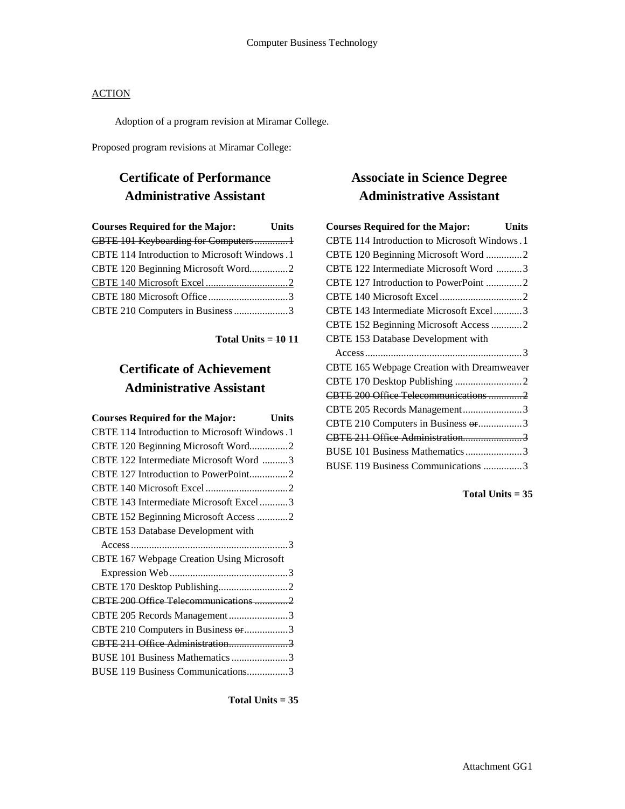Adoption of a program revision at Miramar College.

Proposed program revisions at Miramar College:

# **Certificate of Performance Administrative Assistant**

| <b>Courses Required for the Major:</b>       | <b>Units</b> |
|----------------------------------------------|--------------|
| CBTE 101 Keyboarding for Computers1          |              |
| CBTE 114 Introduction to Microsoft Windows.1 |              |
| CBTE 120 Beginning Microsoft Word2           |              |
|                                              |              |
|                                              |              |
| CBTE 210 Computers in Business 3             |              |

**Total Units = 10 11**

# **Certificate of Achievement Administrative Assistant**

| <b>Courses Required for the Major:</b>       | <b>Units</b> |
|----------------------------------------------|--------------|
| CBTE 114 Introduction to Microsoft Windows.1 |              |
| CBTE 120 Beginning Microsoft Word2           |              |
| CBTE 122 Intermediate Microsoft Word 3       |              |
| CBTE 127 Introduction to PowerPoint2         |              |
|                                              |              |
| CBTE 143 Intermediate Microsoft Excel3       |              |
| CBTE 152 Beginning Microsoft Access 2        |              |
| CBTE 153 Database Development with           |              |
|                                              |              |
| CBTE 167 Webpage Creation Using Microsoft    |              |
|                                              |              |
|                                              |              |
| CBTE 200 Office Telecommunications 2         |              |
| CBTE 205 Records Management3                 |              |
| CBTE 210 Computers in Business or 3          |              |
|                                              |              |
| BUSE 101 Business Mathematics 3              |              |
| BUSE 119 Business Communications3            |              |

**Total Units = 35**

# **Associate in Science Degree Administrative Assistant**

| <b>Courses Required for the Major:</b>       | Units |
|----------------------------------------------|-------|
| CBTE 114 Introduction to Microsoft Windows.1 |       |
| CBTE 120 Beginning Microsoft Word 2          |       |
| CBTE 122 Intermediate Microsoft Word 3       |       |
| CBTE 127 Introduction to PowerPoint 2        |       |
|                                              |       |
| CBTE 143 Intermediate Microsoft Excel3       |       |
| CBTE 152 Beginning Microsoft Access 2        |       |
| CBTE 153 Database Development with           |       |
|                                              |       |
| CBTE 165 Webpage Creation with Dreamweaver   |       |
|                                              |       |
| CBTE 200 Office Telecommunications 2         |       |
| CBTE 205 Records Management3                 |       |
| CBTE 210 Computers in Business or3           |       |
| CBTE 211 Office Administration3              |       |
| BUSE 101 Business Mathematics3               |       |
| BUSE 119 Business Communications 3           |       |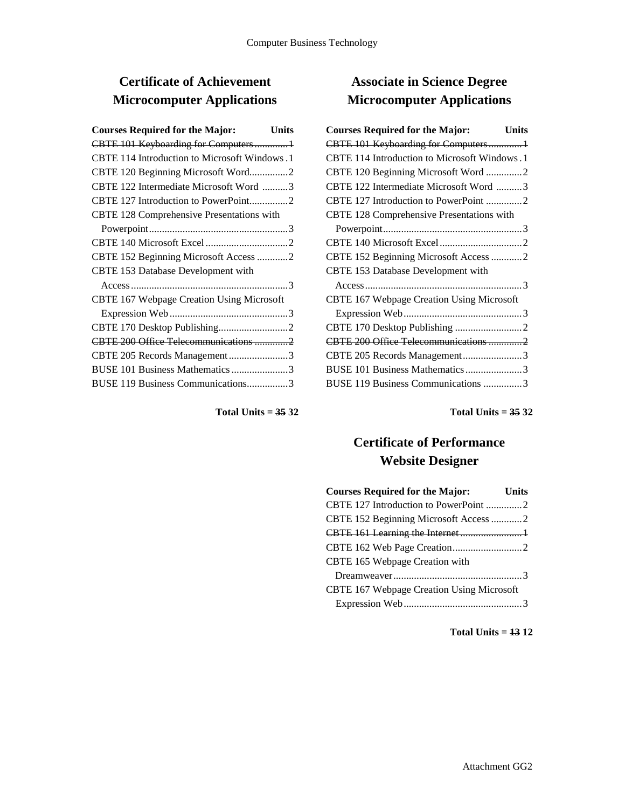# **Certificate of Achievement Microcomputer Applications**

| <b>Courses Required for the Major:</b><br>Units |  |
|-------------------------------------------------|--|
| CBTE 101 Keyboarding for Computers1             |  |
| CBTE 114 Introduction to Microsoft Windows.1    |  |
| CBTE 120 Beginning Microsoft Word2              |  |
| CBTE 122 Intermediate Microsoft Word 3          |  |
| CBTE 127 Introduction to PowerPoint2            |  |
| CBTE 128 Comprehensive Presentations with       |  |
|                                                 |  |
|                                                 |  |
| CBTE 152 Beginning Microsoft Access 2           |  |
| CBTE 153 Database Development with              |  |
|                                                 |  |
| CBTE 167 Webpage Creation Using Microsoft       |  |
|                                                 |  |
|                                                 |  |
| CBTE 200 Office Telecommunications 2            |  |
| CBTE 205 Records Management3                    |  |
| BUSE 101 Business Mathematics 3                 |  |
| BUSE 119 Business Communications3               |  |
|                                                 |  |

**Total Units = 35 32**

# **Associate in Science Degree Microcomputer Applications**

| <b>Courses Required for the Major:</b>       | Units |
|----------------------------------------------|-------|
| CBTE 101 Keyboarding for Computers1          |       |
| CBTE 114 Introduction to Microsoft Windows.1 |       |
| CBTE 120 Beginning Microsoft Word 2          |       |
| CBTE 122 Intermediate Microsoft Word 3       |       |
| CBTE 127 Introduction to PowerPoint 2        |       |
| CBTE 128 Comprehensive Presentations with    |       |
|                                              |       |
|                                              |       |
| CBTE 152 Beginning Microsoft Access 2        |       |
| CBTE 153 Database Development with           |       |
|                                              |       |
| CBTE 167 Webpage Creation Using Microsoft    |       |
|                                              |       |
|                                              |       |
| CBTE 200 Office Telecommunications 2         |       |
| CBTE 205 Records Management3                 |       |
| BUSE 101 Business Mathematics3               |       |
| BUSE 119 Business Communications 3           |       |
|                                              |       |

**Total Units = 35 32**

## **Certificate of Performance Website Designer**

| <b>Courses Required for the Major:</b>    | <b>Units</b> |
|-------------------------------------------|--------------|
| CBTE 127 Introduction to PowerPoint 2     |              |
| CBTE 152 Beginning Microsoft Access 2     |              |
|                                           |              |
|                                           |              |
| CBTE 165 Webpage Creation with            |              |
|                                           |              |
| CBTE 167 Webpage Creation Using Microsoft |              |
|                                           |              |

**Total Units = 13 12**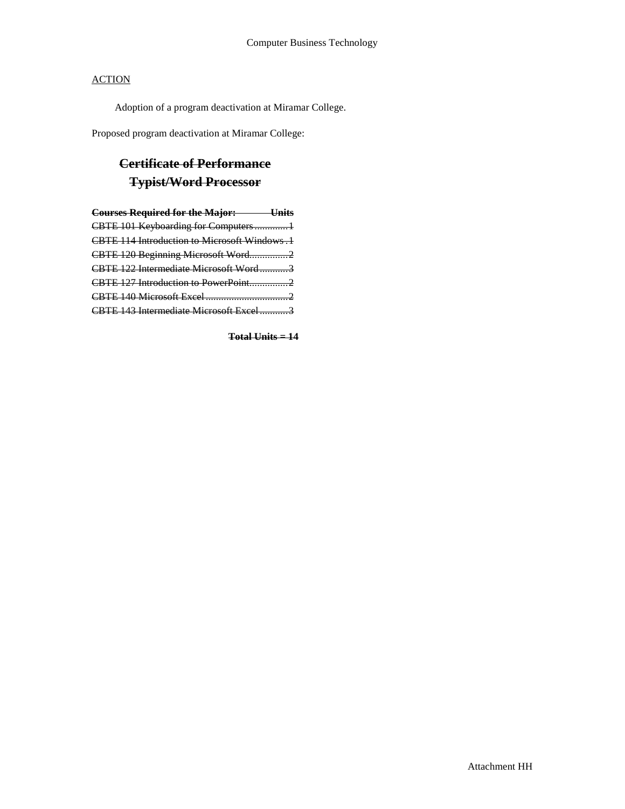Adoption of a program deactivation at Miramar College.

Proposed program deactivation at Miramar College:

# **Certificate of Performance Typist/Word Processor**

| <b>Courses Required for the Major: Units</b> |  |
|----------------------------------------------|--|
| CBTE 101 Keyboarding for Computers1          |  |
| CBTE 114 Introduction to Microsoft Windows.1 |  |
| CBTE 120 Beginning Microsoft Word2           |  |
| CBTE 122 Intermediate Microsoft Word3        |  |
| CBTE 127 Introduction to PowerPoint2         |  |
|                                              |  |
| CBTE 143 Intermediate Microsoft Excel3       |  |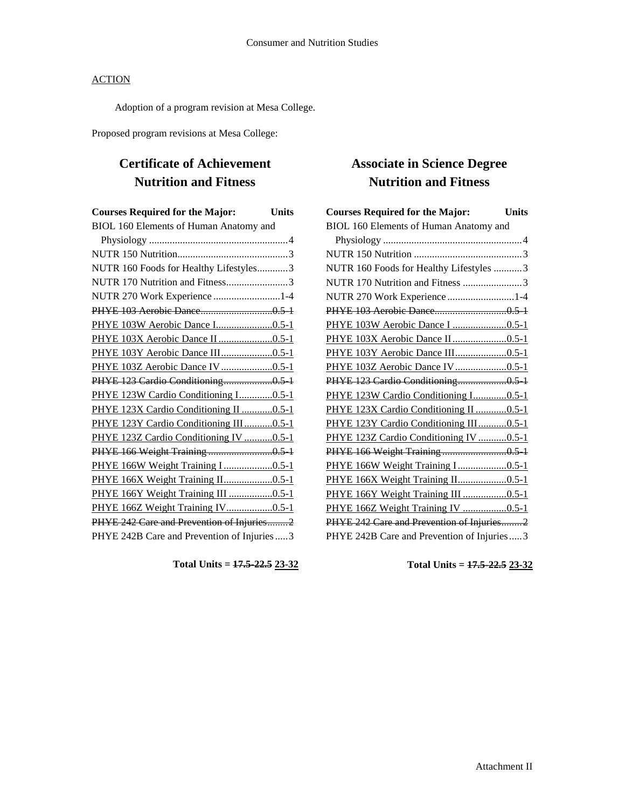Adoption of a program revision at Mesa College.

Proposed program revisions at Mesa College:

## **Certificate of Achievement Nutrition and Fitness**

| <b>Courses Required for the Major:</b>       | <b>Units</b> |
|----------------------------------------------|--------------|
| BIOL 160 Elements of Human Anatomy and       |              |
|                                              |              |
|                                              |              |
| NUTR 160 Foods for Healthy Lifestyles3       |              |
| NUTR 170 Nutrition and Fitness3              |              |
| NUTR 270 Work Experience 1-4                 |              |
|                                              |              |
|                                              |              |
| PHYE 103X Aerobic Dance II 0.5-1             |              |
| PHYE 103Y Aerobic Dance III0.5-1             |              |
| PHYE 103Z Aerobic Dance IV0.5-1              |              |
| PHYE 123 Cardio Conditioning0.5-1            |              |
| PHYE 123W Cardio Conditioning I0.5-1         |              |
| PHYE 123X Cardio Conditioning II 0.5-1       |              |
| PHYE 123Y Cardio Conditioning III0.5-1       |              |
| PHYE 123Z Cardio Conditioning IV 0.5-1       |              |
| PHYE 166 Weight Training0.5-1                |              |
| PHYE 166W Weight Training I 0.5-1            |              |
| PHYE 166X Weight Training II0.5-1            |              |
| PHYE 166Y Weight Training III 0.5-1          |              |
| PHYE 166Z Weight Training IV0.5-1            |              |
| PHYE 242 Care and Prevention of Injuries2    |              |
| PHYE 242B Care and Prevention of Injuries  3 |              |

**Total Units = 17.5-22.5 23-32**

# **Associate in Science Degree Nutrition and Fitness**

| <b>Courses Required for the Major:</b>     | <b>Units</b> |
|--------------------------------------------|--------------|
| BIOL 160 Elements of Human Anatomy and     |              |
|                                            |              |
|                                            |              |
| NUTR 160 Foods for Healthy Lifestyles 3    |              |
| NUTR 170 Nutrition and Fitness 3           |              |
| NUTR 270 Work Experience 1-4               |              |
|                                            |              |
|                                            |              |
| PHYE 103X Aerobic Dance II0.5-1            |              |
| PHYE 103Y Aerobic Dance III0.5-1           |              |
| PHYE 103Z Aerobic Dance IV0.5-1            |              |
| PHYE 123 Cardio Conditioning0.5 1          |              |
| PHYE 123W Cardio Conditioning I0.5-1       |              |
| PHYE 123X Cardio Conditioning II  0.5-1    |              |
| PHYE 123Y Cardio Conditioning III0.5-1     |              |
| PHYE 123Z Cardio Conditioning IV 0.5-1     |              |
|                                            |              |
| PHYE 166W Weight Training I 0.5-1          |              |
| PHYE 166X Weight Training II0.5-1          |              |
| PHYE 166Y Weight Training III 0.5-1        |              |
| PHYE 166Z Weight Training IV 0.5-1         |              |
| PHYE 242 Care and Prevention of Injuries2  |              |
| PHYE 242B Care and Prevention of Injuries3 |              |

**Total Units = 17.5-22.5 23-32**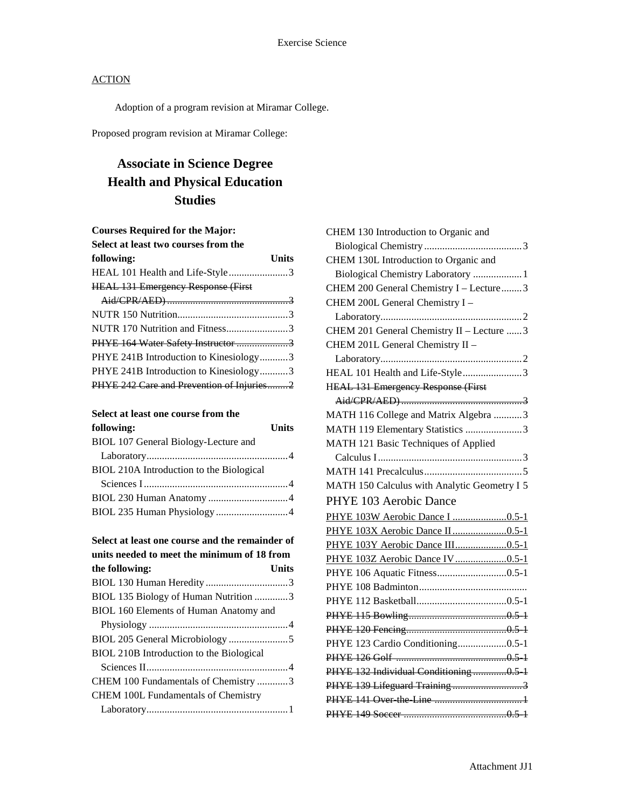Adoption of a program revision at Miramar College.

Proposed program revision at Miramar College:

# **Associate in Science Degree Health and Physical Education Studies**

| <b>Courses Required for the Major:</b>      |              |
|---------------------------------------------|--------------|
| Select at least two courses from the        |              |
| following:                                  | <b>Units</b> |
| HEAL 101 Health and Life-Style3             |              |
| <b>HEAL 131 Emergency Response (First</b> ) |              |
|                                             |              |
|                                             |              |
| NUTR 170 Nutrition and Fitness3             |              |
| PHYE 164 Water Safety Instructor 3          |              |
| PHYE 241B Introduction to Kinesiology3      |              |
| PHYE 241B Introduction to Kinesiology3      |              |
| PHYE 242 Care and Prevention of Injuries2   |              |

### **Select at least one course from the**

| following:                               | <b>Units</b> |
|------------------------------------------|--------------|
| BIOL 107 General Biology-Lecture and     |              |
|                                          |              |
| BIOL 210A Introduction to the Biological |              |
|                                          |              |
|                                          |              |
|                                          |              |
|                                          |              |

| Select at least one course and the remainder of |  |
|-------------------------------------------------|--|
| units needed to meet the minimum of 18 from     |  |
| the following:<br>Units                         |  |
|                                                 |  |
| BIOL 135 Biology of Human Nutrition 3           |  |
| BIOL 160 Elements of Human Anatomy and          |  |
|                                                 |  |
|                                                 |  |
| BIOL 210B Introduction to the Biological        |  |
|                                                 |  |
| CHEM 100 Fundamentals of Chemistry 3            |  |
| <b>CHEM 100L Fundamentals of Chemistry</b>      |  |
|                                                 |  |

| CHEM 130 Introduction to Organic and         |
|----------------------------------------------|
|                                              |
| CHEM 130L Introduction to Organic and        |
| Biological Chemistry Laboratory  1           |
| CHEM 200 General Chemistry I - Lecture3      |
| CHEM 200L General Chemistry I -              |
|                                              |
| CHEM 201 General Chemistry II - Lecture  3   |
| CHEM 201L General Chemistry II -             |
|                                              |
| HEAL 101 Health and Life-Style3              |
| HEAL 131 Emergency Response (First           |
|                                              |
| MATH 116 College and Matrix Algebra 3        |
| MATH 119 Elementary Statistics 3             |
| MATH 121 Basic Techniques of Applied         |
|                                              |
|                                              |
| MATH 150 Calculus with Analytic Geometry I 5 |
| PHYE 103 Aerobic Dance                       |
| PHYE 103W Aerobic Dance I 0.5-1              |
|                                              |
| PHYE 103Y Aerobic Dance III0.5-1             |
| PHYE 103Z Aerobic Dance IV0.5-1              |
| PHYE 106 Aquatic Fitness0.5-1                |
|                                              |
|                                              |
|                                              |
|                                              |
| PHYE 123 Cardio Conditioning0.5-1            |
|                                              |
| PHYE 132 Individual Conditioning0.5 1        |
| PHYE 139 Lifeguard Training3                 |
|                                              |
|                                              |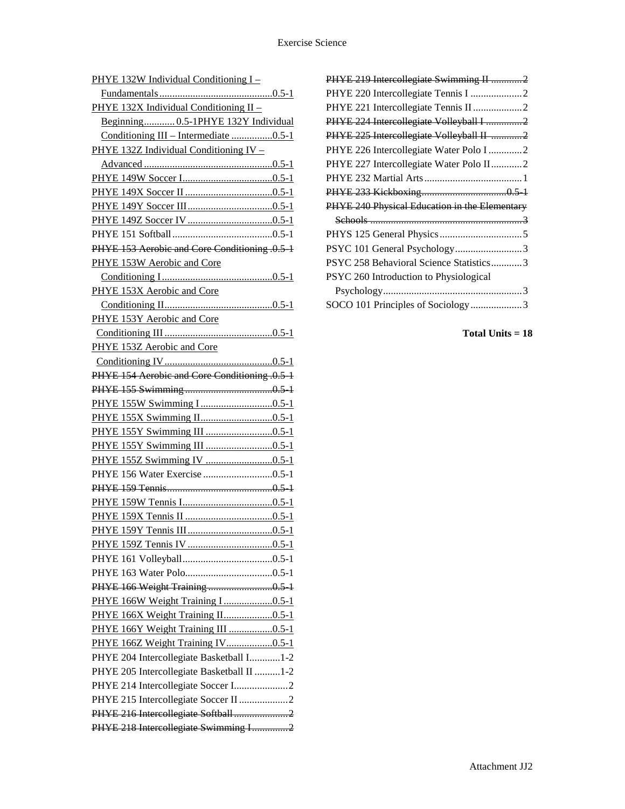| PHYE 132W Individual Conditioning I-          |
|-----------------------------------------------|
|                                               |
| PHYE 132X Individual Conditioning II -        |
| Beginning 0.5-1PHYE 132Y Individual           |
| Conditioning III - Intermediate 0.5-1         |
| PHYE 132Z Individual Conditioning IV -        |
|                                               |
|                                               |
|                                               |
|                                               |
|                                               |
|                                               |
| PHYE 153 Aerobic and Core Conditioning .0.5 1 |
| PHYE 153W Aerobic and Core                    |
|                                               |
| PHYE 153X Aerobic and Core                    |
|                                               |
| PHYE 153Y Aerobic and Core                    |
|                                               |
| PHYE 153Z Aerobic and Core                    |
|                                               |
| PHYE 154 Aerobic and Core Conditioning .0.5 1 |
|                                               |
|                                               |
|                                               |
|                                               |
|                                               |
|                                               |
|                                               |
|                                               |
|                                               |
|                                               |
|                                               |
|                                               |
|                                               |
|                                               |
|                                               |
| PHYE 166W Weight Training I0.5-1              |
| PHYE 166X Weight Training II0.5-1             |
| PHYE 166Y Weight Training III 0.5-1           |
| PHYE 166Z Weight Training IV0.5-1             |
| PHYE 204 Intercollegiate Basketball I1-2      |
| PHYE 205 Intercollegiate Basketball II 1-2    |
| PHYE 214 Intercollegiate Soccer I2            |
| PHYE 215 Intercollegiate Soccer II 2          |
| PHYE 216 Intercollegiate Softball2            |
| PHYE 218 Intercollegiate Swimming I2          |
|                                               |

| PHYE 219 Intercollegiate Swimming II 2        |
|-----------------------------------------------|
|                                               |
| PHYE 221 Intercollegiate Tennis II 2          |
| PHYE 224 Intercollegiate Volleyball I 2       |
| PHYE 225 Intercollegiate Volleyball II 2      |
| PHYE 226 Intercollegiate Water Polo I 2       |
| PHYE 227 Intercollegiate Water Polo II2       |
|                                               |
|                                               |
| PHYE 240 Physical Education in the Elementary |
|                                               |
|                                               |
| PSYC 101 General Psychology3                  |
| PSYC 258 Behavioral Science Statistics3       |
| PSYC 260 Introduction to Physiological        |
|                                               |
| SOCO 101 Principles of Sociology3             |
|                                               |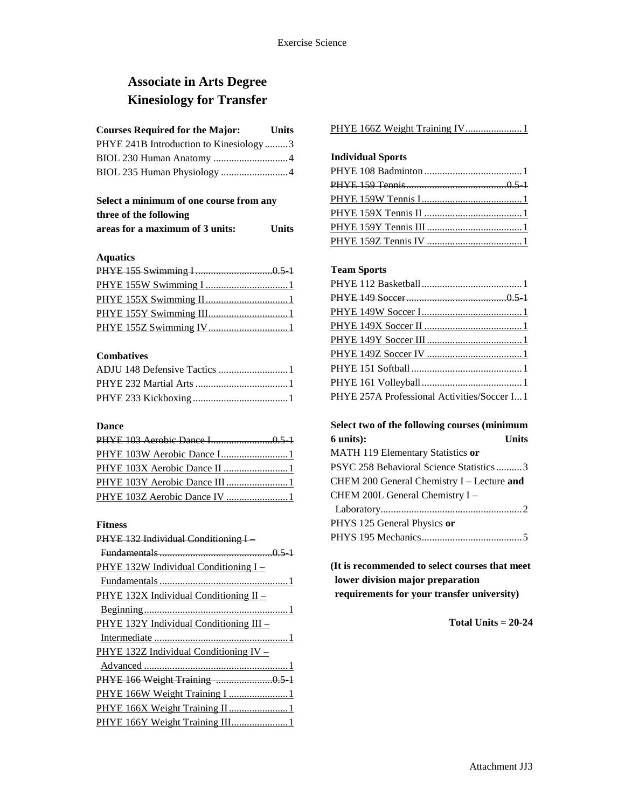## **Associate in Arts Degree Kinesiology for Transfer**

### **Courses Required for the Major: Units**

| PHYE 241B Introduction to Kinesiology3 |  |
|----------------------------------------|--|
|                                        |  |
| BIOL 235 Human Physiology 4            |  |

### **Select a minimum of one course from any three of the following areas for a maximum of 3 units: Units**

#### **Aquatics**

#### **Combatives**

#### **Dance**

| PHYE 103W Aerobic Dance I1    |  |
|-------------------------------|--|
| PHYE 103X Aerobic Dance II  1 |  |
|                               |  |
| PHYE 103Z Aerobic Dance IV 1  |  |

#### **Fitness**

| PHYE 132 Individual Conditioning I      |
|-----------------------------------------|
|                                         |
| PHYE 132W Individual Conditioning I -   |
|                                         |
| PHYE 132X Individual Conditioning II -  |
|                                         |
| PHYE 132Y Individual Conditioning III - |
|                                         |
| PHYE 132Z Individual Conditioning IV –  |
|                                         |
|                                         |
| PHYE 166W Weight Training I 1           |
| PHYE 166X Weight Training II1           |
| PHYE 166Y Weight Training III 1         |

PHYE 166Z Weight Training IV........................1

### **Individual Sports**

### **Team Sports**

| PHYE 257A Professional Activities/Soccer I1 |  |
|---------------------------------------------|--|

### **Select two of the following courses (minimum 6 units): Units**

| MATH 119 Elementary Statistics or          |
|--------------------------------------------|
| PSYC 258 Behavioral Science Statistics3    |
| CHEM 200 General Chemistry I - Lecture and |
| CHEM 200L General Chemistry I -            |
|                                            |
| PHYS 125 General Physics or                |
|                                            |
|                                            |

### **(It is recommended to select courses that meet lower division major preparation requirements for your transfer university)**

**Total Units = 20-24**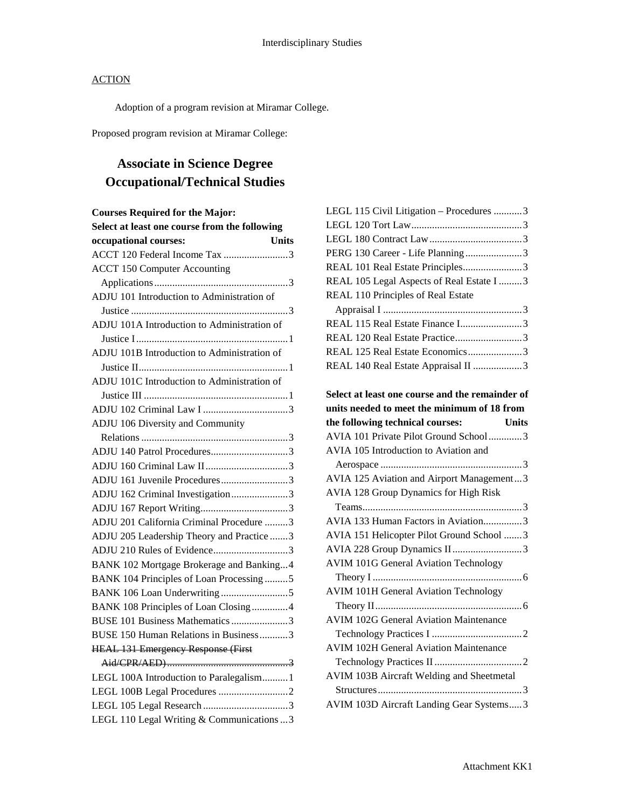Adoption of a program revision at Miramar College.

Proposed program revision at Miramar College:

# **Associate in Science Degree Occupational/Technical Studies**

| <b>Courses Required for the Major:</b>        |              |
|-----------------------------------------------|--------------|
| Select at least one course from the following |              |
| occupational courses:                         | <b>Units</b> |
| ACCT 120 Federal Income Tax 3                 |              |
| <b>ACCT 150 Computer Accounting</b>           |              |
|                                               |              |
| ADJU 101 Introduction to Administration of    |              |
|                                               |              |
| ADJU 101A Introduction to Administration of   |              |
|                                               |              |
| ADJU 101B Introduction to Administration of   |              |
|                                               |              |
| ADJU 101C Introduction to Administration of   |              |
|                                               |              |
|                                               |              |
| ADJU 106 Diversity and Community              |              |
|                                               |              |
| ADJU 140 Patrol Procedures3                   |              |
|                                               |              |
| ADJU 161 Juvenile Procedures3                 |              |
| ADJU 162 Criminal Investigation3              |              |
|                                               |              |
| ADJU 201 California Criminal Procedure 3      |              |
| ADJU 205 Leadership Theory and Practice 3     |              |
| ADJU 210 Rules of Evidence3                   |              |
| BANK 102 Mortgage Brokerage and Banking4      |              |
| BANK 104 Principles of Loan Processing5       |              |
|                                               |              |
| BANK 108 Principles of Loan Closing4          |              |
| BUSE 101 Business Mathematics 3               |              |
| BUSE 150 Human Relations in Business3         |              |
| <b>HEAL 131 Emergency Response (First</b>     |              |
|                                               |              |
| LEGL 100A Introduction to Paralegalism1       |              |
|                                               |              |
|                                               |              |
| LEGL 110 Legal Writing & Communications 3     |              |

| LEGL 115 Civil Litigation - Procedures 3         |
|--------------------------------------------------|
|                                                  |
|                                                  |
| PERG 130 Career - Life Planning 3                |
| REAL 101 Real Estate Principles3                 |
| REAL 105 Legal Aspects of Real Estate I  3       |
| REAL 110 Principles of Real Estate               |
|                                                  |
| REAL 115 Real Estate Finance I3                  |
|                                                  |
| REAL 125 Real Estate Economics3                  |
| REAL 140 Real Estate Appraisal II 3              |
|                                                  |
| Select at least one course and the remainder of  |
| units needed to meet the minimum of 18 from      |
| the following technical courses:<br><b>Units</b> |
| AVIA 101 Private Pilot Ground School3            |
| AVIA 105 Introduction to Aviation and            |
|                                                  |
| AVIA 125 Aviation and Airport Management3        |
|                                                  |
| AVIA 128 Group Dynamics for High Risk            |
|                                                  |
| AVIA 133 Human Factors in Aviation3              |
| AVIA 151 Helicopter Pilot Ground School 3        |
| AVIA 228 Group Dynamics II3                      |
| <b>AVIM 101G General Aviation Technology</b>     |
|                                                  |
| <b>AVIM 101H General Aviation Technology</b>     |
|                                                  |
| <b>AVIM 102G General Aviation Maintenance</b>    |
|                                                  |
| <b>AVIM 102H General Aviation Maintenance</b>    |
|                                                  |
| AVIM 103B Aircraft Welding and Sheetmetal        |
| AVIM 103D Aircraft Landing Gear Systems3         |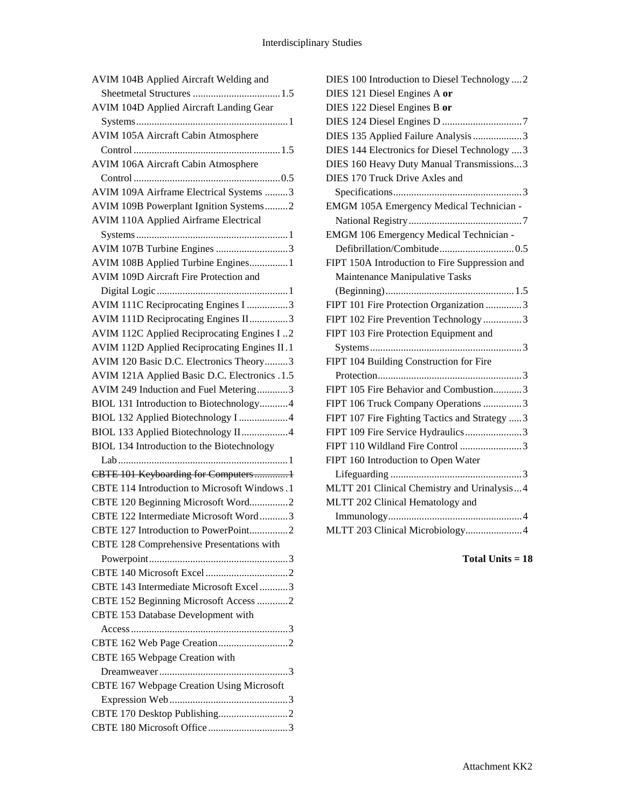| AVIM 104B Applied Aircraft Welding and         |
|------------------------------------------------|
|                                                |
| <b>AVIM 104D Applied Aircraft Landing Gear</b> |
|                                                |
| <b>AVIM 105A Aircraft Cabin Atmosphere</b>     |
|                                                |
| AVIM 106A Aircraft Cabin Atmosphere            |
|                                                |
| AVIM 109A Airframe Electrical Systems 3        |
| AVIM 109B Powerplant Ignition Systems2         |
| <b>AVIM 110A Applied Airframe Electrical</b>   |
| AVIM 107B Turbine Engines 3                    |
| AVIM 108B Applied Turbine Engines1             |
| AVIM 109D Aircraft Fire Protection and         |
|                                                |
|                                                |
| AVIM 111C Reciprocating Engines I 3            |
| AVIM 111D Reciprocating Engines II3            |
| AVIM 112C Applied Reciprocating Engines I2     |
| AVIM 112D Applied Reciprocating Engines II.1   |
| AVIM 120 Basic D.C. Electronics Theory3        |
| AVIM 121A Applied Basic D.C. Electronics .1.5  |
| AVIM 249 Induction and Fuel Metering3          |
| BIOL 131 Introduction to Biotechnology4        |
| BIOL 132 Applied Biotechnology I 4             |
| BIOL 133 Applied Biotechnology II4             |
| BIOL 134 Introduction to the Biotechnology     |
|                                                |
| CBTE 101 Keyboarding for Computers1            |
| CBTE 114 Introduction to Microsoft Windows .1  |
| CBTE 120 Beginning Microsoft Word2             |
| CBTE 122 Intermediate Microsoft Word3          |
| CRTE 127 Introduction to PowerPoint 2          |
| CBTE 128 Comprehensive Presentations with      |
|                                                |
|                                                |
| CBTE 143 Intermediate Microsoft Excel 3        |
| CBTE 152 Beginning Microsoft Access 2          |
| CBTE 153 Database Development with             |
| Access 13                                      |
|                                                |
| CBTE 165 Webpage Creation with                 |
|                                                |
| CBTE 167 Webpage Creation Using Microsoft      |
|                                                |
|                                                |
| CBTE 180 Microsoft Office 3                    |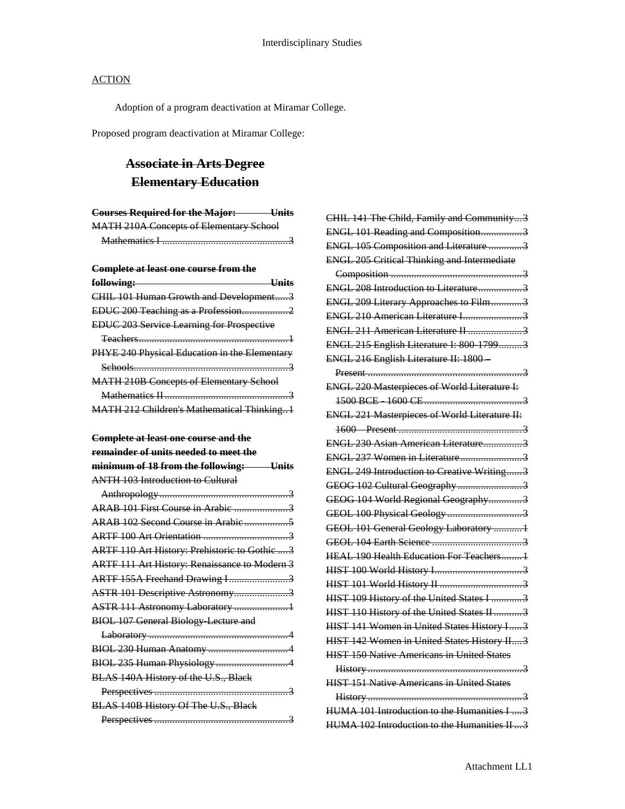Adoption of a program deactivation at Miramar College.

Proposed program deactivation at Miramar College:

# **Associate in Arts Degree Elementary Education**

| <b>Courses Required for the Major:</b><br>$\blacksquare$ $\blacksquare$ $\blacksquare$ | UIIIts |
|----------------------------------------------------------------------------------------|--------|
| <b>MATH 210A Concepts of Elementary School</b>                                         |        |
|                                                                                        |        |

**Complete at least one course from the** 

| CHIL 101 Human Growth and Development3            |
|---------------------------------------------------|
| EDUC 200 Teaching as a Profession2                |
| <b>EDUC 203 Service Learning for Prospective</b>  |
|                                                   |
| PHYE 240 Physical Education in the Elementary     |
| $\text{Sehools}$ 3                                |
| <b>MATH 210B Concepts of Elementary School</b>    |
|                                                   |
| <b>MATH 212 Children's Mathematical Thinking1</b> |

## **Complete at least one course and the**

| remainder of units needed to meet the                |
|------------------------------------------------------|
| minimum of 18 from the following: Units              |
| <b>ANTH 103 Introduction to Cultural</b>             |
|                                                      |
| ARAB 101 First Course in Arabic 3                    |
|                                                      |
|                                                      |
| ARTF 110 Art History: Prehistoric to Gothic  3       |
| <b>ARTF 111 Art History: Renaissance to Modern 3</b> |
| ARTF 155A Freehand Drawing I3                        |
| ASTR 101 Descriptive Astronomy3                      |
| ASTR 111 Astronomy Laboratory 1                      |
| <b>BIOL 107 General Biology Lecture and</b>          |
|                                                      |
|                                                      |
|                                                      |
| BLAS 140A History of the U.S., Black                 |
|                                                      |
| BLAS 140B History Of The U.S., Black                 |
|                                                      |

| CHIL 141 The Child, Family and Community3            |
|------------------------------------------------------|
| ENGL 101 Reading and Composition3                    |
| ENGL 105 Composition and Literature 3                |
| <b>ENGL 205 Critical Thinking and Intermediate</b>   |
|                                                      |
| ENGL 208 Introduction to Literature                  |
| ENGL 209 Literary Approaches to Film3                |
| ENGL 210 American Literature I3                      |
| ENGL 211 American Literature II 3                    |
| ENGL 215 English Literature I: 800 17993             |
| ENGL 216 English Literature II: 1800-                |
|                                                      |
| <b>ENGL 220 Masterpieces of World Literature I:</b>  |
|                                                      |
| <b>ENGL 221 Masterpieces of World Literature II:</b> |
|                                                      |
| ENGL 230 Asian American Literature3                  |
| ENGL 237 Women in Literature3                        |
| ENGL 249 Introduction to Creative Writing3           |
| GEOG 102 Cultural Geography 3                        |
| GEOG 104 World Regional Geography3                   |
|                                                      |
| GEOL 101 General Geology Laboratory 1                |
|                                                      |
| HEAL 190 Health Education For Teachers 1             |
|                                                      |
|                                                      |
| HIST 109 History of the United States I 3            |
| HIST 110 History of the United States II 3           |
| HIST 141 Women in United States History I3           |
| HIST 142 Women in United States History II 3         |
| <b>HIST 150 Native Americans in United States</b>    |
|                                                      |
| <b>HIST 151 Native Americans in United States</b>    |
|                                                      |
| HUMA 101 Introduction to the Humanities I  3         |
| HUMA 102 Introduction to the Humanities II  3        |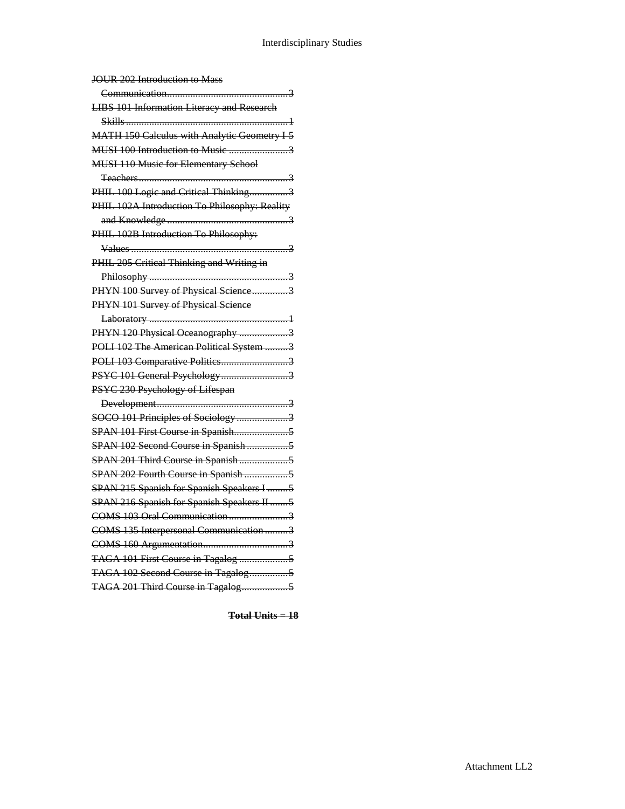| JOUR 202 Introduction to Mass                       |
|-----------------------------------------------------|
| 3                                                   |
| <b>LIBS 101 Information Literacy and Research</b>   |
|                                                     |
| <b>MATH 150 Calculus with Analytic Geometry I 5</b> |
| MUSI 100 Introduction to Music 3                    |
| <b>MUSI 110 Music for Elementary School</b>         |
|                                                     |
| PHIL 100 Logic and Critical Thinking3               |
| PHIL 102A Introduction To Philosophy: Reality       |
|                                                     |
| PHIL 102B Introduction To Philosophy:               |
| 3                                                   |
| PHIL 205 Critical Thinking and Writing in           |
|                                                     |
| PHYN 100 Survey of Physical Science3                |
| PHYN 101 Survey of Physical Science                 |
|                                                     |
| PHYN 120 Physical Oceanography 3                    |
| POLI 102 The American Political System 3            |
| POLI 103 Comparative Politics3                      |
| PSYC 101 General Psychology3                        |
| PSYC 230 Psychology of Lifespan                     |
|                                                     |
| SOCO 101 Principles of Sociology3                   |
|                                                     |
| SPAN 102 Second Course in Spanish5                  |
| SPAN 201 Third Course in Spanish5                   |
| SPAN 202 Fourth Course in Spanish 5                 |
| SPAN 215 Spanish for Spanish Speakers I  5          |
| SPAN 216 Spanish for Spanish Speakers II 5          |
| COMS 103 Oral Communication3                        |
| COMS 135 Interpersonal Communication 3              |
|                                                     |
| TAGA 101 First Course in Tagalog 5                  |
| TAGA 102 Second Course in Tagalog5                  |
| TAGA 201 Third Course in Tagalog5                   |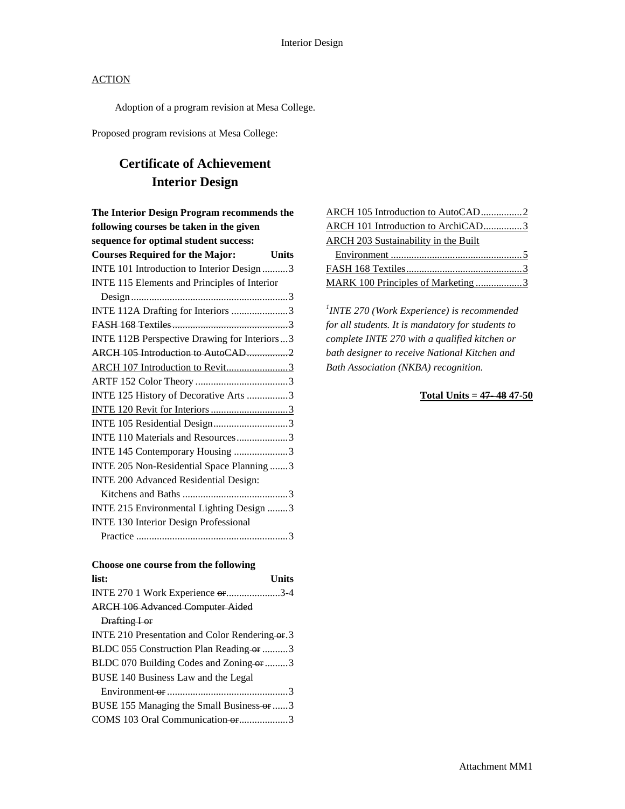Adoption of a program revision at Mesa College.

Proposed program revisions at Mesa College:

# **Certificate of Achievement Interior Design**

| The Interior Design Program recommends the   |              |
|----------------------------------------------|--------------|
| following courses be taken in the given      |              |
| sequence for optimal student success:        |              |
| <b>Courses Required for the Major:</b>       | <b>Units</b> |
| INTE 101 Introduction to Interior Design 3   |              |
| INTE 115 Elements and Principles of Interior |              |
|                                              |              |
| INTE 112A Drafting for Interiors 3           |              |
|                                              |              |
| INTE 112B Perspective Drawing for Interiors3 |              |
| ARCH 105 Introduction to AutoCAD2            |              |
| ARCH 107 Introduction to Revit3              |              |
|                                              |              |
| INTE 125 History of Decorative Arts 3        |              |
| INTE 120 Revit for Interiors 3               |              |
| INTE 105 Residential Design3                 |              |
| INTE 110 Materials and Resources3            |              |
| INTE 145 Contemporary Housing 3              |              |
| INTE 205 Non-Residential Space Planning 3    |              |
| INTE 200 Advanced Residential Design:        |              |
|                                              |              |
| INTE 215 Environmental Lighting Design 3     |              |
| <b>INTE 130 Interior Design Professional</b> |              |
|                                              |              |

| Choose one course from the following           |
|------------------------------------------------|
| list:<br><b>Units</b>                          |
| INTE 270 1 Work Experience or 3-4              |
| <b>ARCH 106 Advanced Computer Aided</b>        |
| Drafting I or                                  |
| INTE 210 Presentation and Color Rendering or 3 |
| BLDC 055 Construction Plan Reading or 3        |
| BLDC 070 Building Codes and Zoning or 3        |
| BUSE 140 Business Law and the Legal            |
|                                                |
| BUSE 155 Managing the Small Business or 3      |
| COMS 103 Oral Communication or 3               |
|                                                |

| ARCH 105 Introduction to AutoCAD2    |
|--------------------------------------|
| ARCH 101 Introduction to ArchiCAD3   |
| ARCH 203 Sustainability in the Built |
|                                      |
|                                      |
|                                      |

*1 INTE 270 (Work Experience) is recommended for all students. It is mandatory for students to complete INTE 270 with a qualified kitchen or bath designer to receive National Kitchen and Bath Association (NKBA) recognition.*

### **Total Units = 47- 48 47-50**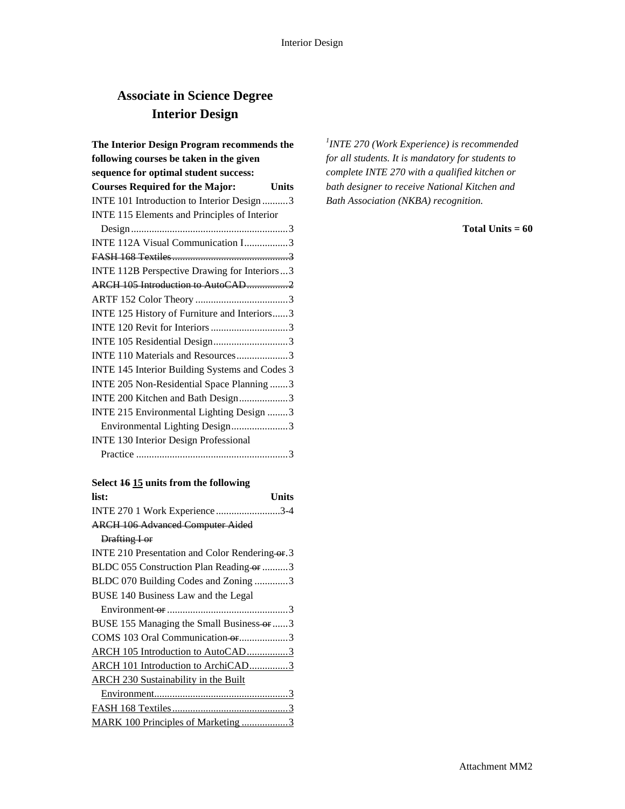## **Associate in Science Degree Interior Design**

| The Interior Design Program recommends the             |  |
|--------------------------------------------------------|--|
| following courses be taken in the given                |  |
| sequence for optimal student success:                  |  |
| <b>Courses Required for the Major:</b><br><b>Units</b> |  |
| INTE 101 Introduction to Interior Design 3             |  |
| INTE 115 Elements and Principles of Interior           |  |
|                                                        |  |
| INTE 112A Visual Communication I3                      |  |
|                                                        |  |
| INTE 112B Perspective Drawing for Interiors  3         |  |
|                                                        |  |
|                                                        |  |
| INTE 125 History of Furniture and Interiors3           |  |
|                                                        |  |
| INTE 105 Residential Design3                           |  |
| INTE 110 Materials and Resources3                      |  |
| INTE 145 Interior Building Systems and Codes 3         |  |
| INTE 205 Non-Residential Space Planning 3              |  |
| INTE 200 Kitchen and Bath Design3                      |  |
| INTE 215 Environmental Lighting Design 3               |  |
| Environmental Lighting Design3                         |  |
| <b>INTE 130 Interior Design Professional</b>           |  |
|                                                        |  |

## **Select 16 15 units from the following**

| list:<br>Units                                 |
|------------------------------------------------|
| INTE 270 1 Work Experience 3-4                 |
| <b>ARCH 106 Advanced Computer Aided</b>        |
| Drafting I or                                  |
| INTE 210 Presentation and Color Rendering or 3 |
| BLDC 055 Construction Plan Reading-or 3        |
| BLDC 070 Building Codes and Zoning 3           |
| BUSE 140 Business Law and the Legal            |
|                                                |
| BUSE 155 Managing the Small Business-or 3      |
| COMS 103 Oral Communication-or3                |
| ARCH 105 Introduction to AutoCAD3              |
| ARCH 101 Introduction to ArchiCAD3             |
| <b>ARCH 230 Sustainability in the Built</b>    |
|                                                |
|                                                |
| MARK 100 Principles of Marketing 3             |

*1 INTE 270 (Work Experience) is recommended for all students. It is mandatory for students to complete INTE 270 with a qualified kitchen or bath designer to receive National Kitchen and Bath Association (NKBA) recognition.*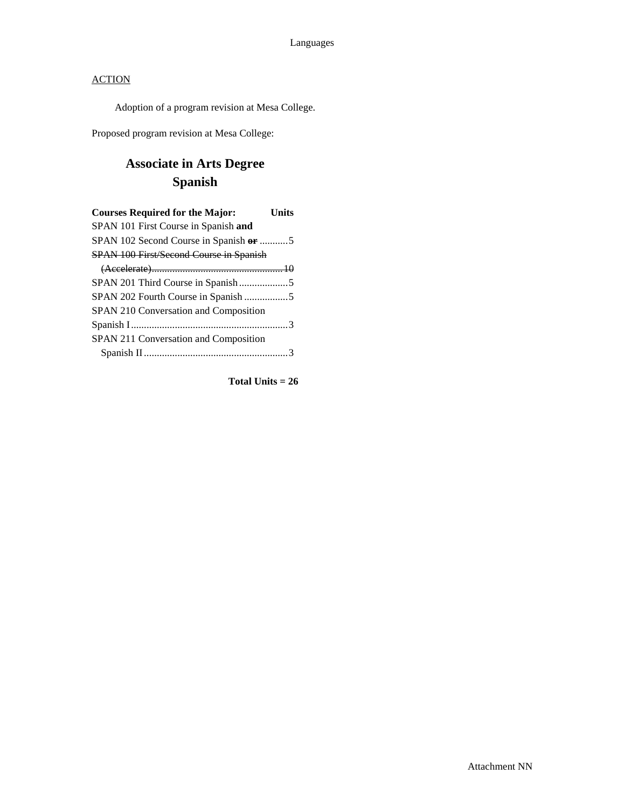Adoption of a program revision at Mesa College.

Proposed program revision at Mesa College:

# **Associate in Arts Degree Spanish**

| <b>Courses Required for the Major:</b>         | Units |
|------------------------------------------------|-------|
| SPAN 101 First Course in Spanish and           |       |
| SPAN 102 Second Course in Spanish or 5         |       |
| <b>SPAN 100 First/Second Course in Spanish</b> |       |
|                                                |       |
|                                                |       |
|                                                |       |
| SPAN 210 Conversation and Composition          |       |
|                                                |       |
| SPAN 211 Conversation and Composition          |       |
|                                                |       |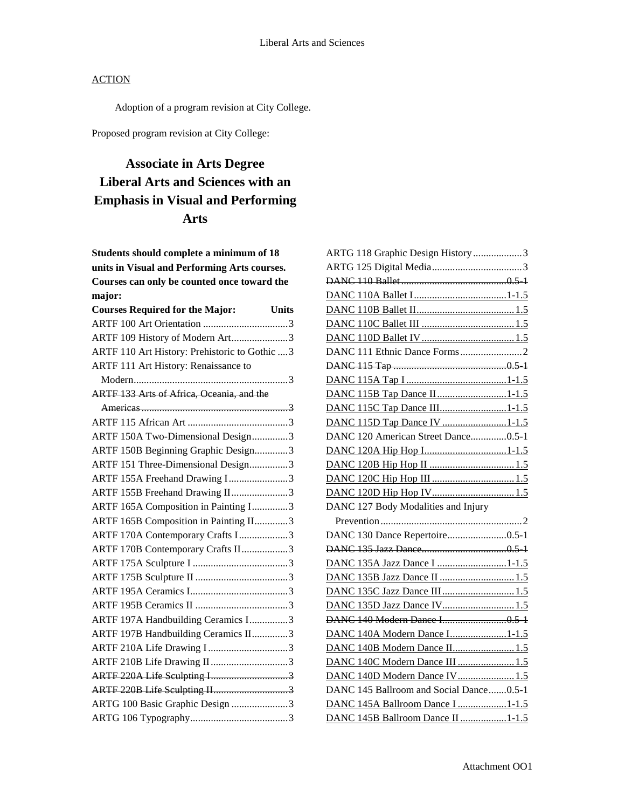Adoption of a program revision at City College.

Proposed program revision at City College:

# **Associate in Arts Degree Liberal Arts and Sciences with an Emphasis in Visual and Performing Arts**

**Students should complete a minimum of 18 units in Visual and Performing Arts courses. Courses can only be counted once toward the major:**

| <b>Courses Required for the Major:</b><br><b>Units</b> |
|--------------------------------------------------------|
|                                                        |
| ARTF 109 History of Modern Art3                        |
| ARTF 110 Art History: Prehistoric to Gothic  3         |
| ARTF 111 Art History: Renaissance to                   |
|                                                        |
| ARTF 133 Arts of Africa, Oceania, and the              |
|                                                        |
|                                                        |
| ARTF 150A Two-Dimensional Design3                      |
| ARTF 150B Beginning Graphic Design3                    |
| ARTF 151 Three-Dimensional Design3                     |
| ARTF 155A Freehand Drawing I3                          |
| ARTF 155B Freehand Drawing II3                         |
| ARTF 165A Composition in Painting I3                   |
| ARTF 165B Composition in Painting II3                  |
| ARTF 170A Contemporary Crafts I3                       |
| ARTF 170B Contemporary Crafts II3                      |
|                                                        |
|                                                        |
|                                                        |
|                                                        |
| ARTF 197A Handbuilding Ceramics I3                     |
| ARTF 197B Handbuilding Ceramics II3                    |
| ARTF 210A Life Drawing I 3                             |
| ARTF 210B Life Drawing II3                             |
| ARTF 220A Life Sculpting I3                            |
| ARTF 220B Life Sculpting II3                           |
| ARTG 100 Basic Graphic Design 3                        |
|                                                        |

| ARTG 118 Graphic Design History 3       |
|-----------------------------------------|
|                                         |
|                                         |
|                                         |
|                                         |
|                                         |
|                                         |
|                                         |
|                                         |
|                                         |
| DANC 115B Tap Dance II1-1.5             |
| DANC 115C Tap Dance III1-1.5            |
| DANC 115D Tap Dance IV 1-1.5            |
| DANC 120 American Street Dance0.5-1     |
| DANC 120A Hip Hop I1-1.5                |
|                                         |
|                                         |
|                                         |
| DANC 127 Body Modalities and Injury     |
|                                         |
| DANC 130 Dance Repertoire0.5-1          |
|                                         |
| DANC 135A Jazz Dance I 1-1.5            |
| DANC 135B Jazz Dance II  1.5            |
| DANC 135C Jazz Dance III 1.5            |
| DANC 135D Jazz Dance IV 1.5             |
|                                         |
| DANC 140A Modern Dance I1-1.5           |
| DANC 140B Modern Dance II 1.5           |
| DANC 140C Modern Dance III  1.5         |
| DANC 140D Modern Dance IV 1.5           |
| DANC 145 Ballroom and Social Dance0.5-1 |
| DANC 145A Ballroom Dance I 1-1.5        |
| DANC 145B Ballroom Dance II 1-1.5       |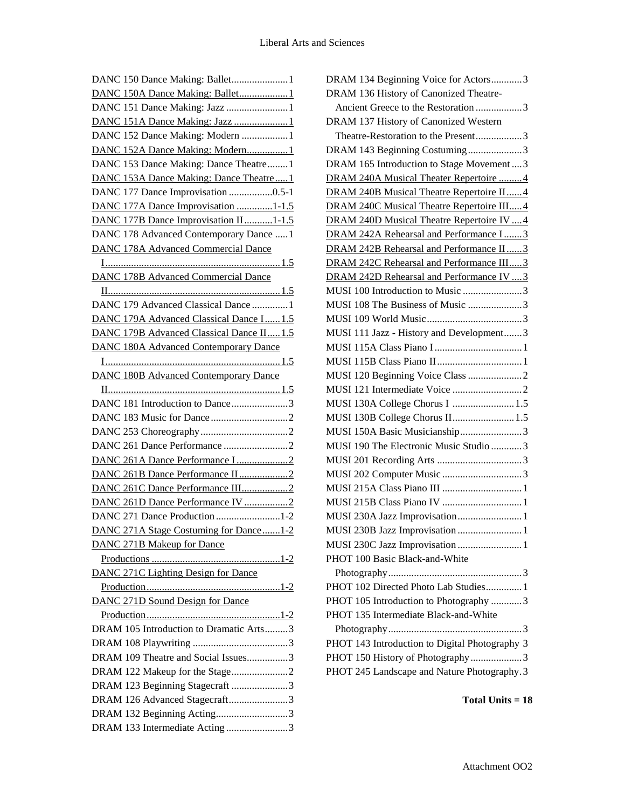| DANC 150 Dance Making: Ballet1               |
|----------------------------------------------|
| DANC 150A Dance Making: Ballet1              |
| DANC 151 Dance Making: Jazz 1                |
| DANC 151A Dance Making: Jazz 1               |
| DANC 152 Dance Making: Modern  1             |
| DANC 152A Dance Making: Modern1              |
| DANC 153 Dance Making: Dance Theatre1        |
| DANC 153A Dance Making: Dance Theatre1       |
| DANC 177 Dance Improvisation 0.5-1           |
| DANC 177A Dance Improvisation 1-1.5          |
| DANC 177B Dance Improvisation II1-1.5        |
| DANC 178 Advanced Contemporary Dance  1      |
| <b>DANC 178A Advanced Commercial Dance</b>   |
|                                              |
| <b>DANC 178B Advanced Commercial Dance</b>   |
|                                              |
| DANC 179 Advanced Classical Dance  1         |
| DANC 179A Advanced Classical Dance I 1.5     |
| DANC 179B Advanced Classical Dance II1.5     |
| <b>DANC 180A Advanced Contemporary Dance</b> |
|                                              |
| <b>DANC 180B Advanced Contemporary Dance</b> |
|                                              |
| DANC 181 Introduction to Dance3              |
|                                              |
|                                              |
|                                              |
| DANC 261A Dance Performance I2               |
| DANC 261B Dance Performance II2              |
| DANC 261C Dance Performance III2             |
| DANC 261D Dance Performance IV 2             |
| DANC 271 Dance Production 1-2                |
| DANC 271A Stage Costuming for Dance1-2       |
| <b>DANC 271B Makeup for Dance</b>            |
|                                              |
| <b>DANC 271C Lighting Design for Dance</b>   |
|                                              |
| DANC 271D Sound Design for Dance             |
|                                              |
| DRAM 105 Introduction to Dramatic Arts3      |
|                                              |
| DRAM 109 Theatre and Social Issues3          |
| DRAM 122 Makeup for the Stage2               |
| DRAM 123 Beginning Stagecraft 3              |
| DRAM 126 Advanced Stagecraft3                |
| DRAM 132 Beginning Acting3                   |
| DRAM 133 Intermediate Acting 3               |

| DRAM 134 Beginning Voice for Actors3                                            |
|---------------------------------------------------------------------------------|
| DRAM 136 History of Canonized Theatre-                                          |
| Ancient Greece to the Restoration 3                                             |
| DRAM 137 History of Canonized Western                                           |
| Theatre-Restoration to the Present3                                             |
| DRAM 143 Beginning Costuming3                                                   |
| DRAM 165 Introduction to Stage Movement  3                                      |
| DRAM 240A Musical Theater Repertoire  4                                         |
| DRAM 240B Musical Theatre Repertoire II4                                        |
| DRAM 240C Musical Theatre Repertoire III4                                       |
| DRAM 240D Musical Theatre Repertoire IV  4                                      |
| DRAM 242A Rehearsal and Performance I3                                          |
| DRAM 242B Rehearsal and Performance II3                                         |
| DRAM 242C Rehearsal and Performance III3                                        |
| DRAM 242D Rehearsal and Performance IV  3                                       |
| MUSI 100 Introduction to Music 3                                                |
| MUSI 108 The Business of Music 3                                                |
|                                                                                 |
| MUSI 111 Jazz - History and Development3                                        |
|                                                                                 |
|                                                                                 |
|                                                                                 |
|                                                                                 |
| MUSI 130A College Chorus I  1.5                                                 |
| MUSI 130B College Chorus II 1.5                                                 |
| MUSI 150A Basic Musicianship3                                                   |
| MUSI 190 The Electronic Music Studio 3                                          |
|                                                                                 |
|                                                                                 |
|                                                                                 |
|                                                                                 |
|                                                                                 |
| MUSI 230A Jazz Improvisation 1                                                  |
| MUSI 230B Jazz Improvisation  1                                                 |
| MUSI 230C Jazz Improvisation1                                                   |
| PHOT 100 Basic Black-and-White                                                  |
|                                                                                 |
| PHOT 102 Directed Photo Lab Studies 1                                           |
| PHOT 105 Introduction to Photography 3                                          |
| PHOT 135 Intermediate Black-and-White                                           |
|                                                                                 |
| PHOT 143 Introduction to Digital Photography 3                                  |
| PHOT 150 History of Photography3<br>PHOT 245 Landscape and Nature Photography.3 |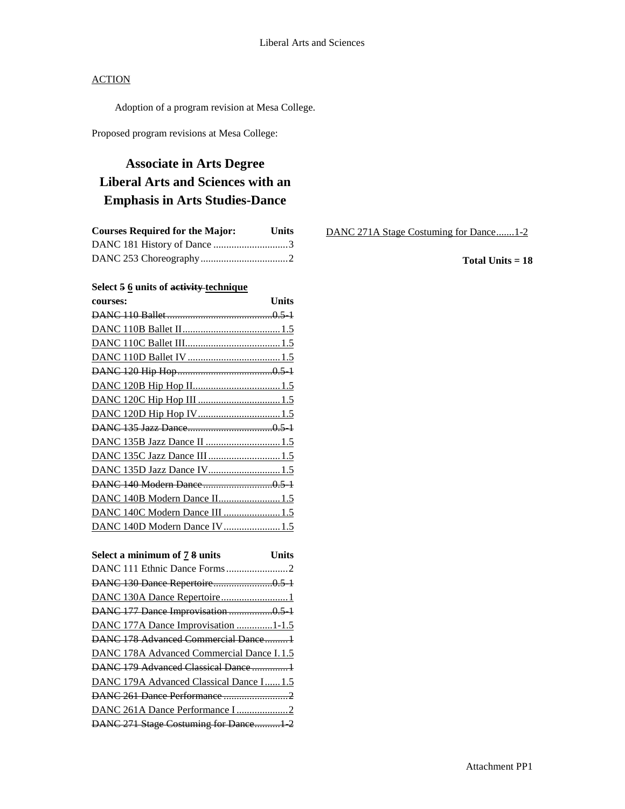Adoption of a program revision at Mesa College.

Proposed program revisions at Mesa College:

# **Associate in Arts Degree Liberal Arts and Sciences with an Emphasis in Arts Studies-Dance**

| <b>Courses Required for the Major:</b> | <b>Units</b> |
|----------------------------------------|--------------|
|                                        |              |
|                                        |              |

### **Select 5 6 units of activity technique**

| courses:                        | Units |
|---------------------------------|-------|
|                                 |       |
|                                 |       |
|                                 |       |
|                                 |       |
|                                 |       |
|                                 |       |
|                                 |       |
| DANC 120D Hip Hop IV1.5         |       |
|                                 |       |
| DANC 135B Jazz Dance II 1.5     |       |
| DANC 135C Jazz Dance III  1.5   |       |
|                                 |       |
|                                 |       |
| DANC 140B Modern Dance II 1.5   |       |
| DANC 140C Modern Dance III  1.5 |       |
| DANC 140D Modern Dance IV 1.5   |       |

| Units                                     |
|-------------------------------------------|
|                                           |
|                                           |
|                                           |
| DANC 177 Dance Improvisation 0.5 1        |
| DANC 177A Dance Improvisation 1-1.5       |
| DANC 178 Advanced Commercial Dance1       |
| DANC 178A Advanced Commercial Dance I.1.5 |
| DANC 179 Advanced Classical Dance  1      |
| DANC 179A Advanced Classical Dance I 1.5  |
|                                           |
|                                           |
| DANC 271 Stage Costuming for Dance1-2     |
|                                           |

DANC 271A Stage Costuming for Dance.......1-2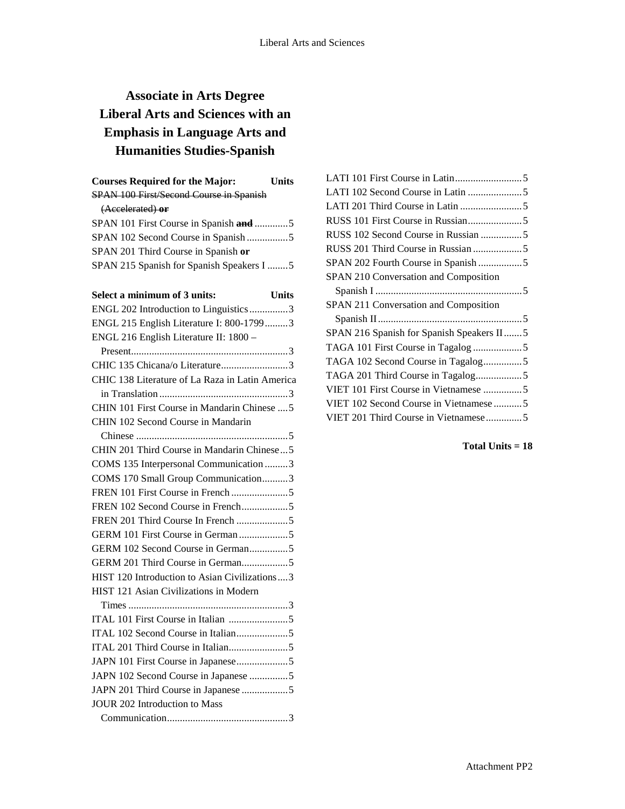# **Associate in Arts Degree Liberal Arts and Sciences with an Emphasis in Language Arts and Humanities Studies-Spanish**

| <b>Courses Required for the Major:</b>         | Units   |
|------------------------------------------------|---------|
| <b>SPAN 100 First/Second Course in Spanish</b> |         |
| (Accelerated) or                               |         |
| SPAN 101 First Course in Spanish and 5         |         |
| SPAN 102 Second Course in Spanish5             |         |
| SPAN 201 Third Course in Spanish or            |         |
| SPAN 215 Spanish for Spanish Speakers I 5      |         |
|                                                |         |
| Select a minimum of 3 units:                   | l Inite |

| $\mathfrak{c}$ t a mimmum or $\mathfrak{c}$ um $\mathfrak{c}$ s. |
|------------------------------------------------------------------|
| ENGL 202 Introduction to Linguistics3                            |
| ENGL 215 English Literature I: 800-17993                         |
| ENGL 216 English Literature II: 1800 -                           |
|                                                                  |
| CHIC 135 Chicana/o Literature3                                   |
| CHIC 138 Literature of La Raza in Latin America                  |
|                                                                  |
| CHIN 101 First Course in Mandarin Chinese  5                     |
| CHIN 102 Second Course in Mandarin                               |
|                                                                  |
| CHIN 201 Third Course in Mandarin Chinese5                       |
| COMS 135 Interpersonal Communication 3                           |
| COMS 170 Small Group Communication3                              |
|                                                                  |
|                                                                  |
| FREN 201 Third Course In French 5                                |
|                                                                  |
|                                                                  |
| GERM 201 Third Course in German5                                 |
| HIST 120 Introduction to Asian Civilizations3                    |
| HIST 121 Asian Civilizations in Modern                           |
|                                                                  |
|                                                                  |
|                                                                  |
|                                                                  |
|                                                                  |
| JAPN 102 Second Course in Japanese 5                             |
| JAPN 201 Third Course in Japanese 5                              |
| <b>JOUR 202 Introduction to Mass</b>                             |
|                                                                  |

| SPAN 210 Conversation and Composition     |
|-------------------------------------------|
|                                           |
|                                           |
| SPAN 211 Conversation and Composition     |
|                                           |
| SPAN 216 Spanish for Spanish Speakers II5 |
|                                           |
|                                           |
| TAGA 201 Third Course in Tagalog5         |
|                                           |
| VIET 102 Second Course in Vietnamese 5    |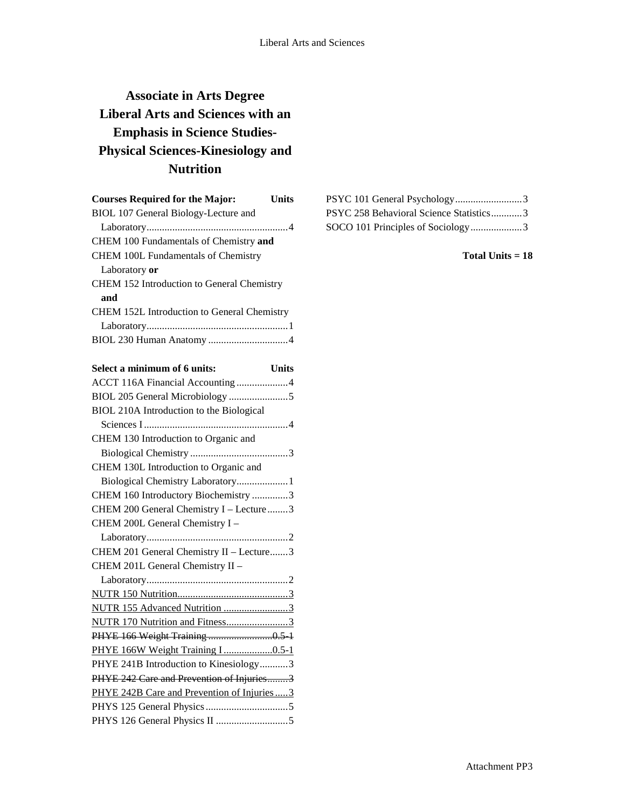# **Associate in Arts Degree Liberal Arts and Sciences with an Emphasis in Science Studies-Physical Sciences-Kinesiology and Nutrition**

| <b>Courses Required for the Major:</b>             | Units    |
|----------------------------------------------------|----------|
| BIOL 107 General Biology-Lecture and               |          |
|                                                    |          |
| CHEM 100 Fundamentals of Chemistry and             |          |
| <b>CHEM 100L Fundamentals of Chemistry</b>         |          |
| Laboratory or                                      |          |
| CHEM 152 Introduction to General Chemistry         |          |
| and                                                |          |
| <b>CHEM 152L Introduction to General Chemistry</b> |          |
|                                                    |          |
|                                                    |          |
|                                                    |          |
| Select a minimum of 6 units:                       | Units    |
| ACCT 116A Financial Accounting 4                   |          |
|                                                    |          |
| BIOL 210A Introduction to the Biological           |          |
| - Sciences I                                       | $\Delta$ |

| BIOL 210A Introduction to the Biological     |
|----------------------------------------------|
|                                              |
| CHEM 130 Introduction to Organic and         |
|                                              |
| CHEM 130L Introduction to Organic and        |
| Biological Chemistry Laboratory 1            |
| CHEM 160 Introductory Biochemistry 3         |
| CHEM 200 General Chemistry I - Lecture 3     |
| CHEM 200L General Chemistry I -              |
|                                              |
| CHEM 201 General Chemistry II - Lecture3     |
| CHEM 201L General Chemistry II -             |
|                                              |
|                                              |
|                                              |
| NUTR 155 Advanced Nutrition 3                |
| NUTR 170 Nutrition and Fitness3              |
|                                              |
| PHYE 166W Weight Training I 0.5-1            |
| PHYE 241B Introduction to Kinesiology3       |
| PHYE 242 Care and Prevention of Injuries3    |
| PHYE 242B Care and Prevention of Injuries  3 |
|                                              |
|                                              |

| PSYC 101 General Psychology3            |  |
|-----------------------------------------|--|
| PSYC 258 Behavioral Science Statistics3 |  |
| SOCO 101 Principles of Sociology3       |  |

**Total Units = 18**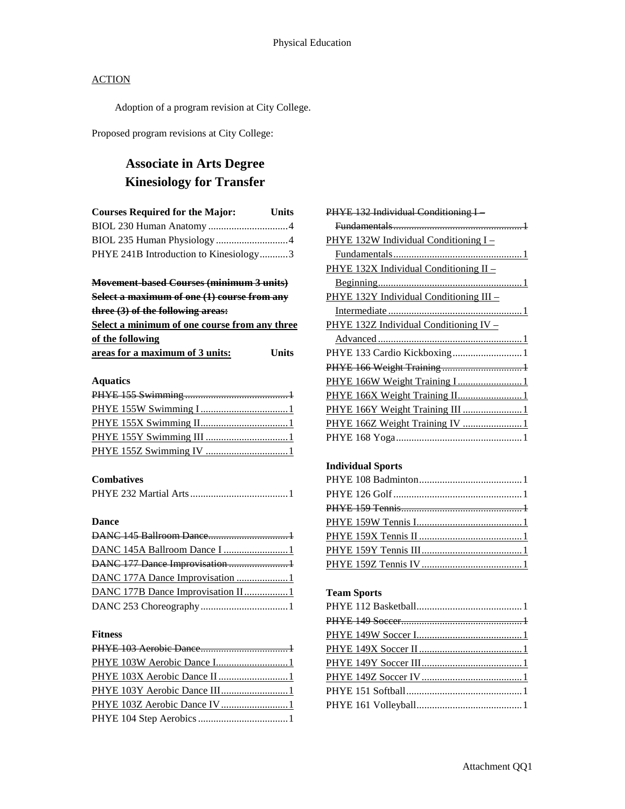Adoption of a program revision at City College.

Proposed program revisions at City College:

# **Associate in Arts Degree Kinesiology for Transfer**

| <b>Courses Required for the Major:</b> | <b>Units</b> |
|----------------------------------------|--------------|
|                                        |              |
|                                        |              |
| PHYE 241B Introduction to Kinesiology3 |              |

# **Movement-based Courses (minimum 3 units)**

**Select a maximum of one (1) course from any three (3) of the following areas:**

| Select a minimum of one course from any three |       |
|-----------------------------------------------|-------|
| of the following                              |       |
| areas for a maximum of 3 units:               | Units |

### **Aquatics**

### **Combatives**

## **Dance**

| DANC 145A Ballroom Dance I 1       |  |
|------------------------------------|--|
| DANC 177 Dance Improvisation 1     |  |
| DANC 177A Dance Improvisation  1   |  |
| DANC 177B Dance Improvisation II 1 |  |
|                                    |  |

### **Fitness**

| PHYE 132 Individual Conditioning I-     |
|-----------------------------------------|
|                                         |
| PHYE 132W Individual Conditioning I -   |
|                                         |
| PHYE 132X Individual Conditioning II -  |
|                                         |
| PHYE 132Y Individual Conditioning III - |
|                                         |
| PHYE 132Z Individual Conditioning IV -  |
|                                         |
| PHYE 133 Cardio Kickboxing 1            |
|                                         |
| PHYE 166W Weight Training I  1          |
|                                         |
| PHYE 166Y Weight Training III  1        |
| PHYE 166Z Weight Training IV  1         |
|                                         |
|                                         |

### **Individual Sports**

### **Team Sports**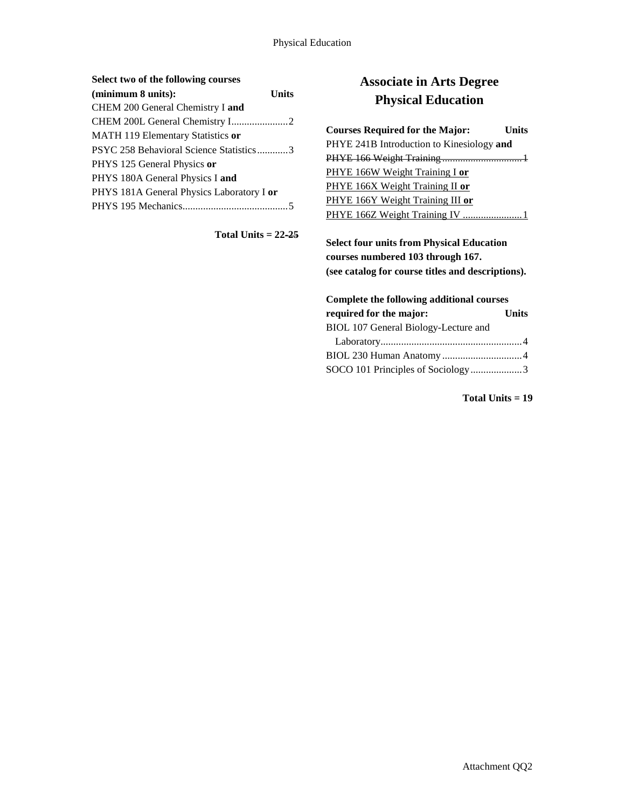### **Select two of the following courses**

| (minimum 8 units):                        | Units |
|-------------------------------------------|-------|
| CHEM 200 General Chemistry I and          |       |
|                                           |       |
| <b>MATH 119 Elementary Statistics or</b>  |       |
| PSYC 258 Behavioral Science Statistics3   |       |
| PHYS 125 General Physics or               |       |
| PHYS 180A General Physics I and           |       |
| PHYS 181A General Physics Laboratory I or |       |
|                                           |       |

**Total Units = 22-25**

## **Associate in Arts Degree Physical Education**

| <b>Courses Required for the Major:</b>    | <b>Units</b> |
|-------------------------------------------|--------------|
| PHYE 241B Introduction to Kinesiology and |              |
|                                           |              |
| PHYE 166W Weight Training I or            |              |
| PHYE 166X Weight Training II or           |              |
| PHYE 166Y Weight Training III or          |              |
| PHYE 166Z Weight Training IV 1            |              |

**Select four units from Physical Education courses numbered 103 through 167. (see catalog for course titles and descriptions).**

## **Complete the following additional courses required for the major: Units** BIOL 107 General Biology-Lecture and Laboratory.......................................................4 BIOL 230 Human Anatomy ...............................4 SOCO 101 Principles of Sociology....................3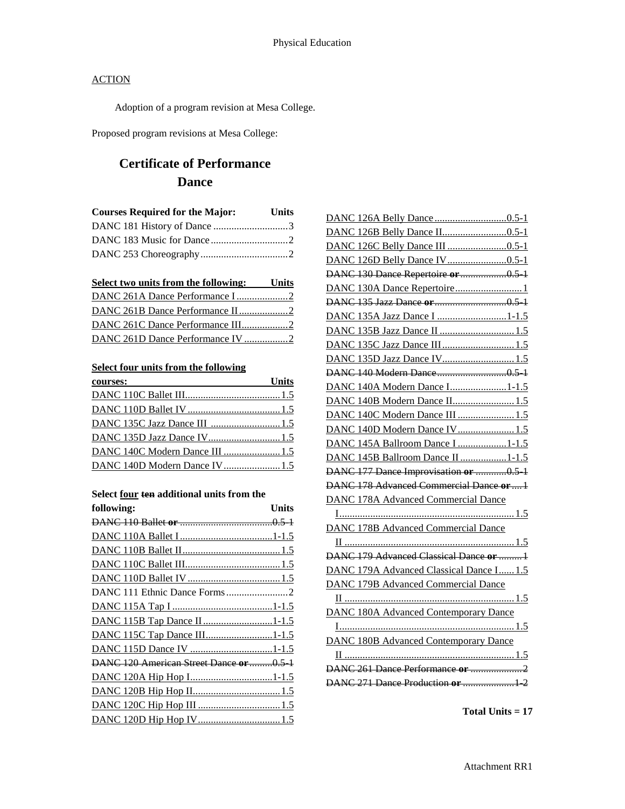Adoption of a program revision at Mesa College.

Proposed program revisions at Mesa College:

# **Certificate of Performance Dance**

| <b>Courses Required for the Major:</b> | Units |
|----------------------------------------|-------|
|                                        |       |
|                                        |       |
|                                        |       |

| Select two units from the following: Units |  |
|--------------------------------------------|--|
|                                            |  |
|                                            |  |
| DANC 261C Dance Performance III2           |  |
|                                            |  |

### **Select four units from the following**

| courses:                        | Units |
|---------------------------------|-------|
|                                 |       |
|                                 |       |
|                                 |       |
|                                 |       |
| DANC 140C Modern Dance III  1.5 |       |
|                                 |       |

#### **Select four ten additional units from the**

| DANC 130 Dance Repertoire or 0.5             |
|----------------------------------------------|
|                                              |
|                                              |
| DANC 135A Jazz Dance I 1-1.5                 |
|                                              |
| DANC 135C Jazz Dance III1.                   |
| DANC 135D Jazz Dance IV 1.5                  |
|                                              |
| DANC 140A Modern Dance I1-1.5                |
| DANC 140B Modern Dance II 1.5                |
| DANC 140C Modern Dance III  1.5              |
| DANC 140D Modern Dance IV 1.5                |
| DANC 145A Ballroom Dance I 1-1.5             |
| DANC 145B Ballroom Dance II 1-1.5            |
| DANC 177 Dance Improvisation or 0.5          |
| DANC 178 Advanced Commercial Dance or  1     |
| DANC 178A Advanced Commercial Dance          |
|                                              |
| <b>DANC 178B Advanced Commercial Dance</b>   |
|                                              |
| DANC 179 Advanced Classical Dance or  1      |
| DANC 179A Advanced Classical Dance I 1.5     |
| <b>DANC 179B Advanced Commercial Dance</b>   |
|                                              |
| <b>DANC 180A Advanced Contemporary Dance</b> |
|                                              |
| <b>DANC 180B Advanced Contemporary Dance</b> |
|                                              |
| DANC 261 Dance Performance or                |
|                                              |
|                                              |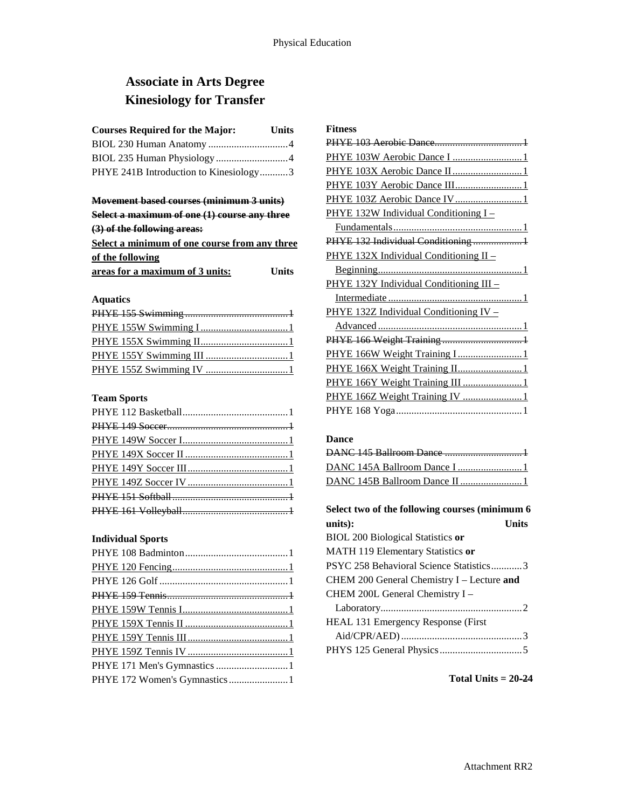## **Associate in Arts Degree Kinesiology for Transfer**

| <b>Courses Required for the Major:</b> | <b>Units</b> |
|----------------------------------------|--------------|
|                                        |              |
|                                        |              |
| PHYE 241B Introduction to Kinesiology3 |              |

### **Movement based courses (minimum 3 units)**

| Select a maximum of one (1) course any three  |              |
|-----------------------------------------------|--------------|
| (3) of the following areas:                   |              |
| Select a minimum of one course from any three |              |
| of the following                              |              |
| areas for a maximum of 3 units:               | <b>Units</b> |

### **Aquatics**

### **Team Sports**

### **Individual Sports**

| PHYE 172 Women's Gymnastics1 |
|------------------------------|
|                              |

## **Fitness** PHYE 103 Aerobic Dance..................................1 PHYE 103W Aerobic Dance I ..............................1 PHYE 103X Aerobic Dance II..............................1 PHYE 103Y Aerobic Dance III............................1 PHYE 103Z Aerobic Dance IV.............................1 PHYE 132W Individual Conditioning I – Fundamentals..................................................1 PHYE 132 Individual Conditioning ....................1 PHYE 132X Individual Conditioning II – Beginning........................................................1 PHYE 132Y Individual Conditioning III – Intermediate ....................................................1 PHYE 132Z Individual Conditioning IV – Advanced ........................................................1 PHYE 166 Weight Training ...............................1 PHYE 166W Weight Training I.............................1 PHYE 166X Weight Training II..............................1 PHYE 166Y Weight Training III ...........................1 PHYE 166Z Weight Training IV .........................1 PHYE 168 Yoga.................................................1

### **Dance**

| Select two of the following courses (minimum 6 |  |
|------------------------------------------------|--|
| units):<br><b>Units</b>                        |  |
| <b>BIOL 200 Biological Statistics or</b>       |  |
| MATH 119 Elementary Statistics or              |  |
| PSYC 258 Behavioral Science Statistics3        |  |
| CHEM 200 General Chemistry I - Lecture and     |  |
| CHEM 200L General Chemistry I -                |  |
|                                                |  |
| <b>HEAL 131 Emergency Response (First)</b>     |  |
|                                                |  |
|                                                |  |

**Total Units = 20-24**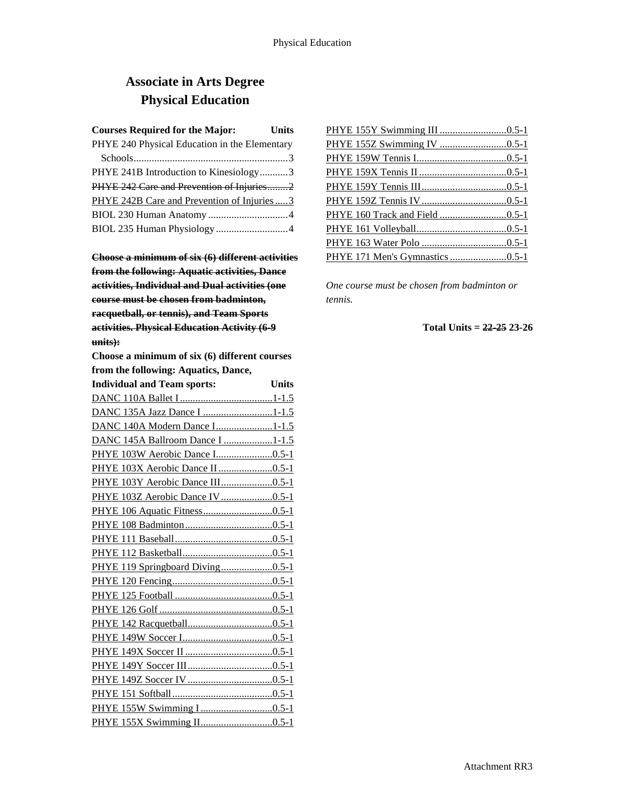# **Associate in Arts Degree Physical Education**

| <b>Courses Required for the Major:</b>        | Units |
|-----------------------------------------------|-------|
| PHYE 240 Physical Education in the Elementary |       |
|                                               |       |
| PHYE 241B Introduction to Kinesiology3        |       |
| PHYE 242 Care and Prevention of Injuries2     |       |
| PHYE 242B Care and Prevention of Injuries  3  |       |
|                                               |       |
| BIOL 235 Human Physiology 4                   |       |

**Choose a minimum of six (6) different activities from the following: Aquatic activities, Dance activities, Individual and Dual activities (one course must be chosen from badminton, racquetball, or tennis), and Team Sports activities. Physical Education Activity (6-9 units):**

**Choose a minimum of six (6) different courses from the following: Aquatics, Dance,** 

| <b>Individual and Team sports:</b> | Units |
|------------------------------------|-------|
|                                    |       |
| DANC 135A Jazz Dance I 1-1.5       |       |
| DANC 140A Modern Dance I1-1.5      |       |
| DANC 145A Ballroom Dance I 1-1.5   |       |
|                                    |       |
| PHYE 103X Aerobic Dance II 0.5-1   |       |
| PHYE 103Y Aerobic Dance III0.5-1   |       |
| PHYE 103Z Aerobic Dance IV 0.5-1   |       |
|                                    |       |
|                                    |       |
|                                    |       |
|                                    |       |
| PHYE 119 Springboard Diving0.5-1   |       |
|                                    |       |
|                                    |       |
|                                    |       |
|                                    |       |
|                                    |       |
|                                    |       |
|                                    |       |
|                                    |       |
|                                    |       |
|                                    |       |
|                                    |       |

*One course must be chosen from badminton or tennis.*

### **Total Units = 22-25 23-26**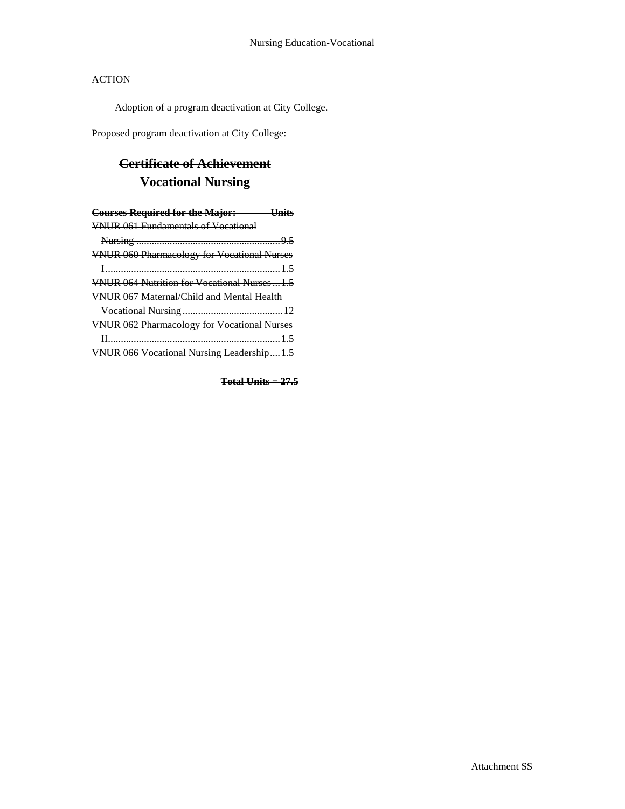Adoption of a program deactivation at City College.

Proposed program deactivation at City College:

# **Certificate of Achievement Vocational Nursing**

| <b>Courses Required for the Major:</b> Units         |  |
|------------------------------------------------------|--|
| <b>VNUR 061 Fundamentals of Vocational</b>           |  |
|                                                      |  |
| <b>VNUR 060 Pharmacology for Vocational Nurses</b>   |  |
|                                                      |  |
| <b>VNUR 064 Nutrition for Vocational Nurses  1.5</b> |  |
| <b>VNUR 067 Maternal/Child and Mental Health</b>     |  |
|                                                      |  |
| <b>VNUR 062 Pharmacology for Vocational Nurses</b>   |  |
|                                                      |  |
| VNUR 066 Vocational Nursing Leadership1.5            |  |

**Total Units = 27.5**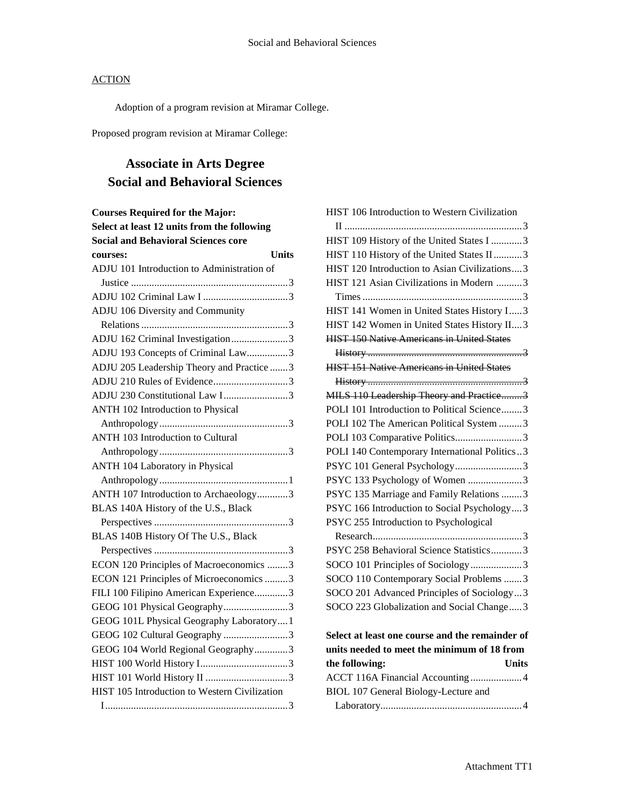Adoption of a program revision at Miramar College.

Proposed program revision at Miramar College:

# **Associate in Arts Degree Social and Behavioral Sciences**

| <b>Courses Required for the Major:</b>        |  |
|-----------------------------------------------|--|
| Select at least 12 units from the following   |  |
| <b>Social and Behavioral Sciences core</b>    |  |
| Units<br>courses:                             |  |
| ADJU 101 Introduction to Administration of    |  |
|                                               |  |
|                                               |  |
| ADJU 106 Diversity and Community              |  |
|                                               |  |
| ADJU 162 Criminal Investigation3              |  |
| ADJU 193 Concepts of Criminal Law3            |  |
| ADJU 205 Leadership Theory and Practice 3     |  |
| ADJU 210 Rules of Evidence3                   |  |
| ADJU 230 Constitutional Law I3                |  |
| ANTH 102 Introduction to Physical             |  |
|                                               |  |
| ANTH 103 Introduction to Cultural             |  |
|                                               |  |
| <b>ANTH 104 Laboratory in Physical</b>        |  |
|                                               |  |
| ANTH 107 Introduction to Archaeology3         |  |
| BLAS 140A History of the U.S., Black          |  |
|                                               |  |
| BLAS 140B History Of The U.S., Black          |  |
|                                               |  |
| ECON 120 Principles of Macroeconomics 3       |  |
| ECON 121 Principles of Microeconomics 3       |  |
| FILI 100 Filipino American Experience3        |  |
| GEOG 101 Physical Geography3                  |  |
| GEOG 101L Physical Geography Laboratory1      |  |
| GEOG 102 Cultural Geography 3                 |  |
| GEOG 104 World Regional Geography3            |  |
|                                               |  |
|                                               |  |
| HIST 105 Introduction to Western Civilization |  |
|                                               |  |

| HIST 106 Introduction to Western Civilization     |
|---------------------------------------------------|
|                                                   |
| HIST 109 History of the United States I 3         |
| HIST 110 History of the United States II3         |
| HIST 120 Introduction to Asian Civilizations3     |
| HIST 121 Asian Civilizations in Modern 3          |
|                                                   |
| HIST 141 Women in United States History I 3       |
| HIST 142 Women in United States History II 3      |
| <b>HIST 150 Native Americans in United States</b> |
|                                                   |
| <b>HIST 151 Native Americans in United States</b> |
|                                                   |
| MILS 110 Leadership Theory and Practice3          |
| POLI 101 Introduction to Political Science3       |
| POLI 102 The American Political System 3          |
| POLI 103 Comparative Politics3                    |
| POLI 140 Contemporary International Politics3     |
| PSYC 101 General Psychology3                      |
| PSYC 133 Psychology of Women 3                    |
| PSYC 135 Marriage and Family Relations 3          |
| PSYC 166 Introduction to Social Psychology3       |
| PSYC 255 Introduction to Psychological            |
|                                                   |
| PSYC 258 Behavioral Science Statistics3           |
| SOCO 101 Principles of Sociology3                 |
| SOCO 110 Contemporary Social Problems 3           |
| SOCO 201 Advanced Principles of Sociology3        |
| SOCO 223 Globalization and Social Change3         |
| Select at least one course and the remainder of   |
| units needed to meet the minimum of 18 from       |
| <b>Units</b><br>the following:                    |

| ACCT 116A Financial Accounting 4     |  |
|--------------------------------------|--|
| BIOL 107 General Biology-Lecture and |  |
|                                      |  |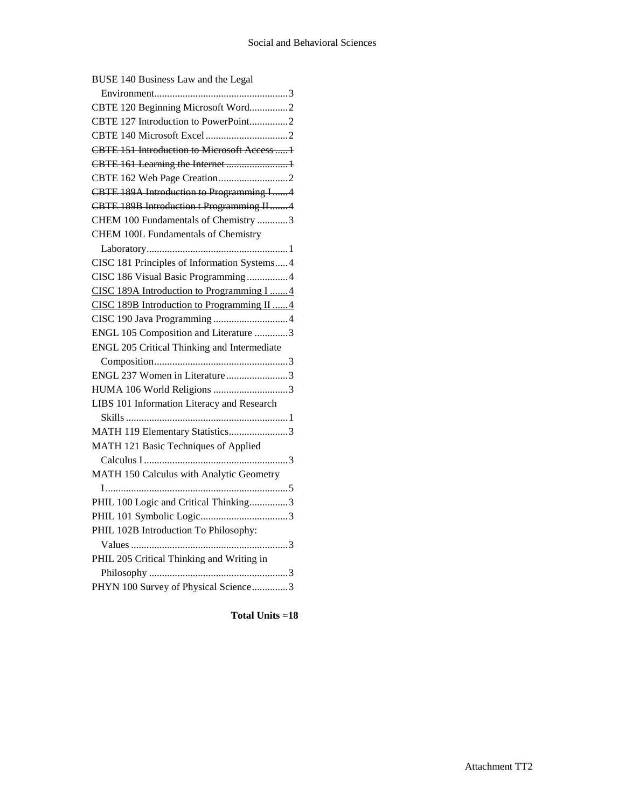| BUSE 140 Business Law and the Legal          |
|----------------------------------------------|
|                                              |
| CBTE 120 Beginning Microsoft Word2           |
| CBTE 127 Introduction to PowerPoint2         |
|                                              |
| CBTE 151 Introduction to Microsoft Access  1 |
| CBTE 161 Learning the Internet 1             |
|                                              |
| CBTE 189A Introduction to Programming I4     |
| CBTE 189B Introduction t Programming II4     |
| CHEM 100 Fundamentals of Chemistry 3         |
| <b>CHEM 100L Fundamentals of Chemistry</b>   |
|                                              |
| CISC 181 Principles of Information Systems4  |
| CISC 186 Visual Basic Programming4           |
| CISC 189A Introduction to Programming I 4    |
| CISC 189B Introduction to Programming II 4   |
|                                              |
| ENGL 105 Composition and Literature 3        |
| ENGL 205 Critical Thinking and Intermediate  |
|                                              |
| ENGL 237 Women in Literature3                |
| HUMA 106 World Religions 3                   |
| LIBS 101 Information Literacy and Research   |
|                                              |
| MATH 119 Elementary Statistics3              |
| MATH 121 Basic Techniques of Applied         |
|                                              |
| MATH 150 Calculus with Analytic Geometry     |
|                                              |
| PHIL 100 Logic and Critical Thinking3        |
|                                              |
| PHIL 102B Introduction To Philosophy:        |
|                                              |
| PHIL 205 Critical Thinking and Writing in    |
|                                              |
| PHYN 100 Survey of Physical Science3         |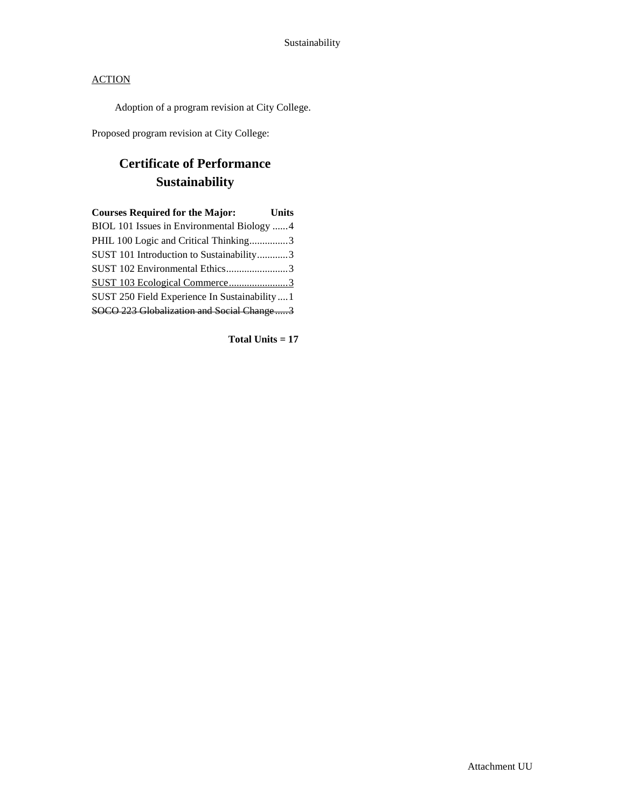Adoption of a program revision at City College.

Proposed program revision at City College:

# **Certificate of Performance Sustainability**

| <b>Courses Required for the Major:</b>         | Units |
|------------------------------------------------|-------|
| BIOL 101 Issues in Environmental Biology 4     |       |
| PHIL 100 Logic and Critical Thinking3          |       |
| SUST 101 Introduction to Sustainability3       |       |
| SUST 102 Environmental Ethics3                 |       |
| SUST 103 Ecological Commerce3                  |       |
| SUST 250 Field Experience In Sustainability  1 |       |
| SOCO 223 Globalization and Social Change3      |       |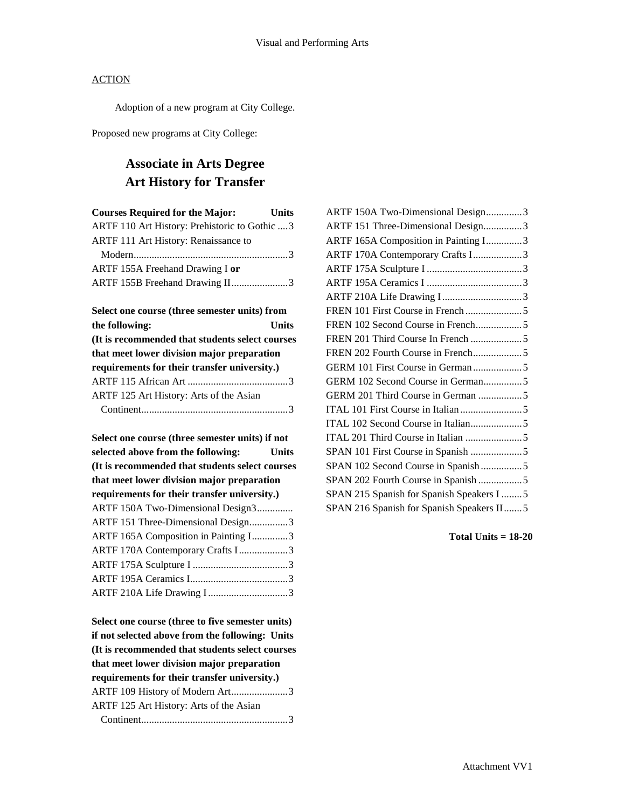Adoption of a new program at City College.

Proposed new programs at City College:

## **Associate in Arts Degree Art History for Transfer**

| <b>Courses Required for the Major:</b>         | <b>Units</b> |
|------------------------------------------------|--------------|
| ARTF 110 Art History: Prehistoric to Gothic  3 |              |
| ARTF 111 Art History: Renaissance to           |              |
|                                                |              |
| ARTF 155A Freehand Drawing I or                |              |
| ARTF 155B Freehand Drawing II3                 |              |
|                                                |              |

| Select one course (three semester units) from   |              |
|-------------------------------------------------|--------------|
| the following:                                  | <b>Units</b> |
| (It is recommended that students select courses |              |
| that meet lower division major preparation      |              |
| requirements for their transfer university.)    |              |
|                                                 |              |
| ARTF 125 Art History: Arts of the Asian         |              |
|                                                 |              |

| Select one course (three semester units) if not    |  |  |  |  |
|----------------------------------------------------|--|--|--|--|
| selected above from the following:<br><b>Units</b> |  |  |  |  |
| (It is recommended that students select courses    |  |  |  |  |
| that meet lower division major preparation         |  |  |  |  |
| requirements for their transfer university.)       |  |  |  |  |
| ARTF 150A Two-Dimensional Design3                  |  |  |  |  |
| ARTF 151 Three-Dimensional Design3                 |  |  |  |  |
| ARTF 165A Composition in Painting I3               |  |  |  |  |
| ARTF 170A Contemporary Crafts I3                   |  |  |  |  |
|                                                    |  |  |  |  |
|                                                    |  |  |  |  |
| ARTF 210A Life Drawing I3                          |  |  |  |  |

**Select one course (three to five semester units) if not selected above from the following: Units (It is recommended that students select courses that meet lower division major preparation requirements for their transfer university.)** ARTF 109 History of Modern Art......................3 ARTF 125 Art History: Arts of the Asian Continent.........................................................3

**Total Units = 18-20**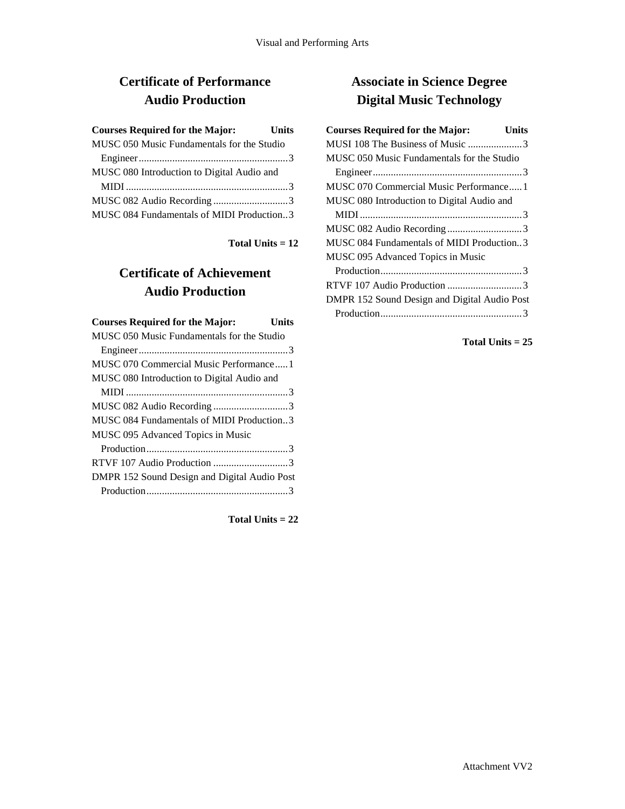# **Certificate of Performance Audio Production**

| <b>Courses Required for the Major:</b>     | <b>Units</b> |
|--------------------------------------------|--------------|
| MUSC 050 Music Fundamentals for the Studio |              |
|                                            |              |
| MUSC 080 Introduction to Digital Audio and |              |
|                                            |              |
| MUSC 082 Audio Recording3                  |              |
| MUSC 084 Fundamentals of MIDI Production3  |              |

**Total Units = 12**

# **Certificate of Achievement Audio Production**

| <b>Courses Required for the Major:</b>       | Units |
|----------------------------------------------|-------|
| MUSC 050 Music Fundamentals for the Studio   |       |
|                                              |       |
| MUSC 070 Commercial Music Performance1       |       |
| MUSC 080 Introduction to Digital Audio and   |       |
|                                              |       |
| MUSC 082 Audio Recording3                    |       |
| MUSC 084 Fundamentals of MIDI Production3    |       |
| MUSC 095 Advanced Topics in Music            |       |
|                                              |       |
|                                              |       |
| DMPR 152 Sound Design and Digital Audio Post |       |
|                                              |       |

**Total Units = 22**

# **Associate in Science Degree Digital Music Technology**

| <b>Courses Required for the Major:</b><br>Units |  |
|-------------------------------------------------|--|
| MUSI 108 The Business of Music 3                |  |
| MUSC 050 Music Fundamentals for the Studio      |  |
|                                                 |  |
| MUSC 070 Commercial Music Performance1          |  |
| MUSC 080 Introduction to Digital Audio and      |  |
|                                                 |  |
|                                                 |  |
| MUSC 084 Fundamentals of MIDI Production3       |  |
| MUSC 095 Advanced Topics in Music               |  |
|                                                 |  |
|                                                 |  |
| DMPR 152 Sound Design and Digital Audio Post    |  |
|                                                 |  |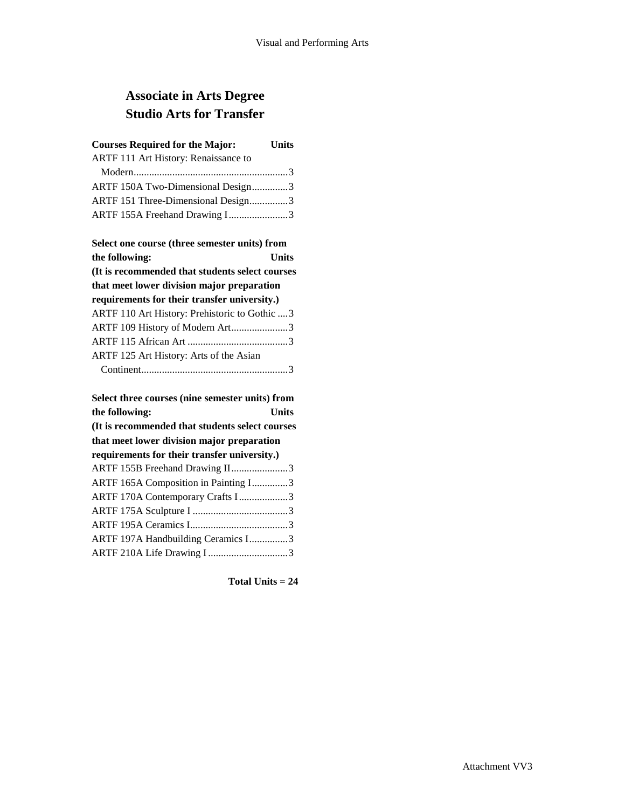# **Associate in Arts Degree Studio Arts for Transfer**

| <b>Courses Required for the Major:</b><br><b>Units</b> |       |  |  |
|--------------------------------------------------------|-------|--|--|
| <b>ARTF 111 Art History: Renaissance to</b>            |       |  |  |
|                                                        |       |  |  |
| ARTF 150A Two-Dimensional Design3                      |       |  |  |
| ARTF 151 Three-Dimensional Design3                     |       |  |  |
| ARTF 155A Freehand Drawing I3                          |       |  |  |
|                                                        |       |  |  |
| Select one course (three semester units) from          |       |  |  |
| the following:                                         | Units |  |  |
| (It is recommended that students select courses        |       |  |  |
| that meet lower division major preparation             |       |  |  |
| requirements for their transfer university.)           |       |  |  |
| ARTF 110 Art History: Prehistoric to Gothic  3         |       |  |  |
| ARTF 109 History of Modern Art3                        |       |  |  |
|                                                        |       |  |  |

| ARTF 125 Art History: Arts of the Asian |  |
|-----------------------------------------|--|
|                                         |  |
|                                         |  |

| Select three courses (nine semester units) from |  |  |  |
|-------------------------------------------------|--|--|--|
| the following:<br>Units                         |  |  |  |
| (It is recommended that students select courses |  |  |  |
| that meet lower division major preparation      |  |  |  |
| requirements for their transfer university.)    |  |  |  |
| ARTF 155B Freehand Drawing II3                  |  |  |  |
| ARTF 165A Composition in Painting I3            |  |  |  |
| ARTF 170A Contemporary Crafts I3                |  |  |  |
|                                                 |  |  |  |
|                                                 |  |  |  |
| ARTF 197A Handbuilding Ceramics I3              |  |  |  |
| ARTF 210A Life Drawing I3                       |  |  |  |
|                                                 |  |  |  |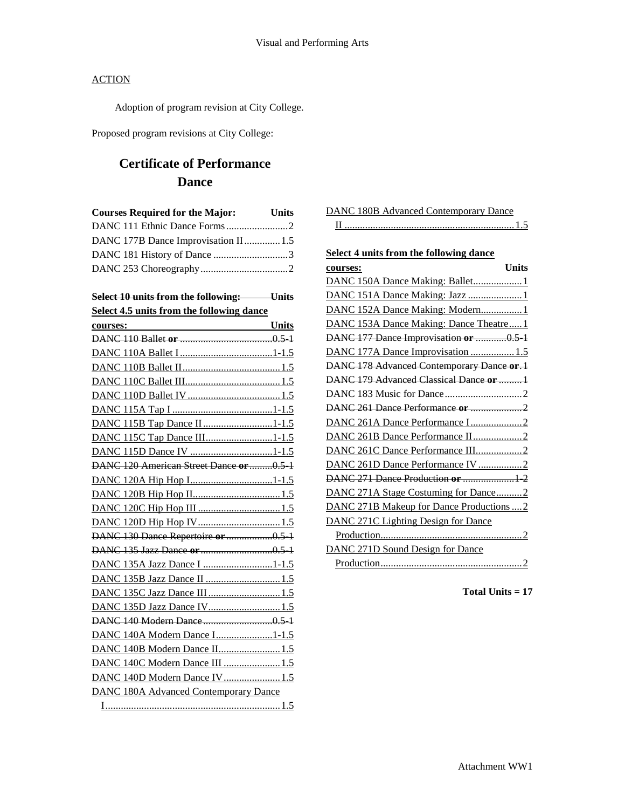Adoption of program revision at City College.

Proposed program revisions at City College:

# **Certificate of Performance Dance**

| <b>Courses Required for the Major:</b> | Units |  |
|----------------------------------------|-------|--|
|                                        |       |  |
| DANC 177B Dance Improvisation II  1.5  |       |  |
|                                        |       |  |
|                                        |       |  |

|  |  | Select 10 units from the following: | I <sub>line</sub> |
|--|--|-------------------------------------|-------------------|
|  |  |                                     | <del>omas</del>   |

**Select 4.5 units from the following dance** 

| <b>Units</b><br>courses:                     |
|----------------------------------------------|
|                                              |
|                                              |
|                                              |
|                                              |
|                                              |
|                                              |
| DANC 115B Tap Dance II1-1.5                  |
| DANC 115C Tap Dance III1-1.5                 |
|                                              |
| DANC 120 American Street Dance or 0.5 1      |
| DANC 120A Hip Hop I1-1.5                     |
|                                              |
|                                              |
| DANC 120D Hip Hop IV1.5                      |
| DANC 130 Dance Repertoire or 0.5 1           |
|                                              |
| DANC 135A Jazz Dance I 1-1.5                 |
|                                              |
| DANC 135C Jazz Dance III  1.5                |
| DANC 135D Jazz Dance IV1.5                   |
|                                              |
| DANC 140A Modern Dance I1-1.5                |
| DANC 140B Modern Dance II 1.5                |
| DANC 140C Modern Dance III  1.5              |
| DANC 140D Modern Dance IV1.5                 |
| <b>DANC 180A Advanced Contemporary Dance</b> |
|                                              |

| <b>Select 4 units from the following dance</b> |
|------------------------------------------------|
| <b>Units</b><br>courses:                       |
| DANC 150A Dance Making: Ballet 1               |
|                                                |
| DANC 152A Dance Making: Modern1                |
| DANC 153A Dance Making: Dance Theatre1         |
| DANC 177 Dance Improvisation or 0.5 1          |
| DANC 177A Dance Improvisation  1.5             |
| DANC 178 Advanced Contemporary Dance or.1      |
| DANC 179 Advanced Classical Dance or 1         |
|                                                |
| DANC 261 Dance Performance or 2                |
|                                                |
| DANC 261B Dance Performance II2                |
| DANC 261C Dance Performance III2               |
| DANC 261D Dance Performance IV 2               |
| DANC 271 Dance Production or  1 2              |
| DANC 271A Stage Costuming for Dance2           |

DANC 180B Advanced Contemporary Dance

| DANC 271B Makeup for Dance Productions  2 |
|-------------------------------------------|
| DANC 271C Lighting Design for Dance       |
|                                           |
| DANC 271D Sound Design for Dance          |
|                                           |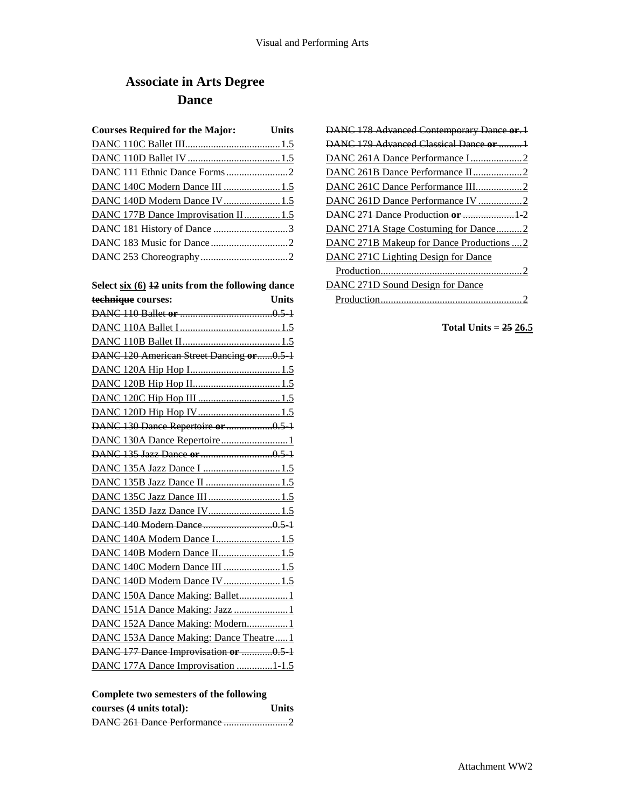# **Associate in Arts Degree Dance**

| <b>Courses Required for the Major:</b>           | Units        |
|--------------------------------------------------|--------------|
|                                                  |              |
|                                                  |              |
|                                                  |              |
| DANC 140C Modern Dance III  1.5                  |              |
| DANC 140D Modern Dance IV1.5                     |              |
| DANC 177B Dance Improvisation II1.5              |              |
| DANC 181 History of Dance 3                      |              |
|                                                  |              |
|                                                  |              |
| Select six (6) 42 units from the following dance |              |
| technique courses:                               | <b>Units</b> |
|                                                  |              |
|                                                  |              |
|                                                  |              |
| DANC 120 American Street Dancing or0.5 1         |              |
|                                                  |              |
|                                                  |              |
|                                                  |              |
|                                                  |              |
| DANC 130 Dance Repertoire or 0.5 1               |              |
|                                                  |              |
|                                                  |              |
|                                                  |              |
| DANC 135B Jazz Dance II  1.5                     |              |
| DANC 135C Jazz Dance III 1.5                     |              |
| DANC 135D Jazz Dance IV 1.5                      |              |
|                                                  |              |
|                                                  |              |
| DANC 140B Modern Dance II 1.5                    |              |
| DANC 140C Modern Dance III  1.5                  |              |
| DANC 140D Modern Dance IV1.5                     |              |
| DANC 150A Dance Making: Ballet1                  |              |
|                                                  |              |
| DANC 152A Dance Making: Modern1                  |              |
| DANC 153A Dance Making: Dance Theatre1           |              |
| DANC 177 Dance Improvisation or 0.5 1            |              |
| DANC 177A Dance Improvisation 1-1.5              |              |

| Complete two semesters of the following |  |  |  |
|-----------------------------------------|--|--|--|
|-----------------------------------------|--|--|--|

| courses (4 units total): | <b>Units</b> |
|--------------------------|--------------|
|                          |              |

| DANC 178 Advanced Contemporary Dance or.1 |
|-------------------------------------------|
| DANC 179 Advanced Classical Dance or  1   |
|                                           |
|                                           |
|                                           |
| DANC 261D Dance Performance IV 2          |
|                                           |
| DANC 271A Stage Costuming for Dance2      |
| DANC 271B Makeup for Dance Productions  2 |
| DANC 271C Lighting Design for Dance       |
|                                           |
| DANC 271D Sound Design for Dance          |
|                                           |

**Total Units = 25 26.5**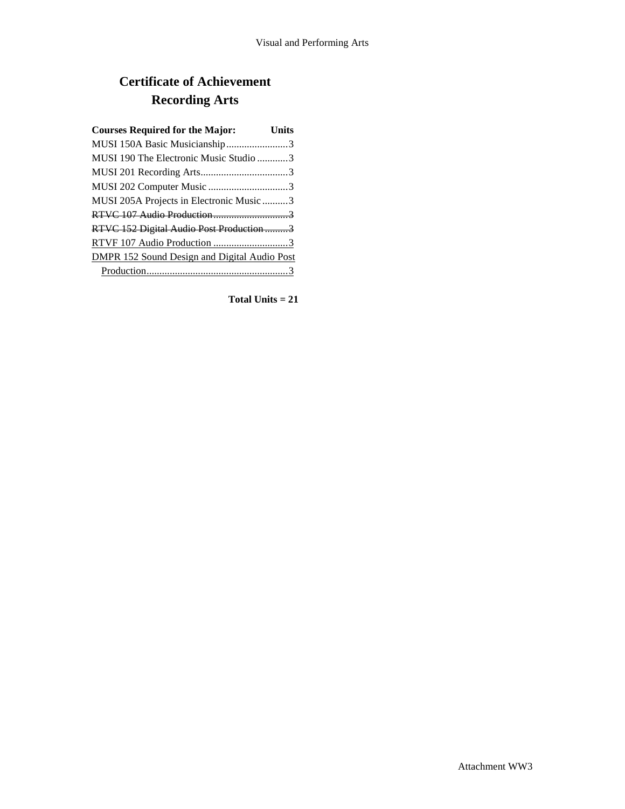# **Certificate of Achievement Recording Arts**

| <b>Courses Required for the Major:</b>              | Units |
|-----------------------------------------------------|-------|
| MUSI 150A Basic Musicianship3                       |       |
| MUSI 190 The Electronic Music Studio 3              |       |
|                                                     |       |
|                                                     |       |
| MUSI 205A Projects in Electronic Music 3            |       |
|                                                     |       |
| RTVC 152 Digital Audio Post Production 3            |       |
|                                                     |       |
| <b>DMPR 152 Sound Design and Digital Audio Post</b> |       |
|                                                     |       |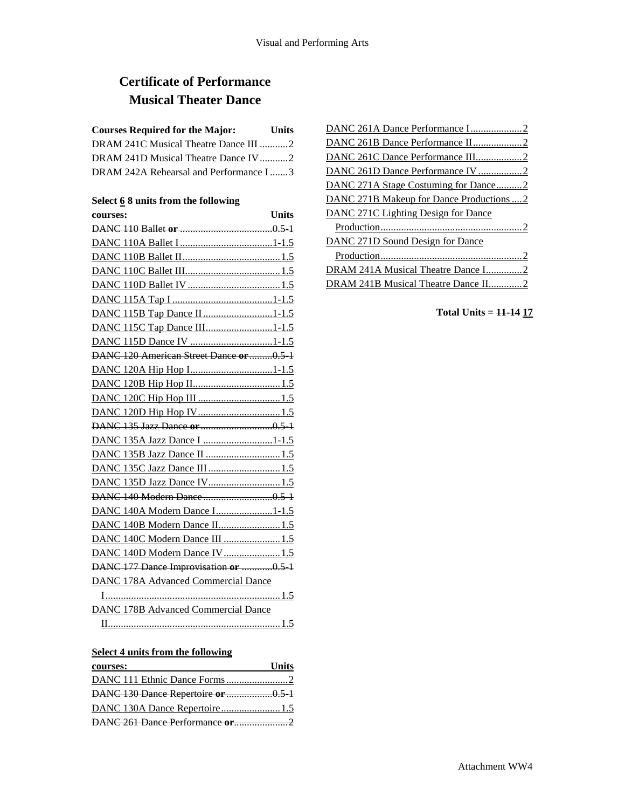# **Certificate of Performance Musical Theater Dance**

## **Courses Required for the Major: Units**

| DRAM 241C Musical Theatre Dance III 2  |  |
|----------------------------------------|--|
| DRAM 241D Musical Theatre Dance IV 2   |  |
| DRAM 242A Rehearsal and Performance I3 |  |

### **Select 6 8 units from the following**

| Units<br>courses:                          |
|--------------------------------------------|
|                                            |
|                                            |
|                                            |
|                                            |
|                                            |
|                                            |
| DANC 115B Tap Dance II1-1.5                |
| DANC 115C Tap Dance III1-1.5               |
|                                            |
| DANC 120 American Street Dance or 0.5 1    |
| DANC 120A Hip Hop I1-1.5                   |
|                                            |
|                                            |
|                                            |
|                                            |
| DANC 135A Jazz Dance I 1-1.5               |
| DANC 135B Jazz Dance II  1.5               |
| DANC 135C Jazz Dance III  1.5              |
| DANC 135D Jazz Dance IV 1.5                |
|                                            |
| DANC 140A Modern Dance I1-1.5              |
| DANC 140B Modern Dance II 1.5              |
| DANC 140C Modern Dance III  1.5            |
| DANC 140D Modern Dance IV 1.5              |
| DANC 177 Dance Improvisation or 0.5 1      |
| <b>DANC 178A Advanced Commercial Dance</b> |
|                                            |
| <b>DANC 178B Advanced Commercial Dance</b> |
|                                            |

### **Select 4 units from the following**

| courses:                           | <b>Units</b> |
|------------------------------------|--------------|
|                                    |              |
| DANC 130 Dance Repertoire or 0.5 1 |              |
| DANC 130A Dance Repertoire1.5      |              |
|                                    |              |

| DANC 261B Dance Performance II2           |
|-------------------------------------------|
| DANC 261C Dance Performance III2          |
| DANC 261D Dance Performance IV 2          |
| DANC 271A Stage Costuming for Dance2      |
| DANC 271B Makeup for Dance Productions  2 |
| DANC 271C Lighting Design for Dance       |
|                                           |
| DANC 271D Sound Design for Dance          |
|                                           |
| DRAM 241A Musical Theatre Dance I2        |
|                                           |

## **Total Units = 11-14 17**